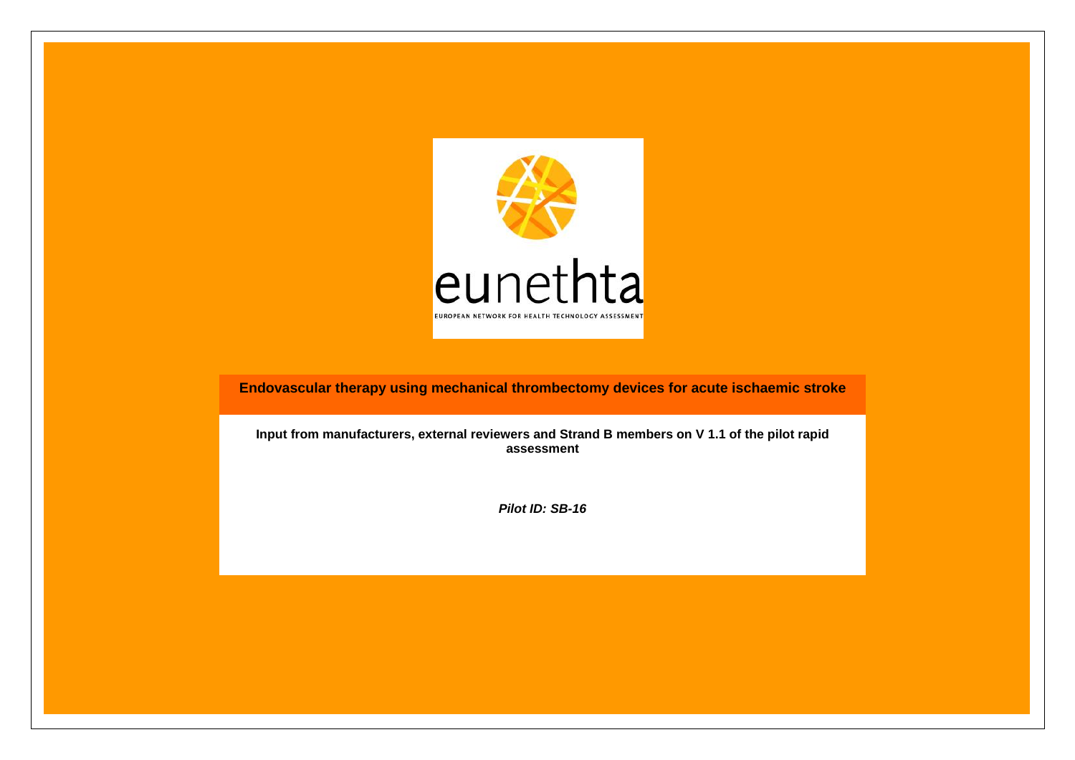

**Endovascular therapy using mechanical thrombectomy devices for acute ischaemic stroke**

**Input from manufacturers, external reviewers and Strand B members on V 1.1 of the pilot rapid assessment**

*Pilot ID: SB-16*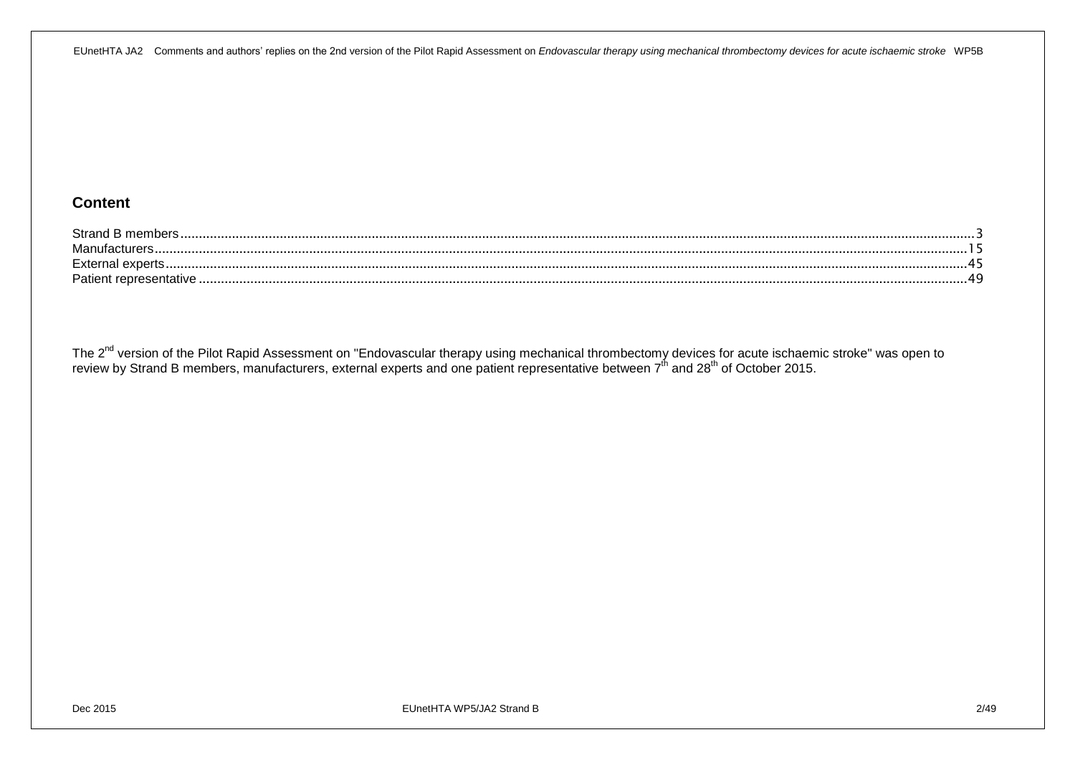#### **Content**

| Strano   |  |
|----------|--|
| $M_{2D}$ |  |
| Exter    |  |
| Patier   |  |

The 2<sup>nd</sup> version of the Pilot Rapid Assessment on "Endovascular therapy using mechanical thrombectomy devices for acute ischaemic stroke" was open to review by Strand B members, manufacturers, external experts and one patient representative between 7<sup>th</sup> and 28<sup>th</sup> of October 2015.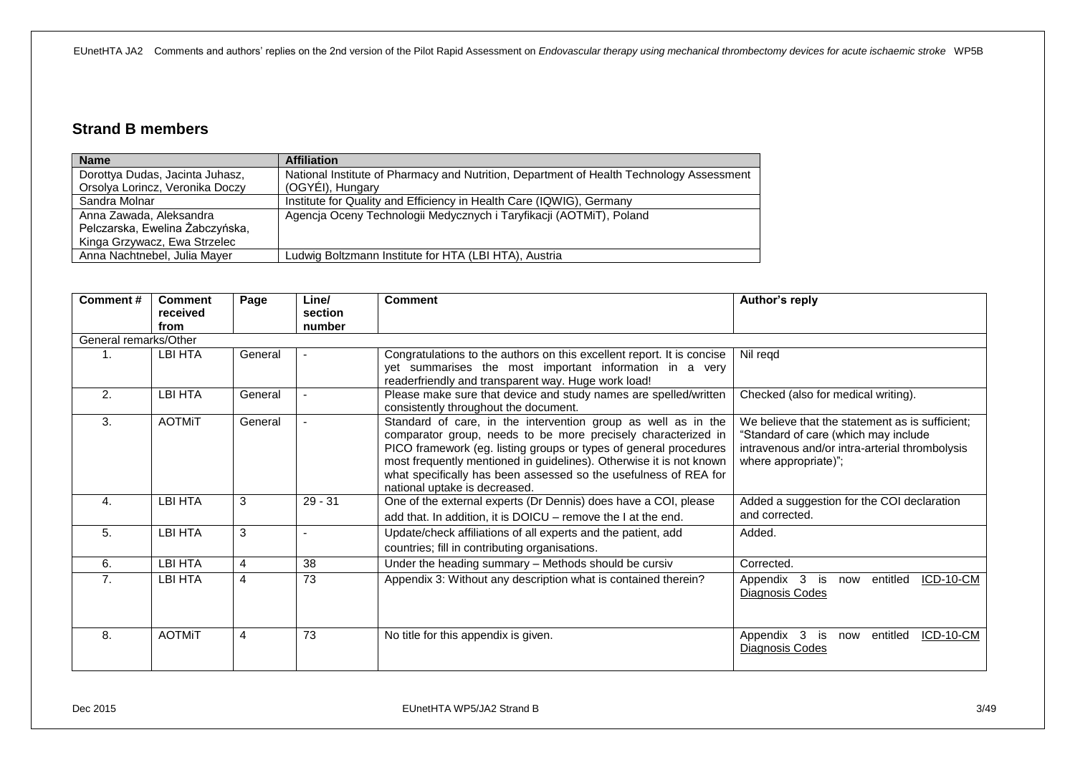## <span id="page-2-0"></span>**Strand B members**

| <b>Name</b>                     | <b>Affiliation</b>                                                                       |
|---------------------------------|------------------------------------------------------------------------------------------|
| Dorottya Dudas, Jacinta Juhasz, | National Institute of Pharmacy and Nutrition, Department of Health Technology Assessment |
| Orsolya Lorincz, Veronika Doczy | (OGYEI), Hungary                                                                         |
| Sandra Molnar                   | Institute for Quality and Efficiency in Health Care (IQWIG), Germany                     |
| Anna Zawada, Aleksandra         | Agencja Oceny Technologii Medycznych i Taryfikacji (AOTMiT), Poland                      |
| Pelczarska, Ewelina Żabczyńska, |                                                                                          |
| Kinga Grzywacz, Ewa Strzelec    |                                                                                          |
| Anna Nachtnebel, Julia Mayer    | Ludwig Boltzmann Institute for HTA (LBI HTA), Austria                                    |

| Comment# | <b>Comment</b><br>received<br>from | Page           | Line/<br>section<br>number | <b>Comment</b>                                                                                                                                                                                                                                                                                                                                                                  | Author's reply                                                                                                                                                    |  |  |  |  |
|----------|------------------------------------|----------------|----------------------------|---------------------------------------------------------------------------------------------------------------------------------------------------------------------------------------------------------------------------------------------------------------------------------------------------------------------------------------------------------------------------------|-------------------------------------------------------------------------------------------------------------------------------------------------------------------|--|--|--|--|
|          | General remarks/Other              |                |                            |                                                                                                                                                                                                                                                                                                                                                                                 |                                                                                                                                                                   |  |  |  |  |
|          | <b>LBI HTA</b>                     | General        |                            | Congratulations to the authors on this excellent report. It is concise<br>yet summarises the most important information in a very<br>readerfriendly and transparent way. Huge work load!                                                                                                                                                                                        | Nil regd                                                                                                                                                          |  |  |  |  |
| 2.       | LBI HTA                            | General        |                            | Please make sure that device and study names are spelled/written<br>consistently throughout the document.                                                                                                                                                                                                                                                                       | Checked (also for medical writing).                                                                                                                               |  |  |  |  |
| 3.       | <b>AOTMiT</b>                      | General        |                            | Standard of care, in the intervention group as well as in the<br>comparator group, needs to be more precisely characterized in<br>PICO framework (eg. listing groups or types of general procedures<br>most frequently mentioned in guidelines). Otherwise it is not known<br>what specifically has been assessed so the usefulness of REA for<br>national uptake is decreased. | We believe that the statement as is sufficient:<br>"Standard of care (which may include<br>intravenous and/or intra-arterial thrombolysis<br>where appropriate)"; |  |  |  |  |
| 4.       | <b>LBI HTA</b>                     | 3              | $29 - 31$                  | One of the external experts (Dr Dennis) does have a COI, please<br>add that. In addition, it is DOICU – remove the I at the end.                                                                                                                                                                                                                                                | Added a suggestion for the COI declaration<br>and corrected.                                                                                                      |  |  |  |  |
| 5.       | <b>LBI HTA</b>                     | 3              | $\overline{\phantom{a}}$   | Update/check affiliations of all experts and the patient, add<br>countries; fill in contributing organisations.                                                                                                                                                                                                                                                                 | Added.                                                                                                                                                            |  |  |  |  |
| 6.       | LBI HTA                            | 4              | 38                         | Under the heading summary - Methods should be cursiv                                                                                                                                                                                                                                                                                                                            | Corrected.                                                                                                                                                        |  |  |  |  |
| 7.       | LBI HTA                            | $\overline{4}$ | 73                         | Appendix 3: Without any description what is contained therein?                                                                                                                                                                                                                                                                                                                  | ICD-10-CM<br>Appendix 3<br>is<br>now entitled<br>Diagnosis Codes                                                                                                  |  |  |  |  |
| 8.       | <b>AOTMIT</b>                      | $\overline{4}$ | 73                         | No title for this appendix is given.                                                                                                                                                                                                                                                                                                                                            | ICD-10-CM<br>Appendix 3<br>entitled<br>is<br>now<br>Diagnosis Codes                                                                                               |  |  |  |  |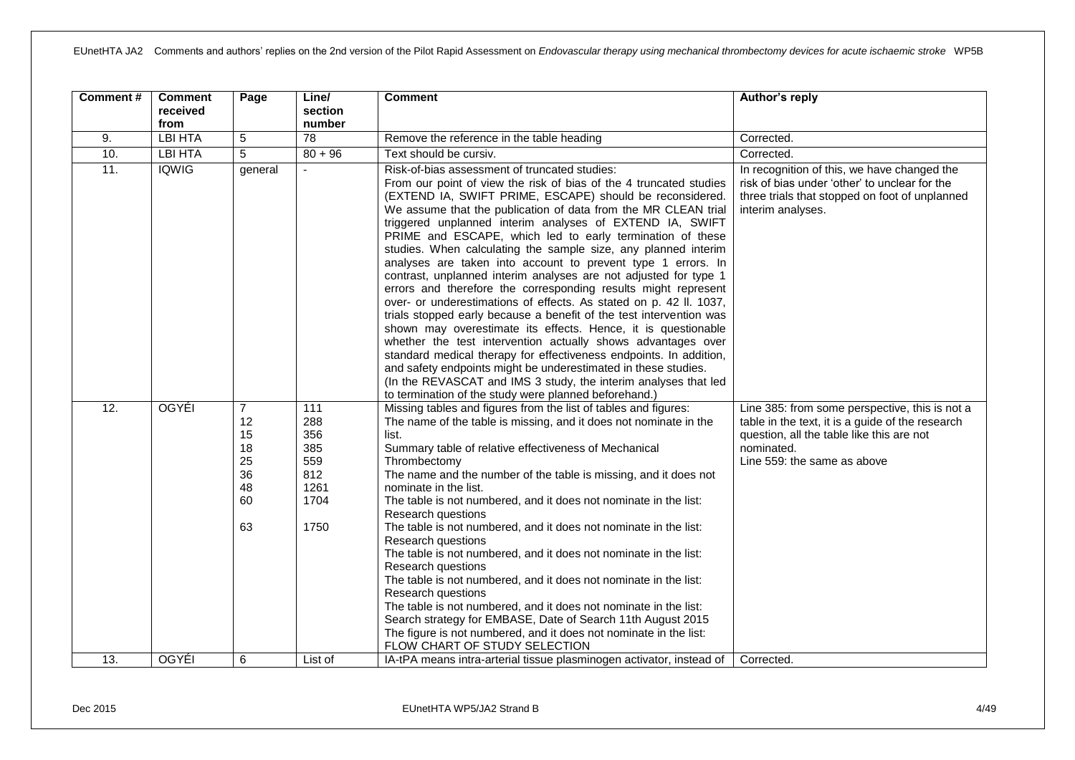| Comment#          | <b>Comment</b><br>received<br>from | Page                                                           | Line/<br>section<br>number                                     | <b>Comment</b>                                                                                                                                                                                                                                                                                                                                                                                                                                                                                                                                                                                                                                                                                                                                                                                                                                                                                                                                                                                                                                                                                                                                                                                       | Author's reply                                                                                                                                                                               |
|-------------------|------------------------------------|----------------------------------------------------------------|----------------------------------------------------------------|------------------------------------------------------------------------------------------------------------------------------------------------------------------------------------------------------------------------------------------------------------------------------------------------------------------------------------------------------------------------------------------------------------------------------------------------------------------------------------------------------------------------------------------------------------------------------------------------------------------------------------------------------------------------------------------------------------------------------------------------------------------------------------------------------------------------------------------------------------------------------------------------------------------------------------------------------------------------------------------------------------------------------------------------------------------------------------------------------------------------------------------------------------------------------------------------------|----------------------------------------------------------------------------------------------------------------------------------------------------------------------------------------------|
| 9.                | <b>LBI HTA</b>                     | 5                                                              | $\overline{78}$                                                | Remove the reference in the table heading                                                                                                                                                                                                                                                                                                                                                                                                                                                                                                                                                                                                                                                                                                                                                                                                                                                                                                                                                                                                                                                                                                                                                            | Corrected.                                                                                                                                                                                   |
| 10.               | LBI HTA                            | 5                                                              | $80 + 96$                                                      | Text should be cursiv.                                                                                                                                                                                                                                                                                                                                                                                                                                                                                                                                                                                                                                                                                                                                                                                                                                                                                                                                                                                                                                                                                                                                                                               | Corrected.                                                                                                                                                                                   |
| 11.               | <b>IQWIG</b>                       | general                                                        | $\overline{a}$                                                 | Risk-of-bias assessment of truncated studies:<br>From our point of view the risk of bias of the 4 truncated studies<br>(EXTEND IA, SWIFT PRIME, ESCAPE) should be reconsidered.<br>We assume that the publication of data from the MR CLEAN trial<br>triggered unplanned interim analyses of EXTEND IA, SWIFT<br>PRIME and ESCAPE, which led to early termination of these<br>studies. When calculating the sample size, any planned interim<br>analyses are taken into account to prevent type 1 errors. In<br>contrast, unplanned interim analyses are not adjusted for type 1<br>errors and therefore the corresponding results might represent<br>over- or underestimations of effects. As stated on p. 42 II. 1037,<br>trials stopped early because a benefit of the test intervention was<br>shown may overestimate its effects. Hence, it is questionable<br>whether the test intervention actually shows advantages over<br>standard medical therapy for effectiveness endpoints. In addition,<br>and safety endpoints might be underestimated in these studies.<br>(In the REVASCAT and IMS 3 study, the interim analyses that led<br>to termination of the study were planned beforehand.) | In recognition of this, we have changed the<br>risk of bias under 'other' to unclear for the<br>three trials that stopped on foot of unplanned<br>interim analyses.                          |
| $\overline{12}$ . | <b>OGYÉI</b>                       | $\overline{7}$<br>12<br>15<br>18<br>25<br>36<br>48<br>60<br>63 | 111<br>288<br>356<br>385<br>559<br>812<br>1261<br>1704<br>1750 | Missing tables and figures from the list of tables and figures:<br>The name of the table is missing, and it does not nominate in the<br>list.<br>Summary table of relative effectiveness of Mechanical<br>Thrombectomy<br>The name and the number of the table is missing, and it does not<br>nominate in the list.<br>The table is not numbered, and it does not nominate in the list:<br>Research questions<br>The table is not numbered, and it does not nominate in the list:<br>Research questions<br>The table is not numbered, and it does not nominate in the list:<br>Research questions<br>The table is not numbered, and it does not nominate in the list:<br>Research questions<br>The table is not numbered, and it does not nominate in the list:<br>Search strategy for EMBASE, Date of Search 11th August 2015<br>The figure is not numbered, and it does not nominate in the list:<br>FLOW CHART OF STUDY SELECTION                                                                                                                                                                                                                                                                 | Line 385: from some perspective, this is not a<br>table in the text, it is a guide of the research<br>question, all the table like this are not<br>nominated.<br>Line 559: the same as above |
| 13.               | <b>OGYÉI</b>                       | 6                                                              | List of                                                        | IA-tPA means intra-arterial tissue plasminogen activator, instead of                                                                                                                                                                                                                                                                                                                                                                                                                                                                                                                                                                                                                                                                                                                                                                                                                                                                                                                                                                                                                                                                                                                                 | Corrected.                                                                                                                                                                                   |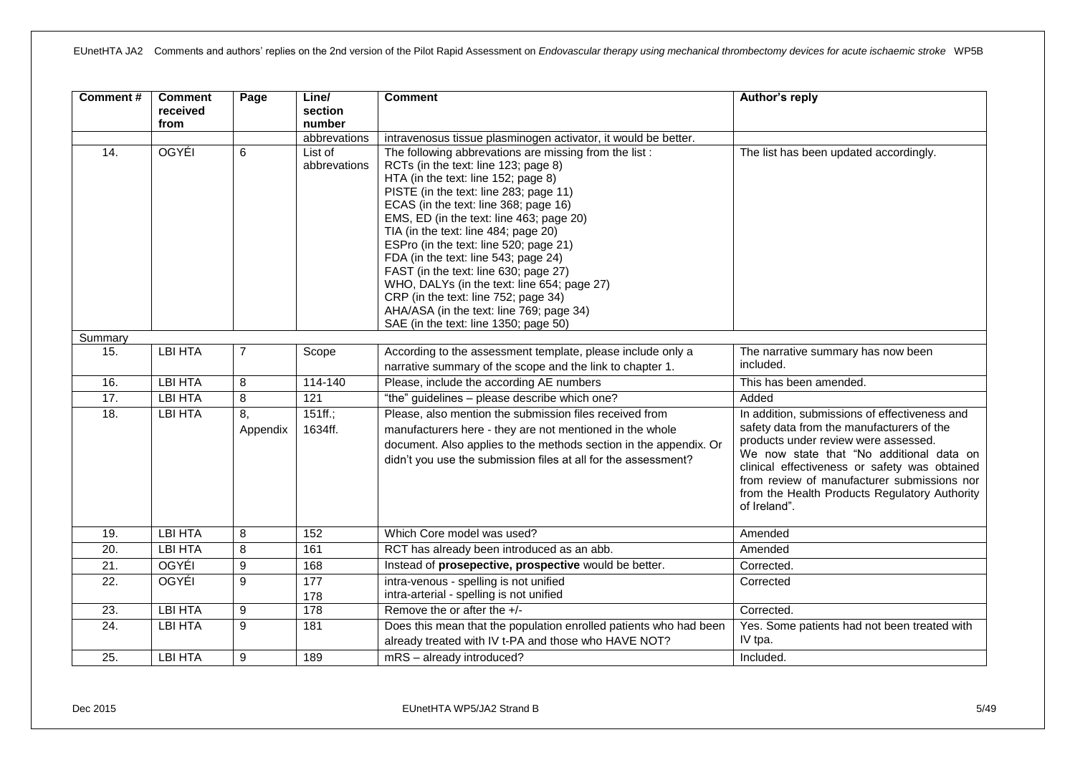| <b>Comment#</b>   | <b>Comment</b><br>received<br>from | Page           | Line/<br>section<br>number<br>abbrevations | <b>Comment</b><br>intravenosus tissue plasminogen activator, it would be better.                                                                                                                                                                                                                                                                                                                                                                                                                                                                                                                                   | Author's reply                                                                                                                                                                                                                                                                                                                                  |
|-------------------|------------------------------------|----------------|--------------------------------------------|--------------------------------------------------------------------------------------------------------------------------------------------------------------------------------------------------------------------------------------------------------------------------------------------------------------------------------------------------------------------------------------------------------------------------------------------------------------------------------------------------------------------------------------------------------------------------------------------------------------------|-------------------------------------------------------------------------------------------------------------------------------------------------------------------------------------------------------------------------------------------------------------------------------------------------------------------------------------------------|
| 14.               | OGYÉI                              | 6              | List of<br>abbrevations                    | The following abbrevations are missing from the list:<br>RCTs (in the text: line 123; page 8)<br>HTA (in the text: line 152; page 8)<br>PISTE (in the text: line 283; page 11)<br>ECAS (in the text: line 368; page 16)<br>EMS, ED (in the text: line 463; page 20)<br>TIA (in the text: line 484; page 20)<br>ESPro (in the text: line 520; page 21)<br>FDA (in the text: line 543; page 24)<br>FAST (in the text: line 630; page 27)<br>WHO, DALYs (in the text: line 654; page 27)<br>CRP (in the text: line 752; page 34)<br>AHA/ASA (in the text: line 769; page 34)<br>SAE (in the text: line 1350; page 50) | The list has been updated accordingly.                                                                                                                                                                                                                                                                                                          |
| Summary           |                                    |                |                                            |                                                                                                                                                                                                                                                                                                                                                                                                                                                                                                                                                                                                                    |                                                                                                                                                                                                                                                                                                                                                 |
| 15.               | <b>LBI HTA</b>                     | $\overline{7}$ | Scope                                      | According to the assessment template, please include only a<br>narrative summary of the scope and the link to chapter 1.                                                                                                                                                                                                                                                                                                                                                                                                                                                                                           | The narrative summary has now been<br>included.                                                                                                                                                                                                                                                                                                 |
| 16.               | <b>LBI HTA</b>                     | 8              | 114-140                                    | Please, include the according AE numbers                                                                                                                                                                                                                                                                                                                                                                                                                                                                                                                                                                           | This has been amended.                                                                                                                                                                                                                                                                                                                          |
| 17.               | <b>LBI HTA</b>                     | $\overline{8}$ | 121                                        | "the" guidelines - please describe which one?                                                                                                                                                                                                                                                                                                                                                                                                                                                                                                                                                                      | Added                                                                                                                                                                                                                                                                                                                                           |
| 18.               | <b>LBI HTA</b>                     | 8,<br>Appendix | $151ff$ .;<br>1634ff.                      | Please, also mention the submission files received from<br>manufacturers here - they are not mentioned in the whole<br>document. Also applies to the methods section in the appendix. Or<br>didn't you use the submission files at all for the assessment?                                                                                                                                                                                                                                                                                                                                                         | In addition, submissions of effectiveness and<br>safety data from the manufacturers of the<br>products under review were assessed.<br>We now state that "No additional data on<br>clinical effectiveness or safety was obtained<br>from review of manufacturer submissions nor<br>from the Health Products Regulatory Authority<br>of Ireland". |
| 19.               | <b>LBI HTA</b>                     | 8              | 152                                        | Which Core model was used?                                                                                                                                                                                                                                                                                                                                                                                                                                                                                                                                                                                         | Amended                                                                                                                                                                                                                                                                                                                                         |
| 20.               | <b>LBI HTA</b>                     | 8              | 161                                        | RCT has already been introduced as an abb.                                                                                                                                                                                                                                                                                                                                                                                                                                                                                                                                                                         | Amended                                                                                                                                                                                                                                                                                                                                         |
| 21.               | <b>OGYÉI</b>                       | 9              | 168                                        | Instead of prosepective, prospective would be better.                                                                                                                                                                                                                                                                                                                                                                                                                                                                                                                                                              | Corrected.                                                                                                                                                                                                                                                                                                                                      |
| $\overline{22}$ . | OGYÉI                              | $\overline{9}$ | 177<br>178                                 | intra-venous - spelling is not unified<br>intra-arterial - spelling is not unified                                                                                                                                                                                                                                                                                                                                                                                                                                                                                                                                 | Corrected                                                                                                                                                                                                                                                                                                                                       |
| 23.               | <b>LBI HTA</b>                     | 9              | 178                                        | Remove the or after the $+/-$                                                                                                                                                                                                                                                                                                                                                                                                                                                                                                                                                                                      | Corrected.                                                                                                                                                                                                                                                                                                                                      |
| 24.               | <b>LBI HTA</b>                     | $\overline{9}$ | 181                                        | Does this mean that the population enrolled patients who had been<br>already treated with IV t-PA and those who HAVE NOT?                                                                                                                                                                                                                                                                                                                                                                                                                                                                                          | Yes. Some patients had not been treated with<br>IV tpa.                                                                                                                                                                                                                                                                                         |
| 25.               | <b>LBI HTA</b>                     | 9              | 189                                        | mRS - already introduced?                                                                                                                                                                                                                                                                                                                                                                                                                                                                                                                                                                                          | Included.                                                                                                                                                                                                                                                                                                                                       |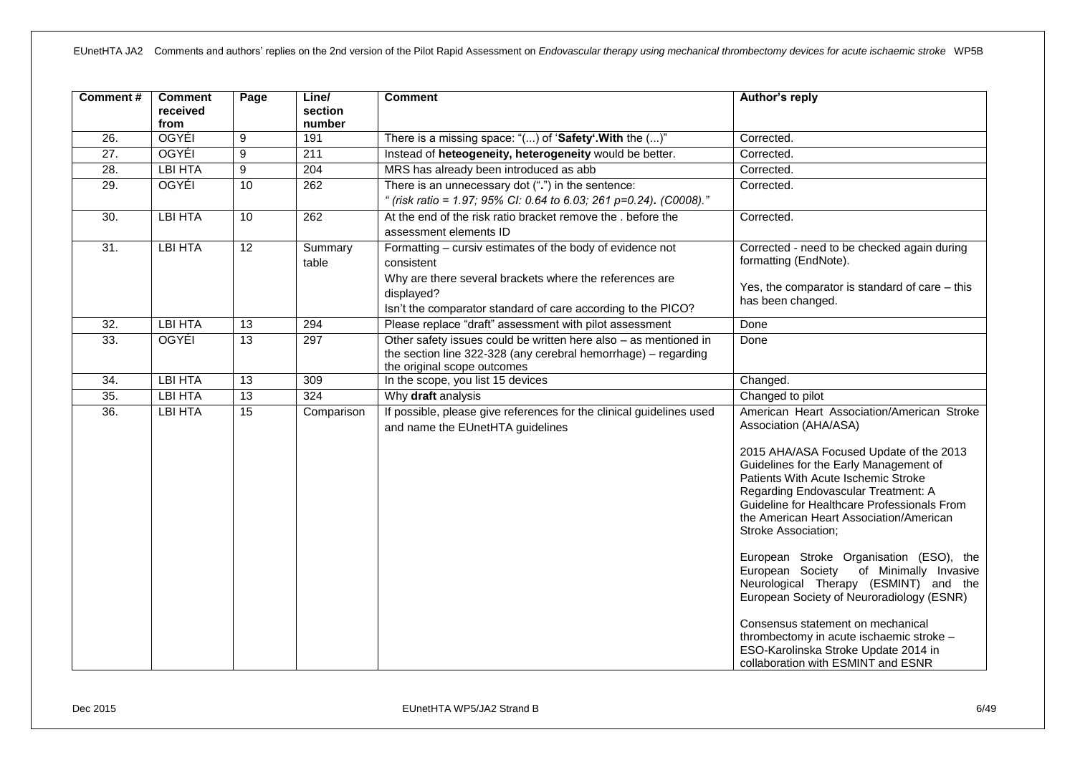| Comment#          | <b>Comment</b><br>received<br>from | Page            | Line/<br>section<br>number | <b>Comment</b>                                                                                                                                                                                                   | Author's reply                                                                                                                                                                                                                                                                                                                                                                                                                                                                                                                                                                                                                                                                                           |
|-------------------|------------------------------------|-----------------|----------------------------|------------------------------------------------------------------------------------------------------------------------------------------------------------------------------------------------------------------|----------------------------------------------------------------------------------------------------------------------------------------------------------------------------------------------------------------------------------------------------------------------------------------------------------------------------------------------------------------------------------------------------------------------------------------------------------------------------------------------------------------------------------------------------------------------------------------------------------------------------------------------------------------------------------------------------------|
| $\overline{26}$ . | <b>OGYÉI</b>                       | 9               | 191                        | There is a missing space: "() of 'Safety'. With the ()"                                                                                                                                                          | Corrected.                                                                                                                                                                                                                                                                                                                                                                                                                                                                                                                                                                                                                                                                                               |
| 27.               | <b>OGYÉI</b>                       | 9               | 211                        | Instead of heteogeneity, heterogeneity would be better.                                                                                                                                                          | Corrected.                                                                                                                                                                                                                                                                                                                                                                                                                                                                                                                                                                                                                                                                                               |
| $\overline{28}$ . | <b>LBI HTA</b>                     | 9               | 204                        | MRS has already been introduced as abb                                                                                                                                                                           | Corrected.                                                                                                                                                                                                                                                                                                                                                                                                                                                                                                                                                                                                                                                                                               |
| 29.               | <b>OGYÉI</b>                       | 10              | $\overline{262}$           | There is an unnecessary dot (".") in the sentence:<br>" (risk ratio = 1.97; 95% CI: 0.64 to 6.03; 261 p=0.24). (C0008)."                                                                                         | Corrected.                                                                                                                                                                                                                                                                                                                                                                                                                                                                                                                                                                                                                                                                                               |
| 30.               | <b>LBI HTA</b>                     | 10              | 262                        | At the end of the risk ratio bracket remove the . before the<br>assessment elements ID                                                                                                                           | Corrected.                                                                                                                                                                                                                                                                                                                                                                                                                                                                                                                                                                                                                                                                                               |
| 31.               | <b>LBI HTA</b>                     | 12              | Summary<br>table           | Formatting - cursiv estimates of the body of evidence not<br>consistent<br>Why are there several brackets where the references are<br>displayed?<br>Isn't the comparator standard of care according to the PICO? | Corrected - need to be checked again during<br>formatting (EndNote).<br>Yes, the comparator is standard of care $-$ this<br>has been changed.                                                                                                                                                                                                                                                                                                                                                                                                                                                                                                                                                            |
| 32.               | <b>LBI HTA</b>                     | 13              | 294                        | Please replace "draft" assessment with pilot assessment                                                                                                                                                          | Done                                                                                                                                                                                                                                                                                                                                                                                                                                                                                                                                                                                                                                                                                                     |
| 33.               | <b>OGYÉI</b>                       | $\overline{13}$ | 297                        | Other safety issues could be written here also - as mentioned in<br>the section line 322-328 (any cerebral hemorrhage) - regarding<br>the original scope outcomes                                                | Done                                                                                                                                                                                                                                                                                                                                                                                                                                                                                                                                                                                                                                                                                                     |
| 34.               | <b>LBI HTA</b>                     | $\overline{13}$ | 309                        | In the scope, you list 15 devices                                                                                                                                                                                | Changed.                                                                                                                                                                                                                                                                                                                                                                                                                                                                                                                                                                                                                                                                                                 |
| 35.               | <b>LBI HTA</b>                     | $\overline{13}$ | 324                        | Why draft analysis                                                                                                                                                                                               | Changed to pilot                                                                                                                                                                                                                                                                                                                                                                                                                                                                                                                                                                                                                                                                                         |
| 36.               | <b>LBI HTA</b>                     | 15              | Comparison                 | If possible, please give references for the clinical guidelines used<br>and name the EUnetHTA guidelines                                                                                                         | American Heart Association/American Stroke<br>Association (AHA/ASA)<br>2015 AHA/ASA Focused Update of the 2013<br>Guidelines for the Early Management of<br>Patients With Acute Ischemic Stroke<br>Regarding Endovascular Treatment: A<br>Guideline for Healthcare Professionals From<br>the American Heart Association/American<br><b>Stroke Association;</b><br>European Stroke Organisation (ESO), the<br>European Society of Minimally Invasive<br>Neurological Therapy (ESMINT) and the<br>European Society of Neuroradiology (ESNR)<br>Consensus statement on mechanical<br>thrombectomy in acute ischaemic stroke -<br>ESO-Karolinska Stroke Update 2014 in<br>collaboration with ESMINT and ESNR |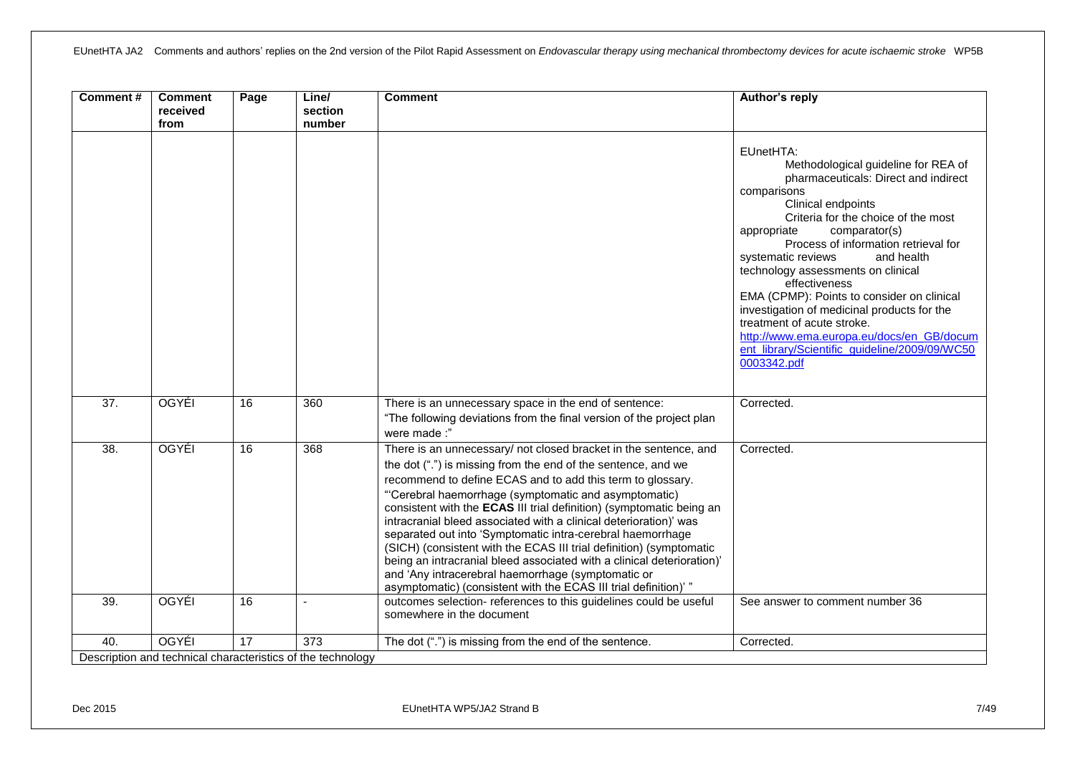| Comment#          | <b>Comment</b><br>received<br>from | Page | Line/<br>section<br>number                                         | <b>Comment</b>                                                                                                                                                                                                                                                                                                                                                                                                                                                                                                                                                                                                                                                                                                                                | Author's reply                                                                                                                                                                                                                                                                                                                                                                                                                                                                                                                                                                  |
|-------------------|------------------------------------|------|--------------------------------------------------------------------|-----------------------------------------------------------------------------------------------------------------------------------------------------------------------------------------------------------------------------------------------------------------------------------------------------------------------------------------------------------------------------------------------------------------------------------------------------------------------------------------------------------------------------------------------------------------------------------------------------------------------------------------------------------------------------------------------------------------------------------------------|---------------------------------------------------------------------------------------------------------------------------------------------------------------------------------------------------------------------------------------------------------------------------------------------------------------------------------------------------------------------------------------------------------------------------------------------------------------------------------------------------------------------------------------------------------------------------------|
|                   |                                    |      |                                                                    |                                                                                                                                                                                                                                                                                                                                                                                                                                                                                                                                                                                                                                                                                                                                               | EUnetHTA:<br>Methodological guideline for REA of<br>pharmaceuticals: Direct and indirect<br>comparisons<br>Clinical endpoints<br>Criteria for the choice of the most<br>comparator(s)<br>appropriate<br>Process of information retrieval for<br>systematic reviews<br>and health<br>technology assessments on clinical<br>effectiveness<br>EMA (CPMP): Points to consider on clinical<br>investigation of medicinal products for the<br>treatment of acute stroke.<br>http://www.ema.europa.eu/docs/en_GB/docum<br>ent_library/Scientific_guideline/2009/09/WC50<br>0003342.pdf |
| $\overline{37}$ . | OGYÉI                              | 16   | 360                                                                | There is an unnecessary space in the end of sentence:<br>"The following deviations from the final version of the project plan<br>were made:"                                                                                                                                                                                                                                                                                                                                                                                                                                                                                                                                                                                                  | Corrected.                                                                                                                                                                                                                                                                                                                                                                                                                                                                                                                                                                      |
| $\overline{38}$   | <b>OGYÉI</b>                       | 16   | 368                                                                | There is an unnecessary/ not closed bracket in the sentence, and<br>the dot (".") is missing from the end of the sentence, and we<br>recommend to define ECAS and to add this term to glossary.<br>"Cerebral haemorrhage (symptomatic and asymptomatic)<br>consistent with the ECAS III trial definition) (symptomatic being an<br>intracranial bleed associated with a clinical deterioration)' was<br>separated out into 'Symptomatic intra-cerebral haemorrhage<br>(SICH) (consistent with the ECAS III trial definition) (symptomatic<br>being an intracranial bleed associated with a clinical deterioration)'<br>and 'Any intracerebral haemorrhage (symptomatic or<br>asymptomatic) (consistent with the ECAS III trial definition)' " | Corrected.                                                                                                                                                                                                                                                                                                                                                                                                                                                                                                                                                                      |
| 39.               | OGYÉI                              | 16   |                                                                    | outcomes selection- references to this guidelines could be useful<br>somewhere in the document                                                                                                                                                                                                                                                                                                                                                                                                                                                                                                                                                                                                                                                | See answer to comment number 36                                                                                                                                                                                                                                                                                                                                                                                                                                                                                                                                                 |
| 40.               | <b>OGYÉI</b>                       | 17   | 373<br>Description and technical characteristics of the technology | The dot (".") is missing from the end of the sentence.                                                                                                                                                                                                                                                                                                                                                                                                                                                                                                                                                                                                                                                                                        | Corrected.                                                                                                                                                                                                                                                                                                                                                                                                                                                                                                                                                                      |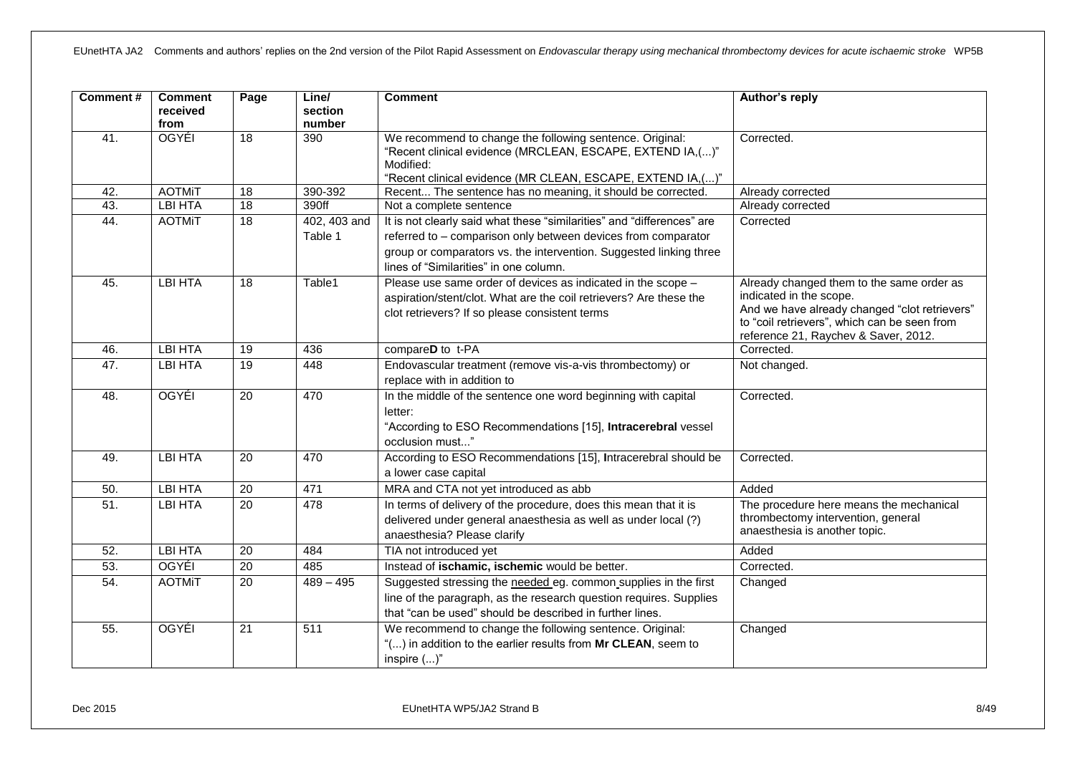| <b>Comment#</b> | <b>Comment</b><br>received<br>from | Page            | Line/<br>section<br>number | <b>Comment</b>                                                                                                                                                                                                                                          | Author's reply                                                                                                                                                                                                |
|-----------------|------------------------------------|-----------------|----------------------------|---------------------------------------------------------------------------------------------------------------------------------------------------------------------------------------------------------------------------------------------------------|---------------------------------------------------------------------------------------------------------------------------------------------------------------------------------------------------------------|
| 41.             | <b>OGYÉI</b>                       | 18              | 390                        | We recommend to change the following sentence. Original:<br>"Recent clinical evidence (MRCLEAN, ESCAPE, EXTEND IA,()"<br>Modified:<br>"Recent clinical evidence (MR CLEAN, ESCAPE, EXTEND IA,()"                                                        | Corrected.                                                                                                                                                                                                    |
| 42.             | <b>AOTMiT</b>                      | 18              | 390-392                    | Recent The sentence has no meaning, it should be corrected.                                                                                                                                                                                             | Already corrected                                                                                                                                                                                             |
| 43.             | <b>LBI HTA</b>                     | 18              | 390ff                      | Not a complete sentence                                                                                                                                                                                                                                 | Already corrected                                                                                                                                                                                             |
| 44.             | <b>AOTMIT</b>                      | 18              | 402, 403 and<br>Table 1    | It is not clearly said what these "similarities" and "differences" are<br>referred to - comparison only between devices from comparator<br>group or comparators vs. the intervention. Suggested linking three<br>lines of "Similarities" in one column. | Corrected                                                                                                                                                                                                     |
| 45.             | <b>LBI HTA</b>                     | 18              | Table1                     | Please use same order of devices as indicated in the scope -<br>aspiration/stent/clot. What are the coil retrievers? Are these the<br>clot retrievers? If so please consistent terms                                                                    | Already changed them to the same order as<br>indicated in the scope.<br>And we have already changed "clot retrievers"<br>to "coil retrievers", which can be seen from<br>reference 21, Raychev & Saver, 2012. |
| 46.             | <b>LBI HTA</b>                     | 19              | 436                        | compareD to t-PA                                                                                                                                                                                                                                        | Corrected.                                                                                                                                                                                                    |
| 47.             | <b>LBI HTA</b>                     | 19              | 448                        | Endovascular treatment (remove vis-a-vis thrombectomy) or<br>replace with in addition to                                                                                                                                                                | Not changed.                                                                                                                                                                                                  |
| 48.             | <b>OGYÉI</b>                       | $\overline{20}$ | 470                        | In the middle of the sentence one word beginning with capital<br>letter:<br>"According to ESO Recommendations [15], Intracerebral vessel<br>occlusion must"                                                                                             | Corrected.                                                                                                                                                                                                    |
| 49.             | <b>LBI HTA</b>                     | $\overline{20}$ | 470                        | According to ESO Recommendations [15], Intracerebral should be<br>a lower case capital                                                                                                                                                                  | Corrected.                                                                                                                                                                                                    |
| 50.             | <b>LBI HTA</b>                     | $\overline{20}$ | 471                        | MRA and CTA not yet introduced as abb                                                                                                                                                                                                                   | Added                                                                                                                                                                                                         |
| 51.             | LBI HTA                            | 20              | 478                        | In terms of delivery of the procedure, does this mean that it is<br>delivered under general anaesthesia as well as under local (?)<br>anaesthesia? Please clarify                                                                                       | The procedure here means the mechanical<br>thrombectomy intervention, general<br>anaesthesia is another topic.                                                                                                |
| 52.             | <b>LBI HTA</b>                     | 20              | 484                        | TIA not introduced yet                                                                                                                                                                                                                                  | Added                                                                                                                                                                                                         |
| 53.             | OGYÉI                              | $\overline{20}$ | 485                        | Instead of ischamic, ischemic would be better.                                                                                                                                                                                                          | Corrected.                                                                                                                                                                                                    |
| 54.             | <b>AOTMiT</b>                      | 20              | $489 - 495$                | Suggested stressing the needed eg. common supplies in the first<br>line of the paragraph, as the research question requires. Supplies<br>that "can be used" should be described in further lines.                                                       | Changed                                                                                                                                                                                                       |
| 55.             | <b>OGYÉI</b>                       | $\overline{21}$ | 511                        | We recommend to change the following sentence. Original:<br>"() in addition to the earlier results from Mr CLEAN, seem to<br>inspire ()"                                                                                                                | Changed                                                                                                                                                                                                       |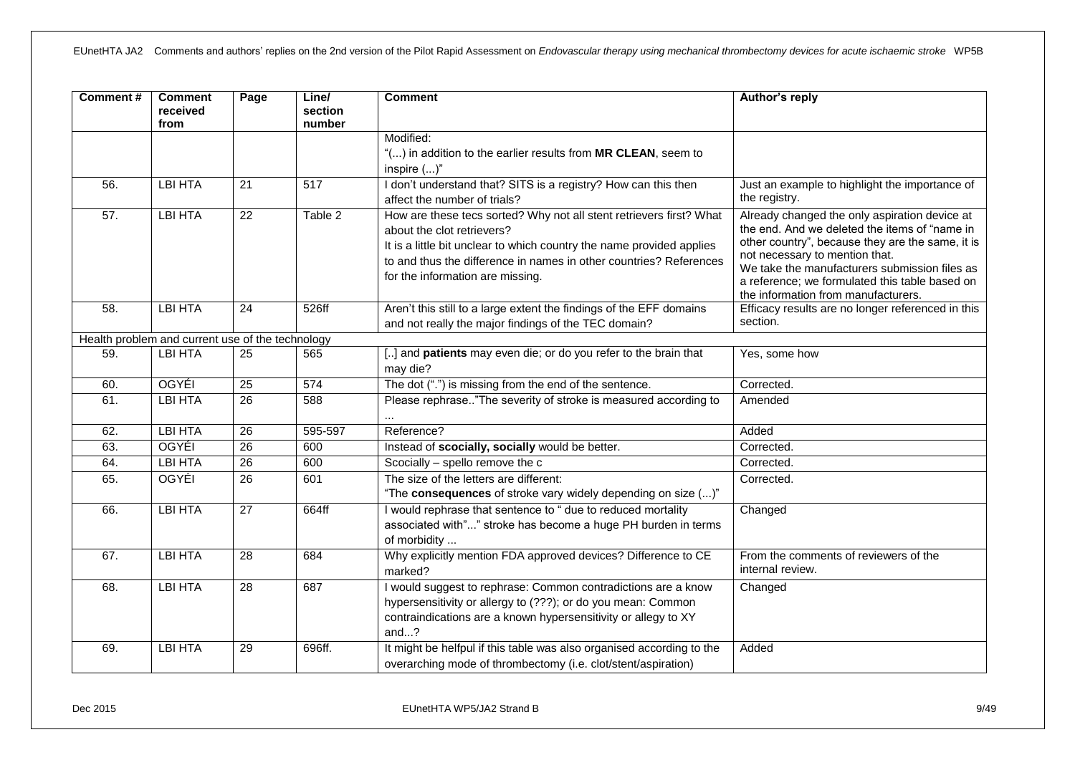| <b>Comment#</b> | <b>Comment</b><br>received<br>from               | Page            | Line/<br>section<br>number | <b>Comment</b>                                                                                                                                                                                                                                                                       | Author's reply                                                                                                                                                                                                                                                                                                                 |
|-----------------|--------------------------------------------------|-----------------|----------------------------|--------------------------------------------------------------------------------------------------------------------------------------------------------------------------------------------------------------------------------------------------------------------------------------|--------------------------------------------------------------------------------------------------------------------------------------------------------------------------------------------------------------------------------------------------------------------------------------------------------------------------------|
|                 |                                                  |                 |                            | Modified:                                                                                                                                                                                                                                                                            |                                                                                                                                                                                                                                                                                                                                |
|                 |                                                  |                 |                            | "() in addition to the earlier results from MR CLEAN, seem to                                                                                                                                                                                                                        |                                                                                                                                                                                                                                                                                                                                |
|                 |                                                  |                 |                            | inspire $()$ "                                                                                                                                                                                                                                                                       |                                                                                                                                                                                                                                                                                                                                |
| 56.             | <b>LBI HTA</b>                                   | $\overline{21}$ | $\overline{517}$           | I don't understand that? SITS is a registry? How can this then<br>affect the number of trials?                                                                                                                                                                                       | Just an example to highlight the importance of<br>the registry.                                                                                                                                                                                                                                                                |
| 57.             | <b>LBI HTA</b>                                   | 22              | Table 2                    | How are these tecs sorted? Why not all stent retrievers first? What<br>about the clot retrievers?<br>It is a little bit unclear to which country the name provided applies<br>to and thus the difference in names in other countries? References<br>for the information are missing. | Already changed the only aspiration device at<br>the end. And we deleted the items of "name in<br>other country", because they are the same, it is<br>not necessary to mention that.<br>We take the manufacturers submission files as<br>a reference; we formulated this table based on<br>the information from manufacturers. |
| 58.             | <b>LBI HTA</b>                                   | 24              | 526ff                      | Aren't this still to a large extent the findings of the EFF domains<br>and not really the major findings of the TEC domain?                                                                                                                                                          | Efficacy results are no longer referenced in this<br>section.                                                                                                                                                                                                                                                                  |
|                 | Health problem and current use of the technology |                 |                            |                                                                                                                                                                                                                                                                                      |                                                                                                                                                                                                                                                                                                                                |
| 59.             | <b>LBI HTA</b>                                   | $\overline{25}$ | 565                        | [] and patients may even die; or do you refer to the brain that<br>may die?                                                                                                                                                                                                          | Yes, some how                                                                                                                                                                                                                                                                                                                  |
| 60.             | OGYÉI                                            | $\overline{25}$ | 574                        | The dot (".") is missing from the end of the sentence.                                                                                                                                                                                                                               | Corrected.                                                                                                                                                                                                                                                                                                                     |
| 61.             | <b>LBI HTA</b>                                   | $\overline{26}$ | 588                        | Please rephrase"The severity of stroke is measured according to<br>$\cdots$                                                                                                                                                                                                          | Amended                                                                                                                                                                                                                                                                                                                        |
| 62.             | <b>LBI HTA</b>                                   | 26              | 595-597                    | Reference?                                                                                                                                                                                                                                                                           | Added                                                                                                                                                                                                                                                                                                                          |
| 63.             | OGYÉI                                            | $\overline{26}$ | 600                        | Instead of scocially, socially would be better.                                                                                                                                                                                                                                      | Corrected.                                                                                                                                                                                                                                                                                                                     |
| 64.             | <b>LBI HTA</b>                                   | $\overline{26}$ | 600                        | Scocially - spello remove the c                                                                                                                                                                                                                                                      | Corrected.                                                                                                                                                                                                                                                                                                                     |
| 65.             | OGYÉI                                            | $\overline{26}$ | 601                        | The size of the letters are different:<br>"The consequences of stroke vary widely depending on size ()"                                                                                                                                                                              | Corrected.                                                                                                                                                                                                                                                                                                                     |
| 66.             | <b>LBI HTA</b>                                   | $\overline{27}$ | 664ff                      | I would rephrase that sentence to " due to reduced mortality<br>associated with"" stroke has become a huge PH burden in terms<br>of morbidity                                                                                                                                        | Changed                                                                                                                                                                                                                                                                                                                        |
| 67.             | <b>LBI HTA</b>                                   | $\overline{28}$ | 684                        | Why explicitly mention FDA approved devices? Difference to CE<br>marked?                                                                                                                                                                                                             | From the comments of reviewers of the<br>internal review.                                                                                                                                                                                                                                                                      |
| 68.             | <b>LBI HTA</b>                                   | 28              | 687                        | I would suggest to rephrase: Common contradictions are a know<br>hypersensitivity or allergy to (???); or do you mean: Common<br>contraindications are a known hypersensitivity or allegy to XY<br>and?                                                                              | Changed                                                                                                                                                                                                                                                                                                                        |
| 69.             | <b>LBI HTA</b>                                   | 29              | 696ff.                     | It might be helfpul if this table was also organised according to the<br>overarching mode of thrombectomy (i.e. clot/stent/aspiration)                                                                                                                                               | Added                                                                                                                                                                                                                                                                                                                          |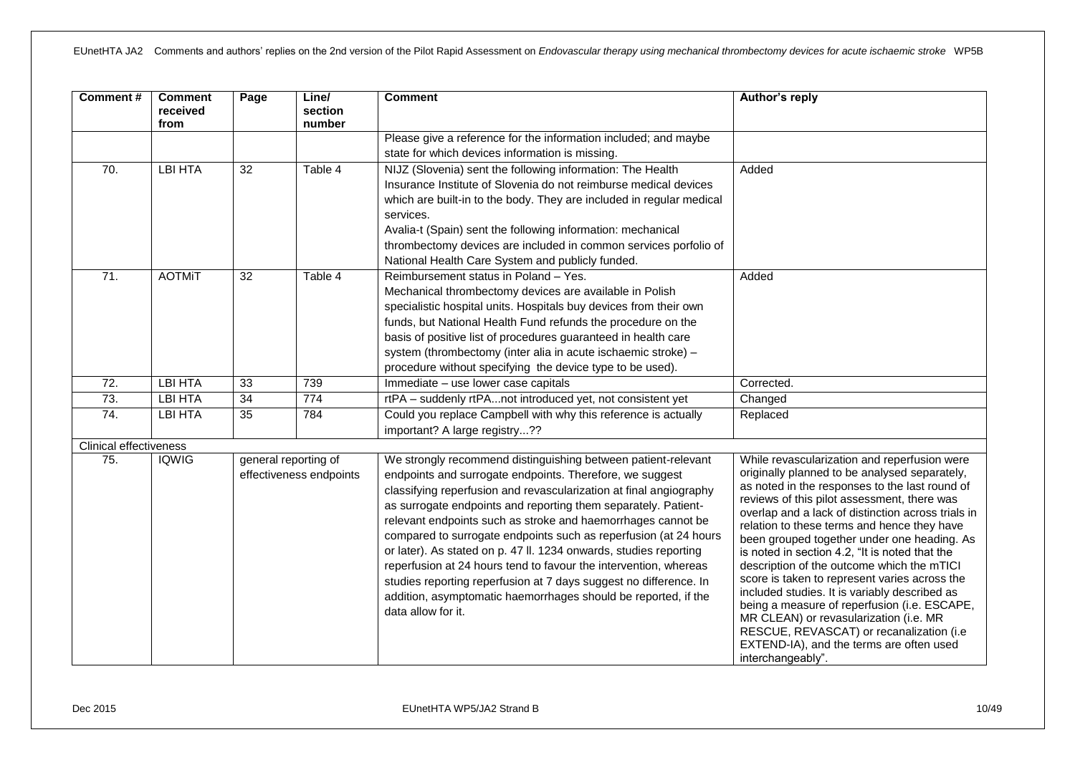| <b>Comment#</b>        | <b>Comment</b><br>received<br>from | Page            | Line/<br>section<br>number                      | <b>Comment</b>                                                                                                                                                                                                                                                                                                                                                                                                                                                                                                                                                                                                                                                                                              | Author's reply                                                                                                                                                                                                                                                                                                                                                                                                                                                                                                                                                                                                                                                                                                                                              |
|------------------------|------------------------------------|-----------------|-------------------------------------------------|-------------------------------------------------------------------------------------------------------------------------------------------------------------------------------------------------------------------------------------------------------------------------------------------------------------------------------------------------------------------------------------------------------------------------------------------------------------------------------------------------------------------------------------------------------------------------------------------------------------------------------------------------------------------------------------------------------------|-------------------------------------------------------------------------------------------------------------------------------------------------------------------------------------------------------------------------------------------------------------------------------------------------------------------------------------------------------------------------------------------------------------------------------------------------------------------------------------------------------------------------------------------------------------------------------------------------------------------------------------------------------------------------------------------------------------------------------------------------------------|
|                        |                                    |                 |                                                 | Please give a reference for the information included; and maybe<br>state for which devices information is missing.                                                                                                                                                                                                                                                                                                                                                                                                                                                                                                                                                                                          |                                                                                                                                                                                                                                                                                                                                                                                                                                                                                                                                                                                                                                                                                                                                                             |
| 70.                    | <b>LBI HTA</b>                     | 32              | Table 4                                         | NIJZ (Slovenia) sent the following information: The Health<br>Insurance Institute of Slovenia do not reimburse medical devices<br>which are built-in to the body. They are included in regular medical<br>services.<br>Avalia-t (Spain) sent the following information: mechanical<br>thrombectomy devices are included in common services porfolio of<br>National Health Care System and publicly funded.                                                                                                                                                                                                                                                                                                  | Added                                                                                                                                                                                                                                                                                                                                                                                                                                                                                                                                                                                                                                                                                                                                                       |
| 71.                    | <b>AOTMIT</b>                      | 32              | Table 4                                         | Reimbursement status in Poland - Yes.<br>Mechanical thrombectomy devices are available in Polish<br>specialistic hospital units. Hospitals buy devices from their own<br>funds, but National Health Fund refunds the procedure on the<br>basis of positive list of procedures guaranteed in health care<br>system (thrombectomy (inter alia in acute ischaemic stroke) -<br>procedure without specifying the device type to be used).                                                                                                                                                                                                                                                                       | Added                                                                                                                                                                                                                                                                                                                                                                                                                                                                                                                                                                                                                                                                                                                                                       |
| 72.                    | <b>LBI HTA</b>                     | 33              | 739                                             | Immediate - use lower case capitals                                                                                                                                                                                                                                                                                                                                                                                                                                                                                                                                                                                                                                                                         | Corrected.                                                                                                                                                                                                                                                                                                                                                                                                                                                                                                                                                                                                                                                                                                                                                  |
| 73.                    | <b>LBI HTA</b>                     | $\overline{34}$ | 774                                             | rtPA - suddenly rtPAnot introduced yet, not consistent yet                                                                                                                                                                                                                                                                                                                                                                                                                                                                                                                                                                                                                                                  | Changed                                                                                                                                                                                                                                                                                                                                                                                                                                                                                                                                                                                                                                                                                                                                                     |
| 74.                    | <b>LBI HTA</b>                     | $\overline{35}$ | 784                                             | Could you replace Campbell with why this reference is actually<br>important? A large registry??                                                                                                                                                                                                                                                                                                                                                                                                                                                                                                                                                                                                             | Replaced                                                                                                                                                                                                                                                                                                                                                                                                                                                                                                                                                                                                                                                                                                                                                    |
| Clinical effectiveness |                                    |                 |                                                 |                                                                                                                                                                                                                                                                                                                                                                                                                                                                                                                                                                                                                                                                                                             |                                                                                                                                                                                                                                                                                                                                                                                                                                                                                                                                                                                                                                                                                                                                                             |
| 75.                    | <b>IQWIG</b>                       |                 | general reporting of<br>effectiveness endpoints | We strongly recommend distinguishing between patient-relevant<br>endpoints and surrogate endpoints. Therefore, we suggest<br>classifying reperfusion and revascularization at final angiography<br>as surrogate endpoints and reporting them separately. Patient-<br>relevant endpoints such as stroke and haemorrhages cannot be<br>compared to surrogate endpoints such as reperfusion (at 24 hours<br>or later). As stated on p. 47 ll. 1234 onwards, studies reporting<br>reperfusion at 24 hours tend to favour the intervention, whereas<br>studies reporting reperfusion at 7 days suggest no difference. In<br>addition, asymptomatic haemorrhages should be reported, if the<br>data allow for it. | While revascularization and reperfusion were<br>originally planned to be analysed separately,<br>as noted in the responses to the last round of<br>reviews of this pilot assessment, there was<br>overlap and a lack of distinction across trials in<br>relation to these terms and hence they have<br>been grouped together under one heading. As<br>is noted in section 4.2, "It is noted that the<br>description of the outcome which the mTICI<br>score is taken to represent varies across the<br>included studies. It is variably described as<br>being a measure of reperfusion (i.e. ESCAPE,<br>MR CLEAN) or revasularization (i.e. MR<br>RESCUE, REVASCAT) or recanalization (i.e<br>EXTEND-IA), and the terms are often used<br>interchangeably". |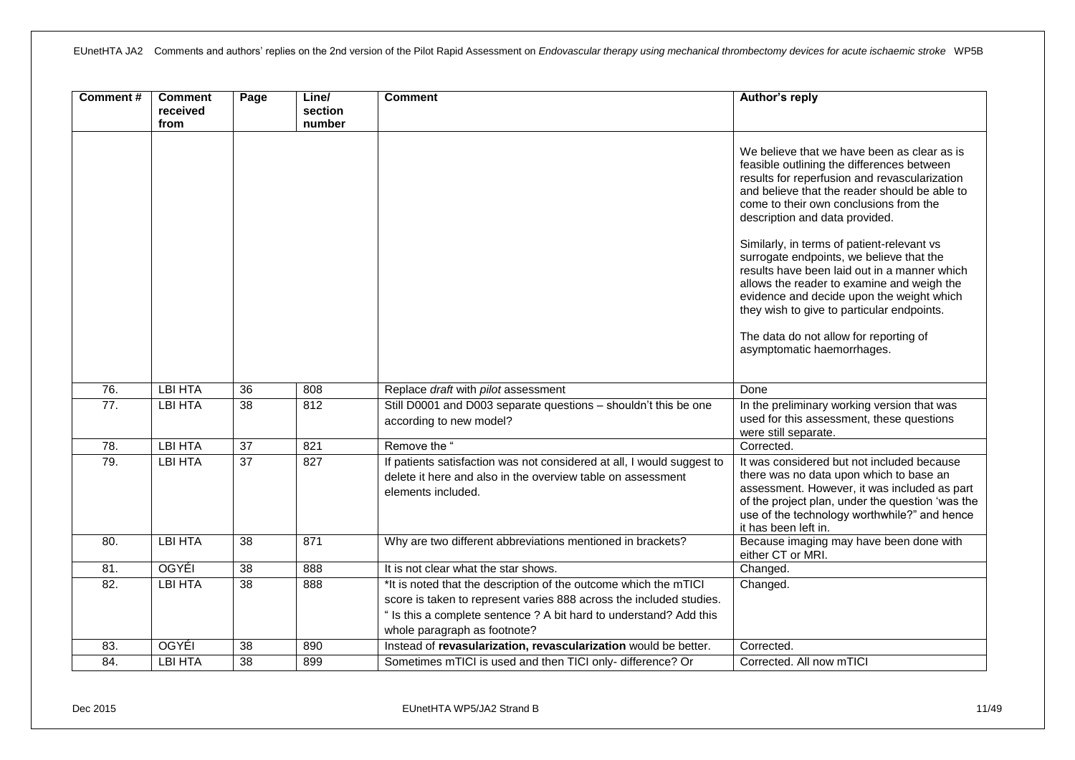| Comment#          | <b>Comment</b><br>received<br>from | Page            | Line/<br>section<br>number | <b>Comment</b>                                                                                                                                                                                                                                | Author's reply                                                                                                                                                                                                                                                                                                        |
|-------------------|------------------------------------|-----------------|----------------------------|-----------------------------------------------------------------------------------------------------------------------------------------------------------------------------------------------------------------------------------------------|-----------------------------------------------------------------------------------------------------------------------------------------------------------------------------------------------------------------------------------------------------------------------------------------------------------------------|
|                   |                                    |                 |                            |                                                                                                                                                                                                                                               | We believe that we have been as clear as is<br>feasible outlining the differences between<br>results for reperfusion and revascularization<br>and believe that the reader should be able to<br>come to their own conclusions from the<br>description and data provided.<br>Similarly, in terms of patient-relevant vs |
|                   |                                    |                 |                            |                                                                                                                                                                                                                                               | surrogate endpoints, we believe that the<br>results have been laid out in a manner which<br>allows the reader to examine and weigh the<br>evidence and decide upon the weight which<br>they wish to give to particular endpoints.                                                                                     |
|                   |                                    |                 |                            |                                                                                                                                                                                                                                               | The data do not allow for reporting of<br>asymptomatic haemorrhages.                                                                                                                                                                                                                                                  |
| 76.               | <b>LBI HTA</b>                     | $\overline{36}$ | 808                        | Replace draft with pilot assessment                                                                                                                                                                                                           | Done                                                                                                                                                                                                                                                                                                                  |
| $\overline{77}$ . | <b>LBI HTA</b>                     | $\overline{38}$ | 812                        | Still D0001 and D003 separate questions - shouldn't this be one<br>according to new model?                                                                                                                                                    | In the preliminary working version that was<br>used for this assessment, these questions<br>were still separate.                                                                                                                                                                                                      |
| 78.               | <b>LBI HTA</b>                     | $\overline{37}$ | 821                        | Remove the "                                                                                                                                                                                                                                  | Corrected.                                                                                                                                                                                                                                                                                                            |
| 79.               | <b>LBI HTA</b>                     | $\overline{37}$ | 827                        | If patients satisfaction was not considered at all, I would suggest to<br>delete it here and also in the overview table on assessment<br>elements included.                                                                                   | It was considered but not included because<br>there was no data upon which to base an<br>assessment. However, it was included as part<br>of the project plan, under the question 'was the<br>use of the technology worthwhile?" and hence<br>it has been left in.                                                     |
| 80.               | <b>LBI HTA</b>                     | 38              | 871                        | Why are two different abbreviations mentioned in brackets?                                                                                                                                                                                    | Because imaging may have been done with<br>either CT or MRI.                                                                                                                                                                                                                                                          |
| 81.               | <b>OGYÉI</b>                       | $\overline{38}$ | 888                        | It is not clear what the star shows.                                                                                                                                                                                                          | Changed.                                                                                                                                                                                                                                                                                                              |
| 82.               | <b>LBI HTA</b>                     | 38              | 888                        | *It is noted that the description of the outcome which the mTICI<br>score is taken to represent varies 888 across the included studies.<br>" Is this a complete sentence ? A bit hard to understand? Add this<br>whole paragraph as footnote? | Changed.                                                                                                                                                                                                                                                                                                              |
| 83.               | OGYÉI                              | $\overline{38}$ | 890                        | Instead of revasularization, revascularization would be better.                                                                                                                                                                               | Corrected.                                                                                                                                                                                                                                                                                                            |
| 84.               | <b>LBI HTA</b>                     | 38              | 899                        | Sometimes mTICI is used and then TICI only- difference? Or                                                                                                                                                                                    | Corrected. All now mTICI                                                                                                                                                                                                                                                                                              |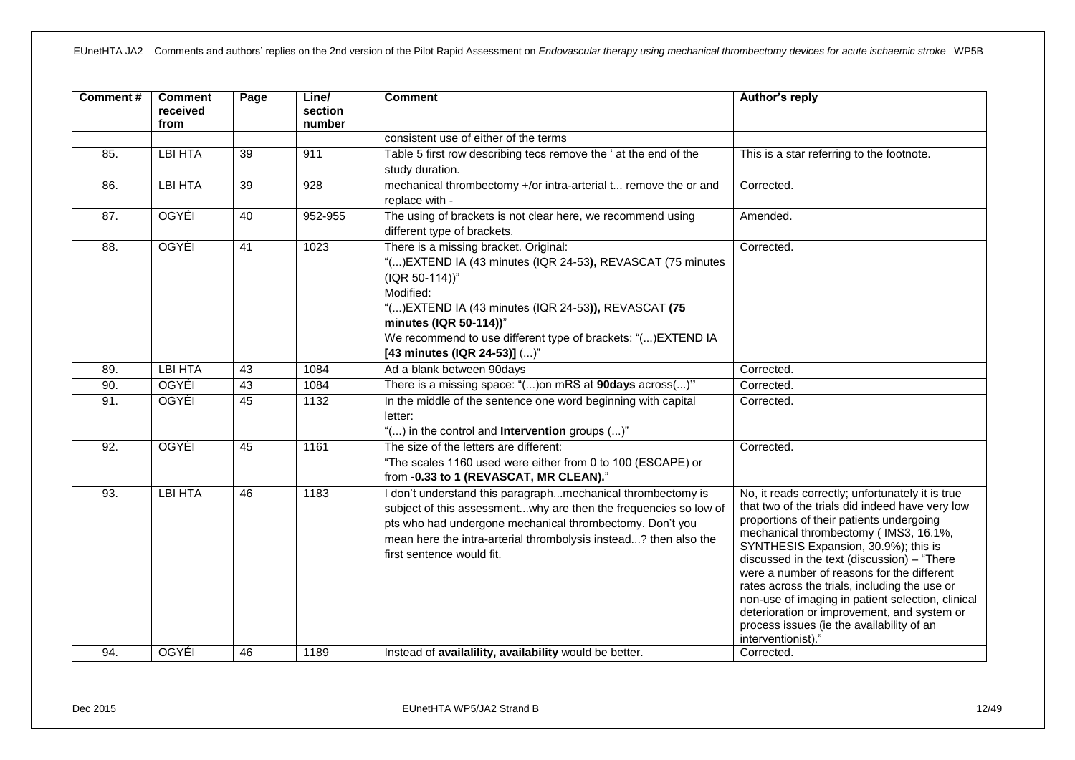| Comment# | <b>Comment</b><br>received<br>from | Page            | Line/<br>section<br>number | <b>Comment</b>                                                                                                                                                                                                                                                                                                         | Author's reply                                                                                                                                                                                                                                                                                                                                                                                                                                                                                                                                        |
|----------|------------------------------------|-----------------|----------------------------|------------------------------------------------------------------------------------------------------------------------------------------------------------------------------------------------------------------------------------------------------------------------------------------------------------------------|-------------------------------------------------------------------------------------------------------------------------------------------------------------------------------------------------------------------------------------------------------------------------------------------------------------------------------------------------------------------------------------------------------------------------------------------------------------------------------------------------------------------------------------------------------|
|          |                                    |                 |                            | consistent use of either of the terms                                                                                                                                                                                                                                                                                  |                                                                                                                                                                                                                                                                                                                                                                                                                                                                                                                                                       |
| 85.      | <b>LBI HTA</b>                     | $\overline{39}$ | 911                        | Table 5 first row describing tecs remove the ' at the end of the                                                                                                                                                                                                                                                       | This is a star referring to the footnote.                                                                                                                                                                                                                                                                                                                                                                                                                                                                                                             |
|          |                                    |                 |                            | study duration.                                                                                                                                                                                                                                                                                                        |                                                                                                                                                                                                                                                                                                                                                                                                                                                                                                                                                       |
| 86.      | <b>LBI HTA</b>                     | $\overline{39}$ | $\overline{928}$           | mechanical thrombectomy +/or intra-arterial t remove the or and<br>replace with -                                                                                                                                                                                                                                      | Corrected.                                                                                                                                                                                                                                                                                                                                                                                                                                                                                                                                            |
| 87.      | OGYÉI                              | 40              | 952-955                    | The using of brackets is not clear here, we recommend using<br>different type of brackets.                                                                                                                                                                                                                             | Amended.                                                                                                                                                                                                                                                                                                                                                                                                                                                                                                                                              |
| 88.      | OGYÉI                              | $\overline{41}$ | 1023                       | There is a missing bracket. Original:<br>"() EXTEND IA (43 minutes (IQR 24-53), REVASCAT (75 minutes<br>(IQR 50-114))"<br>Modified:<br>"() EXTEND IA (43 minutes (IQR 24-53)), REVASCAT (75<br>minutes (IQR 50-114))"<br>We recommend to use different type of brackets: "() EXTEND IA<br>[43 minutes (IQR 24-53)] ()" | Corrected.                                                                                                                                                                                                                                                                                                                                                                                                                                                                                                                                            |
| 89.      | <b>LBI HTA</b>                     | 43              | 1084                       | Ad a blank between 90days                                                                                                                                                                                                                                                                                              | Corrected.                                                                                                                                                                                                                                                                                                                                                                                                                                                                                                                                            |
| 90.      | <b>OGYÉI</b>                       | 43              | 1084                       | There is a missing space: "() on mRS at 90days across()"                                                                                                                                                                                                                                                               | Corrected.                                                                                                                                                                                                                                                                                                                                                                                                                                                                                                                                            |
| 91.      | <b>OGYÉI</b>                       | 45              | 1132                       | In the middle of the sentence one word beginning with capital<br>letter:<br>"() in the control and <b>Intervention</b> groups ()"                                                                                                                                                                                      | Corrected.                                                                                                                                                                                                                                                                                                                                                                                                                                                                                                                                            |
| 92.      | OGYÉI                              | 45              | 1161                       | The size of the letters are different:<br>"The scales 1160 used were either from 0 to 100 (ESCAPE) or<br>from -0.33 to 1 (REVASCAT, MR CLEAN)."                                                                                                                                                                        | Corrected.                                                                                                                                                                                                                                                                                                                                                                                                                                                                                                                                            |
| 93.      | <b>LBI HTA</b>                     | 46              | 1183                       | I don't understand this paragraphmechanical thrombectomy is<br>subject of this assessmentwhy are then the frequencies so low of<br>pts who had undergone mechanical thrombectomy. Don't you<br>mean here the intra-arterial thrombolysis instead? then also the<br>first sentence would fit.                           | No, it reads correctly; unfortunately it is true<br>that two of the trials did indeed have very low<br>proportions of their patients undergoing<br>mechanical thrombectomy (IMS3, 16.1%,<br>SYNTHESIS Expansion, 30.9%); this is<br>discussed in the text (discussion) - "There<br>were a number of reasons for the different<br>rates across the trials, including the use or<br>non-use of imaging in patient selection, clinical<br>deterioration or improvement, and system or<br>process issues (ie the availability of an<br>interventionist).' |
| 94.      | <b>OGYÉI</b>                       | 46              | 1189                       | Instead of availalility, availability would be better.                                                                                                                                                                                                                                                                 | Corrected.                                                                                                                                                                                                                                                                                                                                                                                                                                                                                                                                            |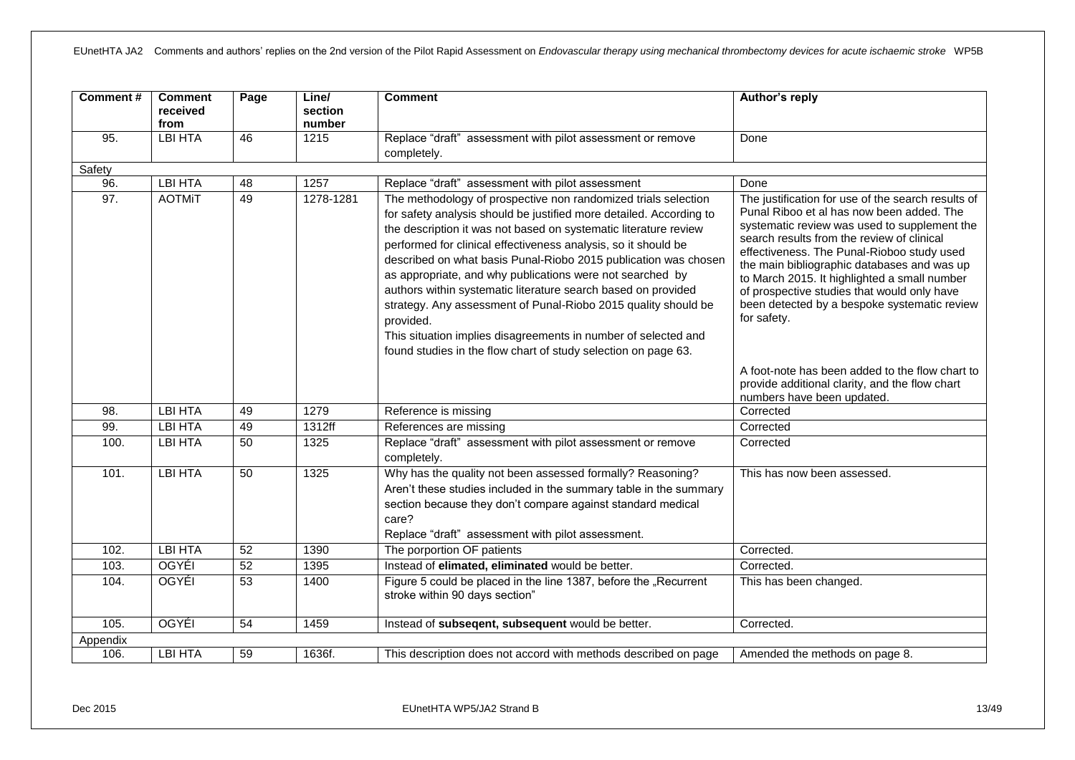| Comment# | <b>Comment</b><br>received<br>from | Page            | Line/<br>section<br>number | <b>Comment</b>                                                                                                                                                                                                                                                                                                                                                                                                                                                                                                                                                                                                                                                                                  | Author's reply                                                                                                                                                                                                                                                                                                                                                                                                                                           |
|----------|------------------------------------|-----------------|----------------------------|-------------------------------------------------------------------------------------------------------------------------------------------------------------------------------------------------------------------------------------------------------------------------------------------------------------------------------------------------------------------------------------------------------------------------------------------------------------------------------------------------------------------------------------------------------------------------------------------------------------------------------------------------------------------------------------------------|----------------------------------------------------------------------------------------------------------------------------------------------------------------------------------------------------------------------------------------------------------------------------------------------------------------------------------------------------------------------------------------------------------------------------------------------------------|
| 95.      | <b>LBI HTA</b>                     | 46              | 1215                       | Replace "draft" assessment with pilot assessment or remove<br>completely.                                                                                                                                                                                                                                                                                                                                                                                                                                                                                                                                                                                                                       | Done                                                                                                                                                                                                                                                                                                                                                                                                                                                     |
| Safety   |                                    |                 |                            |                                                                                                                                                                                                                                                                                                                                                                                                                                                                                                                                                                                                                                                                                                 |                                                                                                                                                                                                                                                                                                                                                                                                                                                          |
| 96.      | <b>LBI HTA</b>                     | 48              | 1257                       | Replace "draft" assessment with pilot assessment                                                                                                                                                                                                                                                                                                                                                                                                                                                                                                                                                                                                                                                | Done                                                                                                                                                                                                                                                                                                                                                                                                                                                     |
| 97.      | <b>AOTMIT</b>                      | 49              | $1278 - 1281$              | The methodology of prospective non randomized trials selection<br>for safety analysis should be justified more detailed. According to<br>the description it was not based on systematic literature review<br>performed for clinical effectiveness analysis, so it should be<br>described on what basis Punal-Riobo 2015 publication was chosen<br>as appropriate, and why publications were not searched by<br>authors within systematic literature search based on provided<br>strategy. Any assessment of Punal-Riobo 2015 quality should be<br>provided.<br>This situation implies disagreements in number of selected and<br>found studies in the flow chart of study selection on page 63. | The justification for use of the search results of<br>Punal Riboo et al has now been added. The<br>systematic review was used to supplement the<br>search results from the review of clinical<br>effectiveness. The Punal-Rioboo study used<br>the main bibliographic databases and was up<br>to March 2015. It highlighted a small number<br>of prospective studies that would only have<br>been detected by a bespoke systematic review<br>for safety. |
|          |                                    |                 |                            |                                                                                                                                                                                                                                                                                                                                                                                                                                                                                                                                                                                                                                                                                                 | A foot-note has been added to the flow chart to<br>provide additional clarity, and the flow chart<br>numbers have been updated.                                                                                                                                                                                                                                                                                                                          |
| 98.      | <b>LBI HTA</b>                     | 49              | 1279                       | Reference is missing                                                                                                                                                                                                                                                                                                                                                                                                                                                                                                                                                                                                                                                                            | Corrected                                                                                                                                                                                                                                                                                                                                                                                                                                                |
| 99.      | <b>LBI HTA</b>                     | 49              | 1312ff                     | References are missing                                                                                                                                                                                                                                                                                                                                                                                                                                                                                                                                                                                                                                                                          | Corrected                                                                                                                                                                                                                                                                                                                                                                                                                                                |
| 100.     | <b>LBI HTA</b>                     | 50              | 1325                       | Replace "draft" assessment with pilot assessment or remove<br>completely.                                                                                                                                                                                                                                                                                                                                                                                                                                                                                                                                                                                                                       | Corrected                                                                                                                                                                                                                                                                                                                                                                                                                                                |
| 101.     | <b>LBI HTA</b>                     | 50              | 1325                       | Why has the quality not been assessed formally? Reasoning?<br>Aren't these studies included in the summary table in the summary<br>section because they don't compare against standard medical<br>care?<br>Replace "draft" assessment with pilot assessment.                                                                                                                                                                                                                                                                                                                                                                                                                                    | This has now been assessed.                                                                                                                                                                                                                                                                                                                                                                                                                              |
| 102.     | <b>LBI HTA</b>                     | 52              | 1390                       | The porportion OF patients                                                                                                                                                                                                                                                                                                                                                                                                                                                                                                                                                                                                                                                                      | Corrected.                                                                                                                                                                                                                                                                                                                                                                                                                                               |
| 103.     | <b>OGYÉI</b>                       | 52              | 1395                       | Instead of elimated, eliminated would be better.                                                                                                                                                                                                                                                                                                                                                                                                                                                                                                                                                                                                                                                | Corrected.                                                                                                                                                                                                                                                                                                                                                                                                                                               |
| 104.     | <b>OGYÉI</b>                       | 53              | 1400                       | Figure 5 could be placed in the line 1387, before the "Recurrent<br>stroke within 90 days section"                                                                                                                                                                                                                                                                                                                                                                                                                                                                                                                                                                                              | This has been changed.                                                                                                                                                                                                                                                                                                                                                                                                                                   |
| 105.     | OGYÉI                              | $\overline{54}$ | 1459                       | Instead of subsequent, subsequent would be better.                                                                                                                                                                                                                                                                                                                                                                                                                                                                                                                                                                                                                                              | Corrected.                                                                                                                                                                                                                                                                                                                                                                                                                                               |
| Appendix |                                    |                 |                            |                                                                                                                                                                                                                                                                                                                                                                                                                                                                                                                                                                                                                                                                                                 |                                                                                                                                                                                                                                                                                                                                                                                                                                                          |
| 106.     | <b>LBI HTA</b>                     | 59              | 1636f.                     | This description does not accord with methods described on page                                                                                                                                                                                                                                                                                                                                                                                                                                                                                                                                                                                                                                 | Amended the methods on page 8.                                                                                                                                                                                                                                                                                                                                                                                                                           |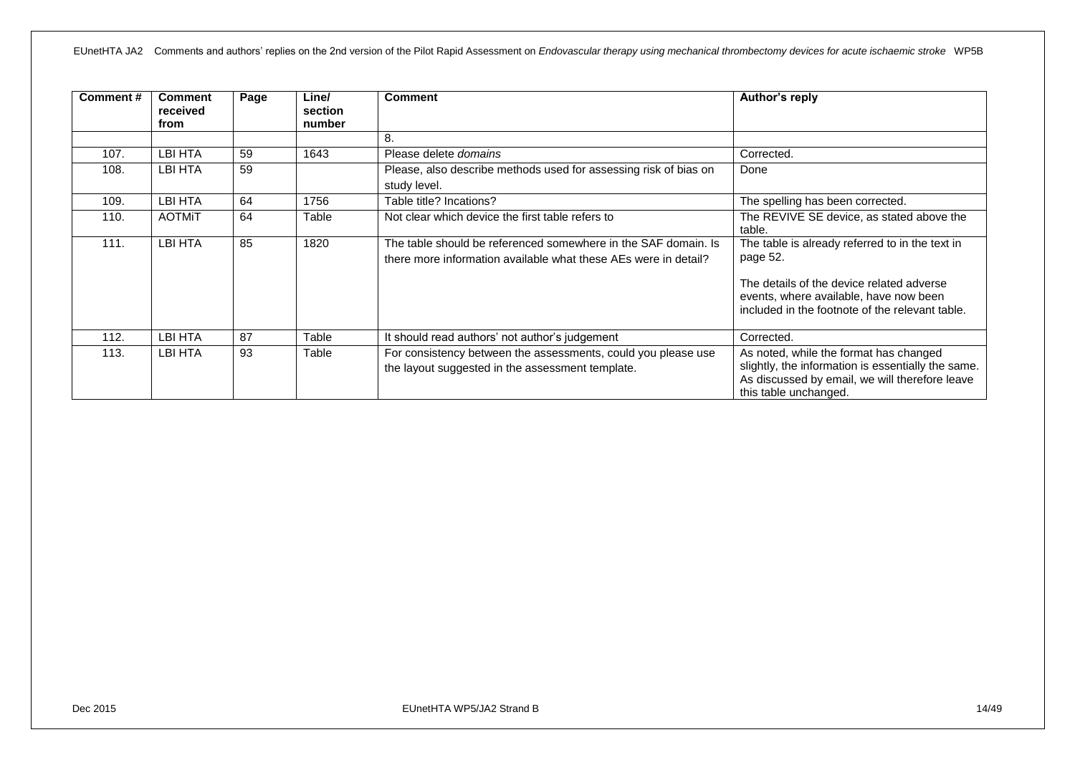| Comment# | <b>Comment</b><br>received<br>from | Page | Line/<br>section<br>number | <b>Comment</b>                                                                                                                    | Author's reply                                                                                                                                                                                        |
|----------|------------------------------------|------|----------------------------|-----------------------------------------------------------------------------------------------------------------------------------|-------------------------------------------------------------------------------------------------------------------------------------------------------------------------------------------------------|
|          |                                    |      |                            | 8.                                                                                                                                |                                                                                                                                                                                                       |
| 107.     | LBI HTA                            | 59   | 1643                       | Please delete <i>domains</i>                                                                                                      | Corrected.                                                                                                                                                                                            |
| 108.     | LBI HTA                            | 59   |                            | Please, also describe methods used for assessing risk of bias on<br>study level.                                                  | Done                                                                                                                                                                                                  |
| 109.     | LBI HTA                            | 64   | 1756                       | Table title? Incations?                                                                                                           | The spelling has been corrected.                                                                                                                                                                      |
| 110.     | <b>AOTMIT</b>                      | 64   | Table                      | Not clear which device the first table refers to                                                                                  | The REVIVE SE device, as stated above the<br>table.                                                                                                                                                   |
| 111.     | LBI HTA                            | 85   | 1820                       | The table should be referenced somewhere in the SAF domain. Is<br>there more information available what these AEs were in detail? | The table is already referred to in the text in<br>page 52.<br>The details of the device related adverse<br>events, where available, have now been<br>included in the footnote of the relevant table. |
| 112.     | LBI HTA                            | 87   | Table                      | It should read authors' not author's judgement                                                                                    | Corrected.                                                                                                                                                                                            |
| 113.     | LBI HTA                            | 93   | Table                      | For consistency between the assessments, could you please use<br>the layout suggested in the assessment template.                 | As noted, while the format has changed<br>slightly, the information is essentially the same.<br>As discussed by email, we will therefore leave<br>this table unchanged.                               |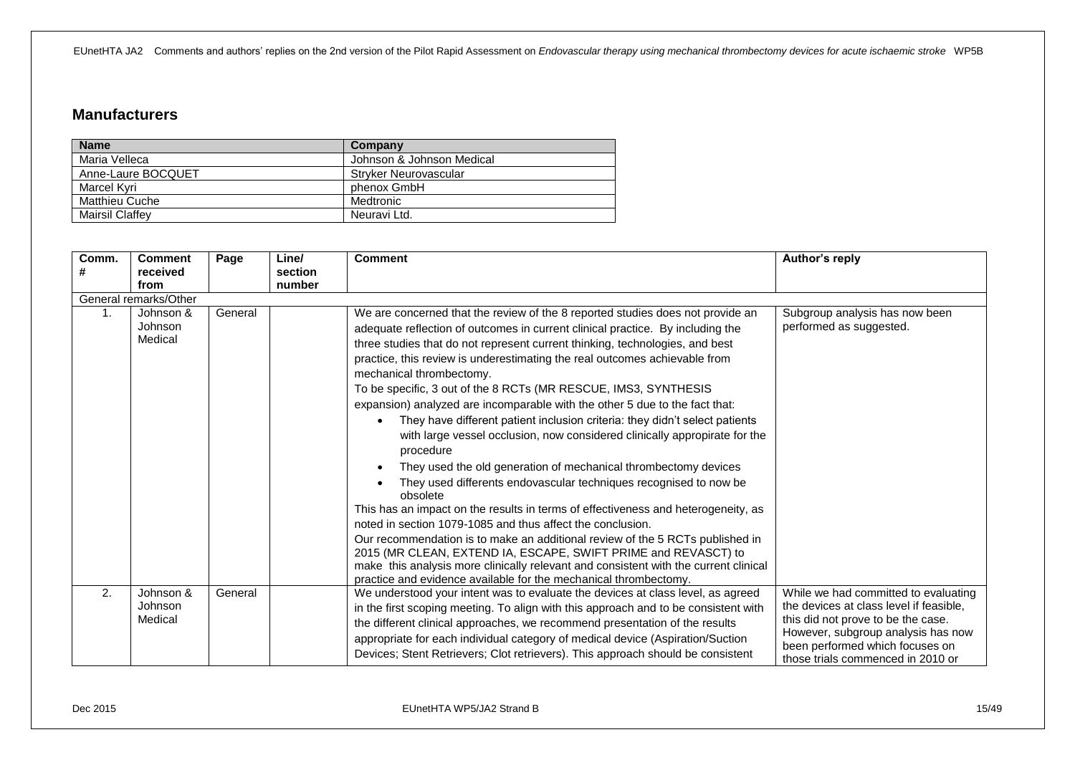#### <span id="page-14-0"></span>**Manufacturers**

| <b>Name</b>            | Company                   |
|------------------------|---------------------------|
| Maria Velleca          | Johnson & Johnson Medical |
| Anne-Laure BOCQUET     | Stryker Neurovascular     |
| Marcel Kvri            | phenox GmbH               |
| Matthieu Cuche         | Medtronic                 |
| <b>Mairsil Claffev</b> | Neuravi Ltd.              |

| Comm. | <b>Comment</b>                  | Page    | Line/             | <b>Comment</b>                                                                                                                                                                                                                                                                                                                                                                                                                                                                                                                                                                                                                                                                                                                                                                                                                                                                                                                                                                                                                                                                                                                                                                                                                                                                                               | Author's reply                                                                  |
|-------|---------------------------------|---------|-------------------|--------------------------------------------------------------------------------------------------------------------------------------------------------------------------------------------------------------------------------------------------------------------------------------------------------------------------------------------------------------------------------------------------------------------------------------------------------------------------------------------------------------------------------------------------------------------------------------------------------------------------------------------------------------------------------------------------------------------------------------------------------------------------------------------------------------------------------------------------------------------------------------------------------------------------------------------------------------------------------------------------------------------------------------------------------------------------------------------------------------------------------------------------------------------------------------------------------------------------------------------------------------------------------------------------------------|---------------------------------------------------------------------------------|
| #     | received<br>from                |         | section<br>number |                                                                                                                                                                                                                                                                                                                                                                                                                                                                                                                                                                                                                                                                                                                                                                                                                                                                                                                                                                                                                                                                                                                                                                                                                                                                                                              |                                                                                 |
|       | General remarks/Other           |         |                   |                                                                                                                                                                                                                                                                                                                                                                                                                                                                                                                                                                                                                                                                                                                                                                                                                                                                                                                                                                                                                                                                                                                                                                                                                                                                                                              |                                                                                 |
| 1.    | Johnson &<br>Johnson<br>Medical | General |                   | We are concerned that the review of the 8 reported studies does not provide an<br>adequate reflection of outcomes in current clinical practice. By including the<br>three studies that do not represent current thinking, technologies, and best<br>practice, this review is underestimating the real outcomes achievable from<br>mechanical thrombectomy.<br>To be specific, 3 out of the 8 RCTs (MR RESCUE, IMS3, SYNTHESIS<br>expansion) analyzed are incomparable with the other 5 due to the fact that:<br>They have different patient inclusion criteria: they didn't select patients<br>with large vessel occlusion, now considered clinically appropirate for the<br>procedure<br>They used the old generation of mechanical thrombectomy devices<br>They used differents endovascular techniques recognised to now be<br>obsolete<br>This has an impact on the results in terms of effectiveness and heterogeneity, as<br>noted in section 1079-1085 and thus affect the conclusion.<br>Our recommendation is to make an additional review of the 5 RCTs published in<br>2015 (MR CLEAN, EXTEND IA, ESCAPE, SWIFT PRIME and REVASCT) to<br>make this analysis more clinically relevant and consistent with the current clinical<br>practice and evidence available for the mechanical thrombectomy. | Subgroup analysis has now been<br>performed as suggested.                       |
| 2.    | Johnson &<br>Johnson            | General |                   | We understood your intent was to evaluate the devices at class level, as agreed<br>in the first scoping meeting. To align with this approach and to be consistent with                                                                                                                                                                                                                                                                                                                                                                                                                                                                                                                                                                                                                                                                                                                                                                                                                                                                                                                                                                                                                                                                                                                                       | While we had committed to evaluating<br>the devices at class level if feasible, |
|       | Medical                         |         |                   | the different clinical approaches, we recommend presentation of the results                                                                                                                                                                                                                                                                                                                                                                                                                                                                                                                                                                                                                                                                                                                                                                                                                                                                                                                                                                                                                                                                                                                                                                                                                                  | this did not prove to be the case.<br>However, subgroup analysis has now        |
|       |                                 |         |                   | appropriate for each individual category of medical device (Aspiration/Suction<br>Devices; Stent Retrievers; Clot retrievers). This approach should be consistent                                                                                                                                                                                                                                                                                                                                                                                                                                                                                                                                                                                                                                                                                                                                                                                                                                                                                                                                                                                                                                                                                                                                            | been performed which focuses on<br>those trials commenced in 2010 or            |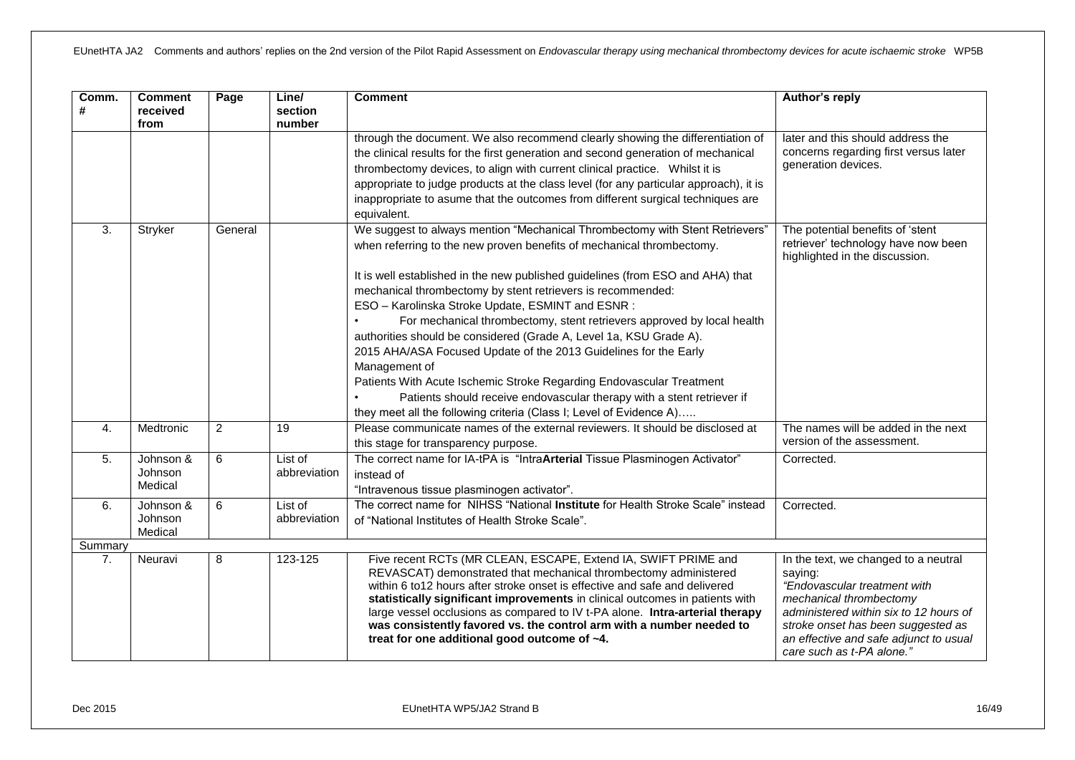| Comm.<br># | <b>Comment</b><br>received<br>from | Page    | Line/<br>section<br>number | <b>Comment</b>                                                                                                                                                                                                                                                                                                                                                                                                                                                                                                                                                                                                                                                   | Author's reply                                                                                                                                                                                                                                                    |
|------------|------------------------------------|---------|----------------------------|------------------------------------------------------------------------------------------------------------------------------------------------------------------------------------------------------------------------------------------------------------------------------------------------------------------------------------------------------------------------------------------------------------------------------------------------------------------------------------------------------------------------------------------------------------------------------------------------------------------------------------------------------------------|-------------------------------------------------------------------------------------------------------------------------------------------------------------------------------------------------------------------------------------------------------------------|
|            |                                    |         |                            | through the document. We also recommend clearly showing the differentiation of<br>the clinical results for the first generation and second generation of mechanical<br>thrombectomy devices, to align with current clinical practice. Whilst it is<br>appropriate to judge products at the class level (for any particular approach), it is<br>inappropriate to asume that the outcomes from different surgical techniques are<br>equivalent.                                                                                                                                                                                                                    | later and this should address the<br>concerns regarding first versus later<br>generation devices.                                                                                                                                                                 |
| 3.         | Stryker                            | General |                            | We suggest to always mention "Mechanical Thrombectomy with Stent Retrievers"<br>when referring to the new proven benefits of mechanical thrombectomy.                                                                                                                                                                                                                                                                                                                                                                                                                                                                                                            | The potential benefits of 'stent<br>retriever' technology have now been<br>highlighted in the discussion.                                                                                                                                                         |
|            |                                    |         |                            | It is well established in the new published guidelines (from ESO and AHA) that<br>mechanical thrombectomy by stent retrievers is recommended:<br>ESO - Karolinska Stroke Update, ESMINT and ESNR :<br>For mechanical thrombectomy, stent retrievers approved by local health<br>authorities should be considered (Grade A, Level 1a, KSU Grade A).<br>2015 AHA/ASA Focused Update of the 2013 Guidelines for the Early<br>Management of<br>Patients With Acute Ischemic Stroke Regarding Endovascular Treatment<br>Patients should receive endovascular therapy with a stent retriever if<br>they meet all the following criteria (Class I; Level of Evidence A) |                                                                                                                                                                                                                                                                   |
| 4.         | Medtronic                          | 2       | 19                         | Please communicate names of the external reviewers. It should be disclosed at<br>this stage for transparency purpose.                                                                                                                                                                                                                                                                                                                                                                                                                                                                                                                                            | The names will be added in the next<br>version of the assessment.                                                                                                                                                                                                 |
| 5.         | Johnson &<br>Johnson<br>Medical    | 6       | List of<br>abbreviation    | The correct name for IA-tPA is "IntraArterial Tissue Plasminogen Activator"<br>instead of<br>"Intravenous tissue plasminogen activator".                                                                                                                                                                                                                                                                                                                                                                                                                                                                                                                         | Corrected.                                                                                                                                                                                                                                                        |
| 6.         | Johnson &<br>Johnson<br>Medical    | 6       | List of<br>abbreviation    | The correct name for NIHSS "National Institute for Health Stroke Scale" instead<br>of "National Institutes of Health Stroke Scale".                                                                                                                                                                                                                                                                                                                                                                                                                                                                                                                              | Corrected.                                                                                                                                                                                                                                                        |
| Summary    |                                    |         |                            |                                                                                                                                                                                                                                                                                                                                                                                                                                                                                                                                                                                                                                                                  |                                                                                                                                                                                                                                                                   |
| 7.         | Neuravi                            | 8       | 123-125                    | Five recent RCTs (MR CLEAN, ESCAPE, Extend IA, SWIFT PRIME and<br>REVASCAT) demonstrated that mechanical thrombectomy administered<br>within 6 to12 hours after stroke onset is effective and safe and delivered<br>statistically significant improvements in clinical outcomes in patients with<br>large vessel occlusions as compared to IV t-PA alone. Intra-arterial therapy<br>was consistently favored vs. the control arm with a number needed to<br>treat for one additional good outcome of ~4.                                                                                                                                                         | In the text, we changed to a neutral<br>saying:<br>"Endovascular treatment with<br>mechanical thrombectomy<br>administered within six to 12 hours of<br>stroke onset has been suggested as<br>an effective and safe adjunct to usual<br>care such as t-PA alone." |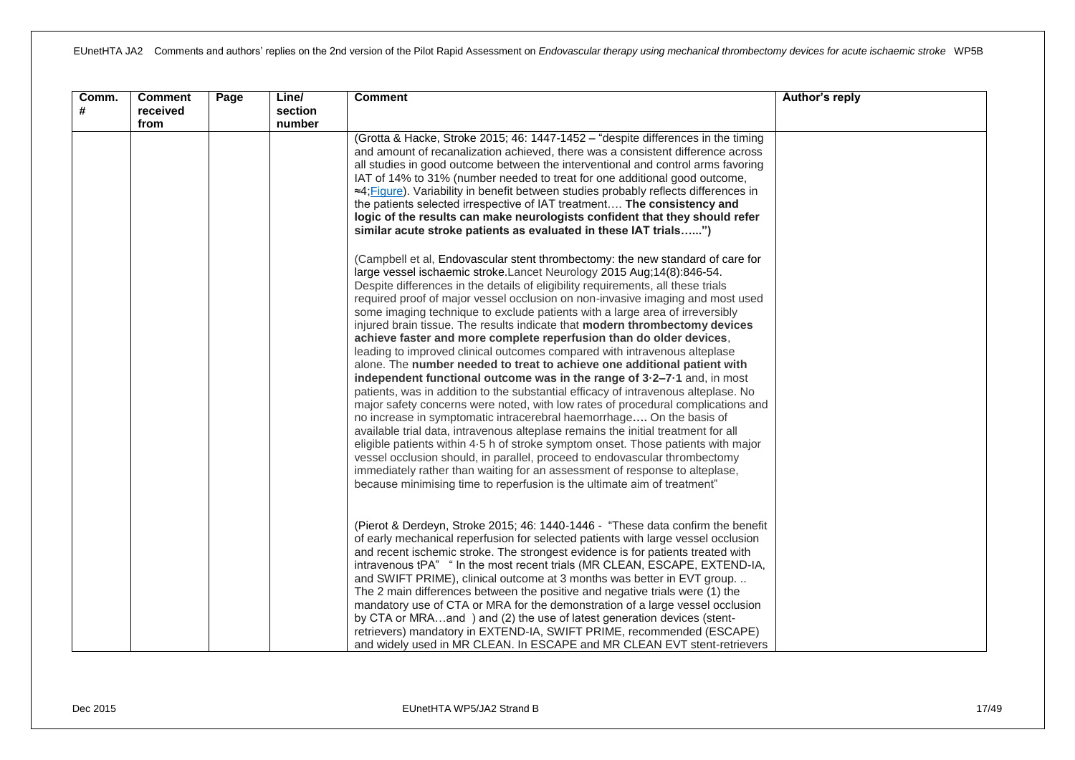| Comm.<br># | <b>Comment</b><br>received<br>from | Page | Line/<br>section<br>number | <b>Comment</b>                                                                                                                                                                                                                                                                                                                                                                                                                                                                                                                                                                                                                                                                                                                                                                                                                                                                                                                                                                                                                                                                                                                                                                                                                                                                                                                                                                                                                                                                 | Author's reply |
|------------|------------------------------------|------|----------------------------|--------------------------------------------------------------------------------------------------------------------------------------------------------------------------------------------------------------------------------------------------------------------------------------------------------------------------------------------------------------------------------------------------------------------------------------------------------------------------------------------------------------------------------------------------------------------------------------------------------------------------------------------------------------------------------------------------------------------------------------------------------------------------------------------------------------------------------------------------------------------------------------------------------------------------------------------------------------------------------------------------------------------------------------------------------------------------------------------------------------------------------------------------------------------------------------------------------------------------------------------------------------------------------------------------------------------------------------------------------------------------------------------------------------------------------------------------------------------------------|----------------|
|            |                                    |      |                            | (Grotta & Hacke, Stroke 2015; 46: 1447-1452 - "despite differences in the timing<br>and amount of recanalization achieved, there was a consistent difference across<br>all studies in good outcome between the interventional and control arms favoring<br>IAT of 14% to 31% (number needed to treat for one additional good outcome,<br>≈4; Figure). Variability in benefit between studies probably reflects differences in<br>the patients selected irrespective of IAT treatment The consistency and<br>logic of the results can make neurologists confident that they should refer<br>similar acute stroke patients as evaluated in these IAT trials")                                                                                                                                                                                                                                                                                                                                                                                                                                                                                                                                                                                                                                                                                                                                                                                                                    |                |
|            |                                    |      |                            | (Campbell et al, Endovascular stent thrombectomy: the new standard of care for<br>large vessel ischaemic stroke. Lancet Neurology 2015 Aug; 14(8):846-54.<br>Despite differences in the details of eligibility requirements, all these trials<br>required proof of major vessel occlusion on non-invasive imaging and most used<br>some imaging technique to exclude patients with a large area of irreversibly<br>injured brain tissue. The results indicate that modern thrombectomy devices<br>achieve faster and more complete reperfusion than do older devices,<br>leading to improved clinical outcomes compared with intravenous alteplase<br>alone. The number needed to treat to achieve one additional patient with<br>independent functional outcome was in the range of 3-2-7-1 and, in most<br>patients, was in addition to the substantial efficacy of intravenous alteplase. No<br>major safety concerns were noted, with low rates of procedural complications and<br>no increase in symptomatic intracerebral haemorrhage On the basis of<br>available trial data, intravenous alteplase remains the initial treatment for all<br>eligible patients within 4.5 h of stroke symptom onset. Those patients with major<br>vessel occlusion should, in parallel, proceed to endovascular thrombectomy<br>immediately rather than waiting for an assessment of response to alteplase,<br>because minimising time to reperfusion is the ultimate aim of treatment" |                |
|            |                                    |      |                            | (Pierot & Derdeyn, Stroke 2015; 46: 1440-1446 - "These data confirm the benefit<br>of early mechanical reperfusion for selected patients with large vessel occlusion<br>and recent ischemic stroke. The strongest evidence is for patients treated with<br>intravenous tPA" " In the most recent trials (MR CLEAN, ESCAPE, EXTEND-IA,<br>and SWIFT PRIME), clinical outcome at 3 months was better in EVT group.<br>The 2 main differences between the positive and negative trials were (1) the<br>mandatory use of CTA or MRA for the demonstration of a large vessel occlusion<br>by CTA or MRAand ) and (2) the use of latest generation devices (stent-<br>retrievers) mandatory in EXTEND-IA, SWIFT PRIME, recommended (ESCAPE)<br>and widely used in MR CLEAN. In ESCAPE and MR CLEAN EVT stent-retrievers                                                                                                                                                                                                                                                                                                                                                                                                                                                                                                                                                                                                                                                              |                |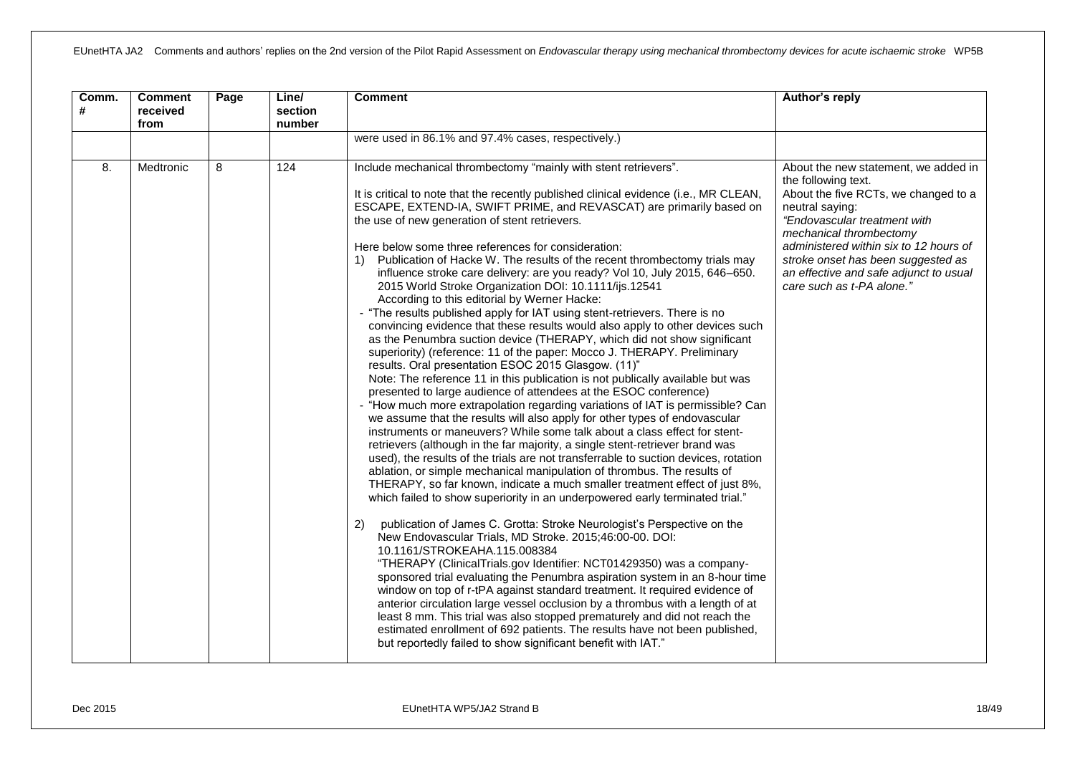| Comm.<br># | <b>Comment</b><br>received<br>from | Page | Line/<br>section<br>number | <b>Comment</b>                                                                                                                                                                                                                                                                                                                                                                                                                                                                                                                                                                                                                                                                                                                                                                                                                                                                                                                                                                                                                                                                                                                                                                                                                                                                                                                                                                                                                                                                                                                                                                                                                                                                                                                                                                                                                                                                                                                                                                                                                                                                                                                                                                                                                                                                                                                                                                                                                                                                                                                                 | Author's reply                                                                                                                                                                                                                                                                                                                           |
|------------|------------------------------------|------|----------------------------|------------------------------------------------------------------------------------------------------------------------------------------------------------------------------------------------------------------------------------------------------------------------------------------------------------------------------------------------------------------------------------------------------------------------------------------------------------------------------------------------------------------------------------------------------------------------------------------------------------------------------------------------------------------------------------------------------------------------------------------------------------------------------------------------------------------------------------------------------------------------------------------------------------------------------------------------------------------------------------------------------------------------------------------------------------------------------------------------------------------------------------------------------------------------------------------------------------------------------------------------------------------------------------------------------------------------------------------------------------------------------------------------------------------------------------------------------------------------------------------------------------------------------------------------------------------------------------------------------------------------------------------------------------------------------------------------------------------------------------------------------------------------------------------------------------------------------------------------------------------------------------------------------------------------------------------------------------------------------------------------------------------------------------------------------------------------------------------------------------------------------------------------------------------------------------------------------------------------------------------------------------------------------------------------------------------------------------------------------------------------------------------------------------------------------------------------------------------------------------------------------------------------------------------------|------------------------------------------------------------------------------------------------------------------------------------------------------------------------------------------------------------------------------------------------------------------------------------------------------------------------------------------|
|            |                                    |      |                            | were used in 86.1% and 97.4% cases, respectively.)                                                                                                                                                                                                                                                                                                                                                                                                                                                                                                                                                                                                                                                                                                                                                                                                                                                                                                                                                                                                                                                                                                                                                                                                                                                                                                                                                                                                                                                                                                                                                                                                                                                                                                                                                                                                                                                                                                                                                                                                                                                                                                                                                                                                                                                                                                                                                                                                                                                                                             |                                                                                                                                                                                                                                                                                                                                          |
| 8.         | Medtronic                          | 8    | 124                        | Include mechanical thrombectomy "mainly with stent retrievers".<br>It is critical to note that the recently published clinical evidence (i.e., MR CLEAN,<br>ESCAPE, EXTEND-IA, SWIFT PRIME, and REVASCAT) are primarily based on<br>the use of new generation of stent retrievers.<br>Here below some three references for consideration:<br>Publication of Hacke W. The results of the recent thrombectomy trials may<br>1)<br>influence stroke care delivery: are you ready? Vol 10, July 2015, 646-650.<br>2015 World Stroke Organization DOI: 10.1111/ijs.12541<br>According to this editorial by Werner Hacke:<br>- "The results published apply for IAT using stent-retrievers. There is no<br>convincing evidence that these results would also apply to other devices such<br>as the Penumbra suction device (THERAPY, which did not show significant<br>superiority) (reference: 11 of the paper: Mocco J. THERAPY. Preliminary<br>results. Oral presentation ESOC 2015 Glasgow. (11)"<br>Note: The reference 11 in this publication is not publically available but was<br>presented to large audience of attendees at the ESOC conference)<br>"How much more extrapolation regarding variations of IAT is permissible? Can<br>we assume that the results will also apply for other types of endovascular<br>instruments or maneuvers? While some talk about a class effect for stent-<br>retrievers (although in the far majority, a single stent-retriever brand was<br>used), the results of the trials are not transferrable to suction devices, rotation<br>ablation, or simple mechanical manipulation of thrombus. The results of<br>THERAPY, so far known, indicate a much smaller treatment effect of just 8%,<br>which failed to show superiority in an underpowered early terminated trial."<br>publication of James C. Grotta: Stroke Neurologist's Perspective on the<br>2)<br>New Endovascular Trials, MD Stroke. 2015;46:00-00. DOI:<br>10.1161/STROKEAHA.115.008384<br>"THERAPY (ClinicalTrials.gov Identifier: NCT01429350) was a company-<br>sponsored trial evaluating the Penumbra aspiration system in an 8-hour time<br>window on top of r-tPA against standard treatment. It required evidence of<br>anterior circulation large vessel occlusion by a thrombus with a length of at<br>least 8 mm. This trial was also stopped prematurely and did not reach the<br>estimated enrollment of 692 patients. The results have not been published,<br>but reportedly failed to show significant benefit with IAT." | About the new statement, we added in<br>the following text.<br>About the five RCTs, we changed to a<br>neutral saying:<br>"Endovascular treatment with<br>mechanical thrombectomy<br>administered within six to 12 hours of<br>stroke onset has been suggested as<br>an effective and safe adjunct to usual<br>care such as t-PA alone." |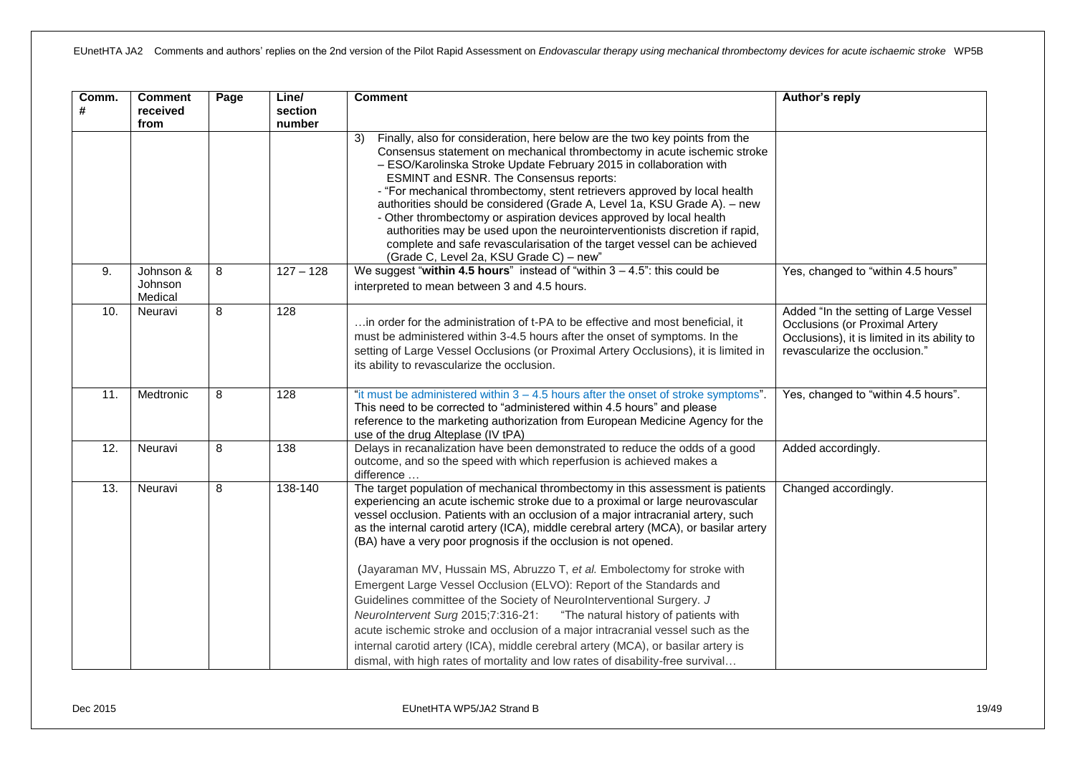| Comm.<br># | <b>Comment</b><br>received<br>from | Page | Line/<br>section<br>number | <b>Comment</b>                                                                                                                                                                                                                                                                                                                                                                                                                                                                                                                                                                                                                                                                                                                                                                                                                                                                                                                                                                         | Author's reply                                                                                                                                           |
|------------|------------------------------------|------|----------------------------|----------------------------------------------------------------------------------------------------------------------------------------------------------------------------------------------------------------------------------------------------------------------------------------------------------------------------------------------------------------------------------------------------------------------------------------------------------------------------------------------------------------------------------------------------------------------------------------------------------------------------------------------------------------------------------------------------------------------------------------------------------------------------------------------------------------------------------------------------------------------------------------------------------------------------------------------------------------------------------------|----------------------------------------------------------------------------------------------------------------------------------------------------------|
|            |                                    |      |                            | Finally, also for consideration, here below are the two key points from the<br>3)<br>Consensus statement on mechanical thrombectomy in acute ischemic stroke<br>- ESO/Karolinska Stroke Update February 2015 in collaboration with<br><b>ESMINT and ESNR. The Consensus reports:</b><br>- "For mechanical thrombectomy, stent retrievers approved by local health<br>authorities should be considered (Grade A, Level 1a, KSU Grade A). - new<br>- Other thrombectomy or aspiration devices approved by local health<br>authorities may be used upon the neurointerventionists discretion if rapid,<br>complete and safe revascularisation of the target vessel can be achieved<br>(Grade C, Level 2a, KSU Grade C) - new"                                                                                                                                                                                                                                                             |                                                                                                                                                          |
| 9.         | Johnson &<br>Johnson<br>Medical    | 8    | $127 - 128$                | We suggest "within 4.5 hours" instead of "within $3 - 4.5$ ": this could be<br>interpreted to mean between 3 and 4.5 hours.                                                                                                                                                                                                                                                                                                                                                                                                                                                                                                                                                                                                                                                                                                                                                                                                                                                            | Yes, changed to "within 4.5 hours"                                                                                                                       |
| 10.        | Neuravi                            | 8    | 128                        | in order for the administration of t-PA to be effective and most beneficial, it<br>must be administered within 3-4.5 hours after the onset of symptoms. In the<br>setting of Large Vessel Occlusions (or Proximal Artery Occlusions), it is limited in<br>its ability to revascularize the occlusion.                                                                                                                                                                                                                                                                                                                                                                                                                                                                                                                                                                                                                                                                                  | Added "In the setting of Large Vessel<br>Occlusions (or Proximal Artery<br>Occlusions), it is limited in its ability to<br>revascularize the occlusion." |
| 11.        | Medtronic                          | 8    | 128                        | "it must be administered within 3 - 4.5 hours after the onset of stroke symptoms".<br>This need to be corrected to "administered within 4.5 hours" and please<br>reference to the marketing authorization from European Medicine Agency for the<br>use of the drug Alteplase (IV tPA)                                                                                                                                                                                                                                                                                                                                                                                                                                                                                                                                                                                                                                                                                                  | Yes, changed to "within 4.5 hours".                                                                                                                      |
| 12.        | Neuravi                            | 8    | 138                        | Delays in recanalization have been demonstrated to reduce the odds of a good<br>outcome, and so the speed with which reperfusion is achieved makes a<br>difference                                                                                                                                                                                                                                                                                                                                                                                                                                                                                                                                                                                                                                                                                                                                                                                                                     | Added accordingly.                                                                                                                                       |
| 13.        | Neuravi                            | 8    | 138-140                    | The target population of mechanical thrombectomy in this assessment is patients<br>experiencing an acute ischemic stroke due to a proximal or large neurovascular<br>vessel occlusion. Patients with an occlusion of a major intracranial artery, such<br>as the internal carotid artery (ICA), middle cerebral artery (MCA), or basilar artery<br>(BA) have a very poor prognosis if the occlusion is not opened.<br>(Jayaraman MV, Hussain MS, Abruzzo T, et al. Embolectomy for stroke with<br>Emergent Large Vessel Occlusion (ELVO): Report of the Standards and<br>Guidelines committee of the Society of NeuroInterventional Surgery. J<br>NeuroIntervent Surg 2015;7:316-21:<br>"The natural history of patients with<br>acute ischemic stroke and occlusion of a major intracranial vessel such as the<br>internal carotid artery (ICA), middle cerebral artery (MCA), or basilar artery is<br>dismal, with high rates of mortality and low rates of disability-free survival | Changed accordingly.                                                                                                                                     |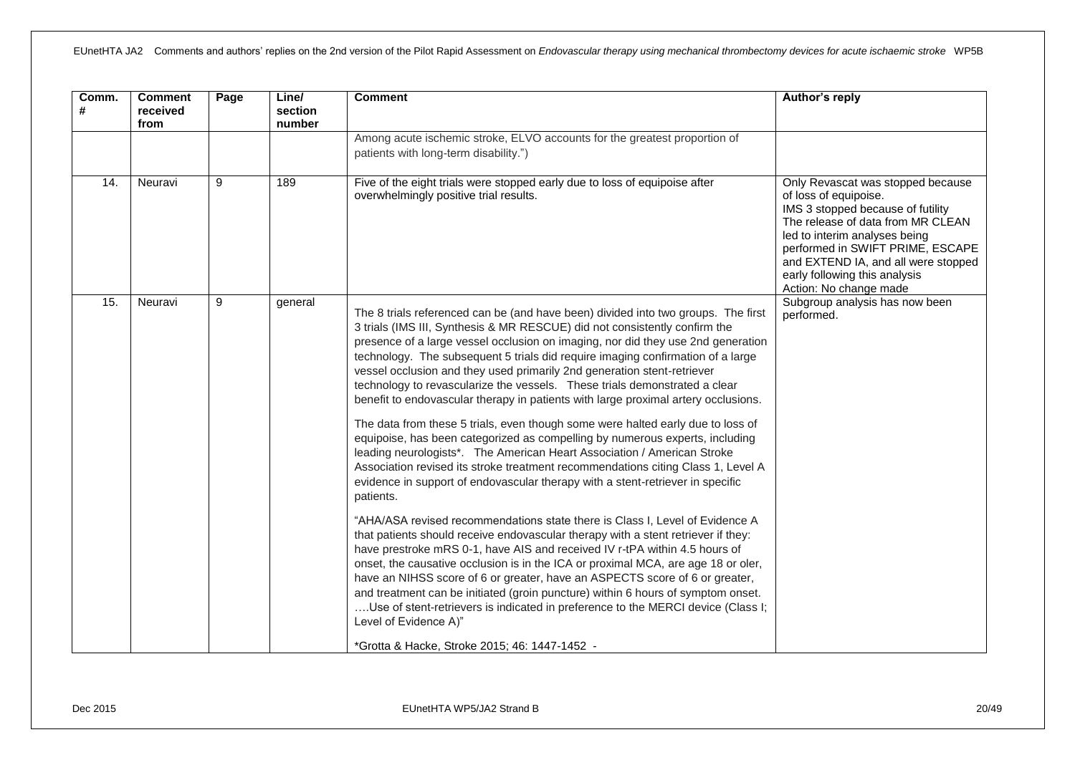| Comm.<br># | <b>Comment</b><br>received<br>from | Page | Line/<br>section<br>number | <b>Comment</b>                                                                                                                                                                                                                                                                                                                                                                                                                                                                                                                                                                                                                                                                                                                                                                                                                                                                                                                                                                                                                                                                                                                                                                                                                                                                                                                                                                                                                                                                                                                                                                                                                                 | Author's reply                                                                                                                                                                                                                                                                                              |
|------------|------------------------------------|------|----------------------------|------------------------------------------------------------------------------------------------------------------------------------------------------------------------------------------------------------------------------------------------------------------------------------------------------------------------------------------------------------------------------------------------------------------------------------------------------------------------------------------------------------------------------------------------------------------------------------------------------------------------------------------------------------------------------------------------------------------------------------------------------------------------------------------------------------------------------------------------------------------------------------------------------------------------------------------------------------------------------------------------------------------------------------------------------------------------------------------------------------------------------------------------------------------------------------------------------------------------------------------------------------------------------------------------------------------------------------------------------------------------------------------------------------------------------------------------------------------------------------------------------------------------------------------------------------------------------------------------------------------------------------------------|-------------------------------------------------------------------------------------------------------------------------------------------------------------------------------------------------------------------------------------------------------------------------------------------------------------|
|            |                                    |      |                            | Among acute ischemic stroke, ELVO accounts for the greatest proportion of<br>patients with long-term disability.")                                                                                                                                                                                                                                                                                                                                                                                                                                                                                                                                                                                                                                                                                                                                                                                                                                                                                                                                                                                                                                                                                                                                                                                                                                                                                                                                                                                                                                                                                                                             |                                                                                                                                                                                                                                                                                                             |
| 14.        | Neuravi                            | 9    | 189                        | Five of the eight trials were stopped early due to loss of equipoise after<br>overwhelmingly positive trial results.                                                                                                                                                                                                                                                                                                                                                                                                                                                                                                                                                                                                                                                                                                                                                                                                                                                                                                                                                                                                                                                                                                                                                                                                                                                                                                                                                                                                                                                                                                                           | Only Revascat was stopped because<br>of loss of equipoise.<br>IMS 3 stopped because of futility<br>The release of data from MR CLEAN<br>led to interim analyses being<br>performed in SWIFT PRIME, ESCAPE<br>and EXTEND IA, and all were stopped<br>early following this analysis<br>Action: No change made |
| 15.        | Neuravi                            | 9    | general                    | The 8 trials referenced can be (and have been) divided into two groups. The first<br>3 trials (IMS III, Synthesis & MR RESCUE) did not consistently confirm the<br>presence of a large vessel occlusion on imaging, nor did they use 2nd generation<br>technology. The subsequent 5 trials did require imaging confirmation of a large<br>vessel occlusion and they used primarily 2nd generation stent-retriever<br>technology to revascularize the vessels. These trials demonstrated a clear<br>benefit to endovascular therapy in patients with large proximal artery occlusions.<br>The data from these 5 trials, even though some were halted early due to loss of<br>equipoise, has been categorized as compelling by numerous experts, including<br>leading neurologists*. The American Heart Association / American Stroke<br>Association revised its stroke treatment recommendations citing Class 1, Level A<br>evidence in support of endovascular therapy with a stent-retriever in specific<br>patients.<br>"AHA/ASA revised recommendations state there is Class I, Level of Evidence A<br>that patients should receive endovascular therapy with a stent retriever if they:<br>have prestroke mRS 0-1, have AIS and received IV r-tPA within 4.5 hours of<br>onset, the causative occlusion is in the ICA or proximal MCA, are age 18 or oler,<br>have an NIHSS score of 6 or greater, have an ASPECTS score of 6 or greater,<br>and treatment can be initiated (groin puncture) within 6 hours of symptom onset.<br>Use of stent-retrievers is indicated in preference to the MERCI device (Class I;<br>Level of Evidence A)" | Subgroup analysis has now been<br>performed.                                                                                                                                                                                                                                                                |
|            |                                    |      |                            | *Grotta & Hacke, Stroke 2015; 46: 1447-1452 -                                                                                                                                                                                                                                                                                                                                                                                                                                                                                                                                                                                                                                                                                                                                                                                                                                                                                                                                                                                                                                                                                                                                                                                                                                                                                                                                                                                                                                                                                                                                                                                                  |                                                                                                                                                                                                                                                                                                             |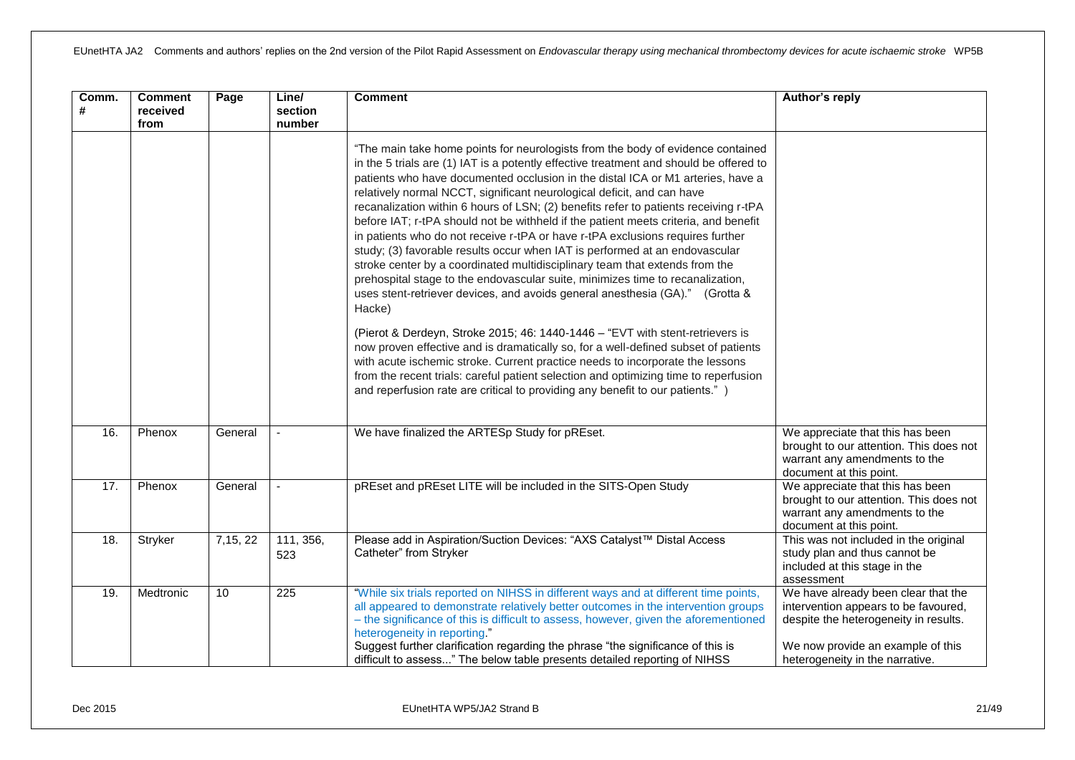| Comm.<br># | <b>Comment</b><br>received<br>from | Page    | Line/<br>section<br>number | <b>Comment</b>                                                                                                                                                                                                                                                                                                                                                                                                                                                                                                                                                                                                                                                                                                                                                                                                                                                                                                                                    | Author's reply                                                                                                                                                                               |
|------------|------------------------------------|---------|----------------------------|---------------------------------------------------------------------------------------------------------------------------------------------------------------------------------------------------------------------------------------------------------------------------------------------------------------------------------------------------------------------------------------------------------------------------------------------------------------------------------------------------------------------------------------------------------------------------------------------------------------------------------------------------------------------------------------------------------------------------------------------------------------------------------------------------------------------------------------------------------------------------------------------------------------------------------------------------|----------------------------------------------------------------------------------------------------------------------------------------------------------------------------------------------|
|            |                                    |         |                            | "The main take home points for neurologists from the body of evidence contained<br>in the 5 trials are (1) IAT is a potently effective treatment and should be offered to<br>patients who have documented occlusion in the distal ICA or M1 arteries, have a<br>relatively normal NCCT, significant neurological deficit, and can have<br>recanalization within 6 hours of LSN; (2) benefits refer to patients receiving r-tPA<br>before IAT; r-tPA should not be withheld if the patient meets criteria, and benefit<br>in patients who do not receive r-tPA or have r-tPA exclusions requires further<br>study; (3) favorable results occur when IAT is performed at an endovascular<br>stroke center by a coordinated multidisciplinary team that extends from the<br>prehospital stage to the endovascular suite, minimizes time to recanalization,<br>uses stent-retriever devices, and avoids general anesthesia (GA)." (Grotta &<br>Hacke) |                                                                                                                                                                                              |
|            |                                    |         |                            | (Pierot & Derdeyn, Stroke 2015; 46: 1440-1446 - "EVT with stent-retrievers is<br>now proven effective and is dramatically so, for a well-defined subset of patients<br>with acute ischemic stroke. Current practice needs to incorporate the lessons<br>from the recent trials: careful patient selection and optimizing time to reperfusion<br>and reperfusion rate are critical to providing any benefit to our patients.")                                                                                                                                                                                                                                                                                                                                                                                                                                                                                                                     |                                                                                                                                                                                              |
| 16.        | Phenox                             | General | $\blacksquare$             | We have finalized the ARTESp Study for pREset.                                                                                                                                                                                                                                                                                                                                                                                                                                                                                                                                                                                                                                                                                                                                                                                                                                                                                                    | We appreciate that this has been<br>brought to our attention. This does not<br>warrant any amendments to the<br>document at this point.                                                      |
| 17.        | Phenox                             | General |                            | pREset and pREset LITE will be included in the SITS-Open Study                                                                                                                                                                                                                                                                                                                                                                                                                                                                                                                                                                                                                                                                                                                                                                                                                                                                                    | We appreciate that this has been<br>brought to our attention. This does not<br>warrant any amendments to the<br>document at this point.                                                      |
| 18.        | Stryker                            | 7,15,22 | 111, 356,<br>523           | Please add in Aspiration/Suction Devices: "AXS Catalyst™ Distal Access<br>Catheter" from Stryker                                                                                                                                                                                                                                                                                                                                                                                                                                                                                                                                                                                                                                                                                                                                                                                                                                                  | This was not included in the original<br>study plan and thus cannot be<br>included at this stage in the<br>assessment                                                                        |
| 19.        | Medtronic                          | 10      | 225                        | "While six trials reported on NIHSS in different ways and at different time points,<br>all appeared to demonstrate relatively better outcomes in the intervention groups<br>- the significance of this is difficult to assess, however, given the aforementioned<br>heterogeneity in reporting."<br>Suggest further clarification regarding the phrase "the significance of this is<br>difficult to assess" The below table presents detailed reporting of NIHSS                                                                                                                                                                                                                                                                                                                                                                                                                                                                                  | We have already been clear that the<br>intervention appears to be favoured,<br>despite the heterogeneity in results.<br>We now provide an example of this<br>heterogeneity in the narrative. |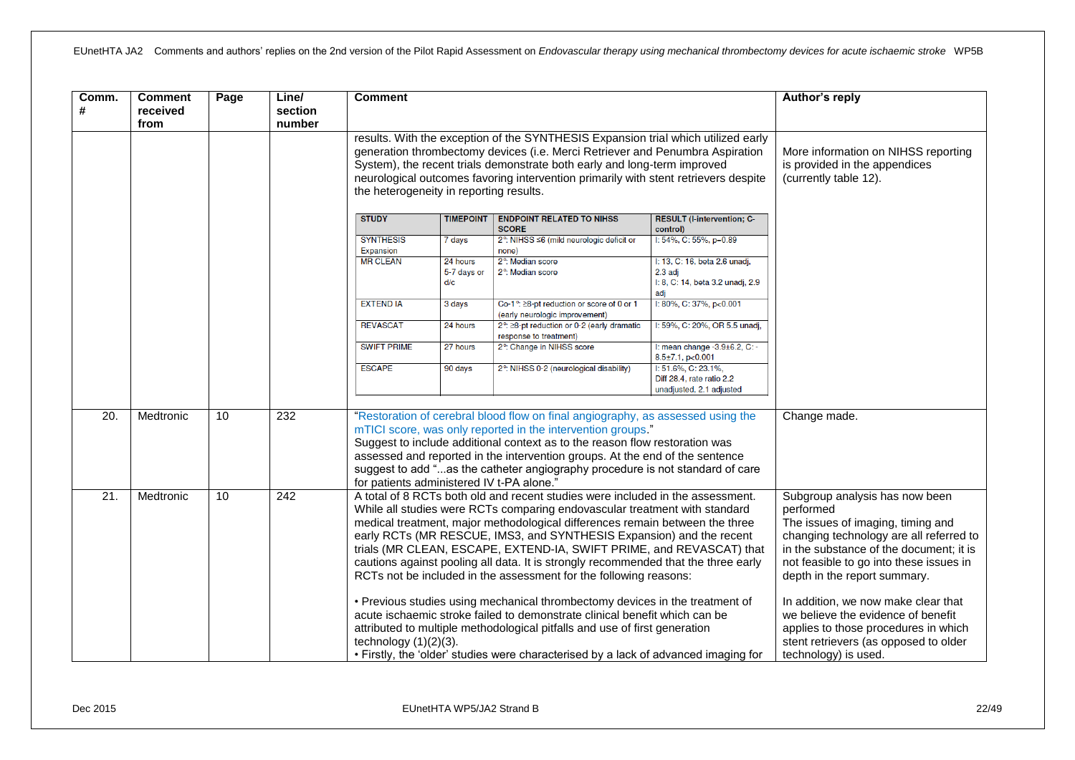| Comm.<br>#        | <b>Comment</b><br>received<br>from | Page | Line/<br>section<br>number | <b>Comment</b>                                                                                                                                                                                                                                                                                                                                                                                                                                                                                                                                                                                                                                                                                                                                                                                                                                                                                                         |                                |                                                                                                                                                                                                                                                                                                                                                                                                                                         |                                                                                     | Author's reply |
|-------------------|------------------------------------|------|----------------------------|------------------------------------------------------------------------------------------------------------------------------------------------------------------------------------------------------------------------------------------------------------------------------------------------------------------------------------------------------------------------------------------------------------------------------------------------------------------------------------------------------------------------------------------------------------------------------------------------------------------------------------------------------------------------------------------------------------------------------------------------------------------------------------------------------------------------------------------------------------------------------------------------------------------------|--------------------------------|-----------------------------------------------------------------------------------------------------------------------------------------------------------------------------------------------------------------------------------------------------------------------------------------------------------------------------------------------------------------------------------------------------------------------------------------|-------------------------------------------------------------------------------------|----------------|
|                   |                                    |      |                            | results. With the exception of the SYNTHESIS Expansion trial which utilized early<br>generation thrombectomy devices (i.e. Merci Retriever and Penumbra Aspiration<br>System), the recent trials demonstrate both early and long-term improved<br>neurological outcomes favoring intervention primarily with stent retrievers despite<br>the heterogeneity in reporting results.                                                                                                                                                                                                                                                                                                                                                                                                                                                                                                                                       |                                | More information on NIHSS reporting<br>is provided in the appendices<br>(currently table 12).                                                                                                                                                                                                                                                                                                                                           |                                                                                     |                |
|                   |                                    |      |                            | <b>STUDY</b>                                                                                                                                                                                                                                                                                                                                                                                                                                                                                                                                                                                                                                                                                                                                                                                                                                                                                                           | <b>TIMEPOINT</b>               | <b>ENDPOINT RELATED TO NIHSS</b><br><b>SCORE</b>                                                                                                                                                                                                                                                                                                                                                                                        | <b>RESULT (I-intervention; C-</b><br>control)                                       |                |
|                   |                                    |      |                            | <b>SYNTHESIS</b><br>Expansion                                                                                                                                                                                                                                                                                                                                                                                                                                                                                                                                                                                                                                                                                                                                                                                                                                                                                          | 7 days                         | 2°: NIHSS ≤6 (mild neurologic deficit or<br>none)                                                                                                                                                                                                                                                                                                                                                                                       | I: 54%, C: 55%, $p=0.89$                                                            |                |
|                   |                                    |      |                            | <b>MR CLEAN</b>                                                                                                                                                                                                                                                                                                                                                                                                                                                                                                                                                                                                                                                                                                                                                                                                                                                                                                        | 24 hours<br>5-7 days or<br>d/c | 2 <sup>o</sup> : Median score<br>2 <sup>°</sup> : Median score                                                                                                                                                                                                                                                                                                                                                                          | I: 13, C: 16, beta 2.6 unadj,<br>2.3 adj<br>I: 8, C: 14, beta 3.2 unadj, 2.9<br>adi |                |
|                   |                                    |      |                            | <b>EXTEND IA</b>                                                                                                                                                                                                                                                                                                                                                                                                                                                                                                                                                                                                                                                                                                                                                                                                                                                                                                       | 3 days                         | Co-1°: ≥8-pt reduction or score of 0 or 1<br>(early neurologic improvement)                                                                                                                                                                                                                                                                                                                                                             | $1:80\%$ , C: 37%, p<0.001                                                          |                |
|                   |                                    |      |                            | <b>REVASCAT</b>                                                                                                                                                                                                                                                                                                                                                                                                                                                                                                                                                                                                                                                                                                                                                                                                                                                                                                        | 24 hours                       | 2°: ≥8-pt reduction or 0-2 (early dramatic<br>response to treatment)                                                                                                                                                                                                                                                                                                                                                                    | I: 59%, C: 20%, OR 5.5 unadj,                                                       |                |
|                   |                                    |      |                            | <b>SWIFT PRIME</b>                                                                                                                                                                                                                                                                                                                                                                                                                                                                                                                                                                                                                                                                                                                                                                                                                                                                                                     | 27 hours                       | 2°: Change in NIHSS score                                                                                                                                                                                                                                                                                                                                                                                                               | I: mean change -3.9±6.2, C: -<br>$8.5 \pm 7.1$ , p $< 0.001$                        |                |
|                   |                                    |      |                            | <b>ESCAPE</b>                                                                                                                                                                                                                                                                                                                                                                                                                                                                                                                                                                                                                                                                                                                                                                                                                                                                                                          | 90 days                        | 2°: NIHSS 0-2 (neurological disability)                                                                                                                                                                                                                                                                                                                                                                                                 | I: 51.6%, C: 23.1%,<br>Diff 28.4, rate ratio 2.2<br>unadjusted, 2.1 adjusted        |                |
| 20.               | Medtronic                          | 10   | 232                        | for patients administered IV t-PA alone."                                                                                                                                                                                                                                                                                                                                                                                                                                                                                                                                                                                                                                                                                                                                                                                                                                                                              |                                | "Restoration of cerebral blood flow on final angiography, as assessed using the<br>mTICI score, was only reported in the intervention groups."<br>Suggest to include additional context as to the reason flow restoration was<br>assessed and reported in the intervention groups. At the end of the sentence<br>suggest to add "as the catheter angiography procedure is not standard of care                                          |                                                                                     | Change made.   |
| $\overline{21}$ . | Medtronic                          | 10   | $\overline{242}$           | A total of 8 RCTs both old and recent studies were included in the assessment.<br>While all studies were RCTs comparing endovascular treatment with standard<br>medical treatment, major methodological differences remain between the three<br>early RCTs (MR RESCUE, IMS3, and SYNTHESIS Expansion) and the recent<br>trials (MR CLEAN, ESCAPE, EXTEND-IA, SWIFT PRIME, and REVASCAT) that<br>cautions against pooling all data. It is strongly recommended that the three early<br>RCTs not be included in the assessment for the following reasons:<br>• Previous studies using mechanical thrombectomy devices in the treatment of<br>acute ischaemic stroke failed to demonstrate clinical benefit which can be<br>attributed to multiple methodological pitfalls and use of first generation<br>technology $(1)(2)(3)$ .<br>• Firstly, the 'older' studies were characterised by a lack of advanced imaging for |                                | Subgroup analysis has now been<br>performed<br>The issues of imaging, timing and<br>changing technology are all referred to<br>in the substance of the document; it is<br>not feasible to go into these issues in<br>depth in the report summary.<br>In addition, we now make clear that<br>we believe the evidence of benefit<br>applies to those procedures in which<br>stent retrievers (as opposed to older<br>technology) is used. |                                                                                     |                |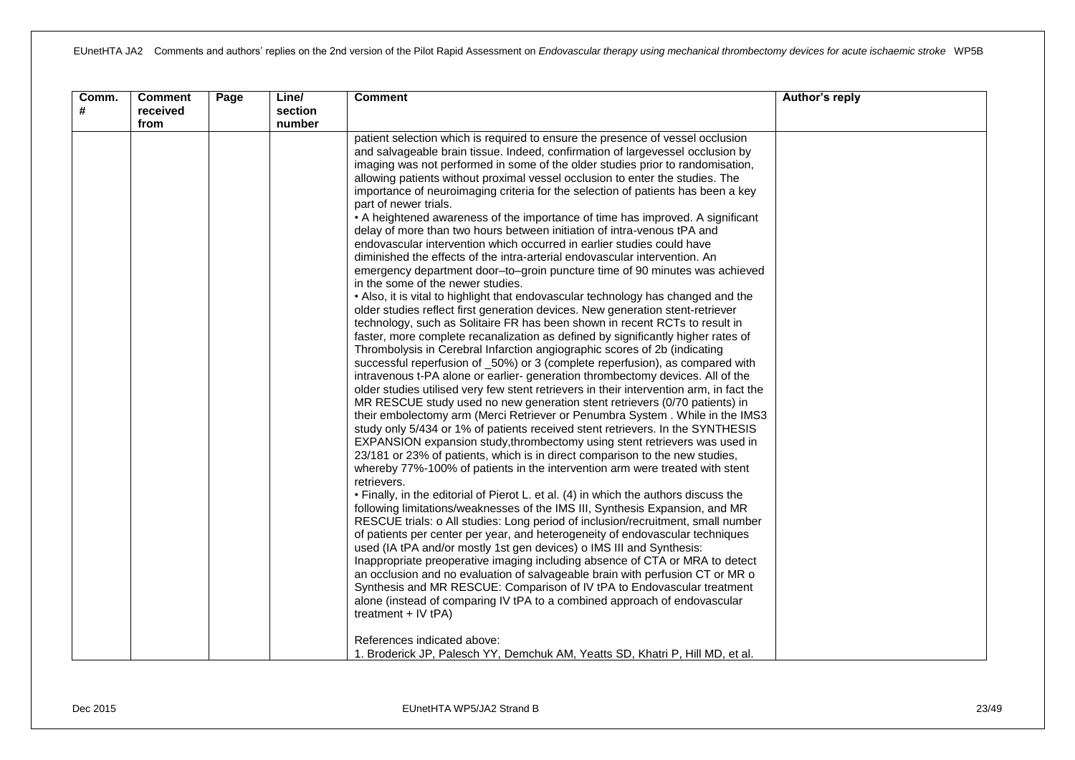| Comm.<br># | <b>Comment</b><br>received<br>from | Page | Line/<br>section<br>number | <b>Comment</b>                                                                                                                                                                                                                                                                                                                                                                                                                                                                                                                                                                                                                                                                                                                                                                                                                                                                                                                                                                                                                                                                                                                                                                                                                                                                                                                                                                                                                                                                                                                                                                                                                                                                                                                                                                                                                                                                                                                                                                                                                                                                                                                                                                                                                                                                                                                                                                                                                                                                                                                                                                                                                                                                                                                                                                                                                                                                                                                                                                   | Author's reply |
|------------|------------------------------------|------|----------------------------|----------------------------------------------------------------------------------------------------------------------------------------------------------------------------------------------------------------------------------------------------------------------------------------------------------------------------------------------------------------------------------------------------------------------------------------------------------------------------------------------------------------------------------------------------------------------------------------------------------------------------------------------------------------------------------------------------------------------------------------------------------------------------------------------------------------------------------------------------------------------------------------------------------------------------------------------------------------------------------------------------------------------------------------------------------------------------------------------------------------------------------------------------------------------------------------------------------------------------------------------------------------------------------------------------------------------------------------------------------------------------------------------------------------------------------------------------------------------------------------------------------------------------------------------------------------------------------------------------------------------------------------------------------------------------------------------------------------------------------------------------------------------------------------------------------------------------------------------------------------------------------------------------------------------------------------------------------------------------------------------------------------------------------------------------------------------------------------------------------------------------------------------------------------------------------------------------------------------------------------------------------------------------------------------------------------------------------------------------------------------------------------------------------------------------------------------------------------------------------------------------------------------------------------------------------------------------------------------------------------------------------------------------------------------------------------------------------------------------------------------------------------------------------------------------------------------------------------------------------------------------------------------------------------------------------------------------------------------------------|----------------|
|            |                                    |      |                            | patient selection which is required to ensure the presence of vessel occlusion<br>and salvageable brain tissue. Indeed, confirmation of largevessel occlusion by<br>imaging was not performed in some of the older studies prior to randomisation,<br>allowing patients without proximal vessel occlusion to enter the studies. The<br>importance of neuroimaging criteria for the selection of patients has been a key<br>part of newer trials.<br>• A heightened awareness of the importance of time has improved. A significant<br>delay of more than two hours between initiation of intra-venous tPA and<br>endovascular intervention which occurred in earlier studies could have<br>diminished the effects of the intra-arterial endovascular intervention. An<br>emergency department door-to-groin puncture time of 90 minutes was achieved<br>in the some of the newer studies.<br>. Also, it is vital to highlight that endovascular technology has changed and the<br>older studies reflect first generation devices. New generation stent-retriever<br>technology, such as Solitaire FR has been shown in recent RCTs to result in<br>faster, more complete recanalization as defined by significantly higher rates of<br>Thrombolysis in Cerebral Infarction angiographic scores of 2b (indicating<br>successful reperfusion of _50%) or 3 (complete reperfusion), as compared with<br>intravenous t-PA alone or earlier- generation thrombectomy devices. All of the<br>older studies utilised very few stent retrievers in their intervention arm, in fact the<br>MR RESCUE study used no new generation stent retrievers (0/70 patients) in<br>their embolectomy arm (Merci Retriever or Penumbra System. While in the IMS3<br>study only 5/434 or 1% of patients received stent retrievers. In the SYNTHESIS<br>EXPANSION expansion study, thrombectomy using stent retrievers was used in<br>23/181 or 23% of patients, which is in direct comparison to the new studies,<br>whereby 77%-100% of patients in the intervention arm were treated with stent<br>retrievers.<br>• Finally, in the editorial of Pierot L. et al. (4) in which the authors discuss the<br>following limitations/weaknesses of the IMS III, Synthesis Expansion, and MR<br>RESCUE trials: o All studies: Long period of inclusion/recruitment, small number<br>of patients per center per year, and heterogeneity of endovascular techniques<br>used (IA tPA and/or mostly 1st gen devices) o IMS III and Synthesis:<br>Inappropriate preoperative imaging including absence of CTA or MRA to detect<br>an occlusion and no evaluation of salvageable brain with perfusion CT or MR o<br>Synthesis and MR RESCUE: Comparison of IV tPA to Endovascular treatment<br>alone (instead of comparing IV tPA to a combined approach of endovascular<br>treatment + IV tPA)<br>References indicated above:<br>1. Broderick JP, Palesch YY, Demchuk AM, Yeatts SD, Khatri P, Hill MD, et al. |                |
|            |                                    |      |                            |                                                                                                                                                                                                                                                                                                                                                                                                                                                                                                                                                                                                                                                                                                                                                                                                                                                                                                                                                                                                                                                                                                                                                                                                                                                                                                                                                                                                                                                                                                                                                                                                                                                                                                                                                                                                                                                                                                                                                                                                                                                                                                                                                                                                                                                                                                                                                                                                                                                                                                                                                                                                                                                                                                                                                                                                                                                                                                                                                                                  |                |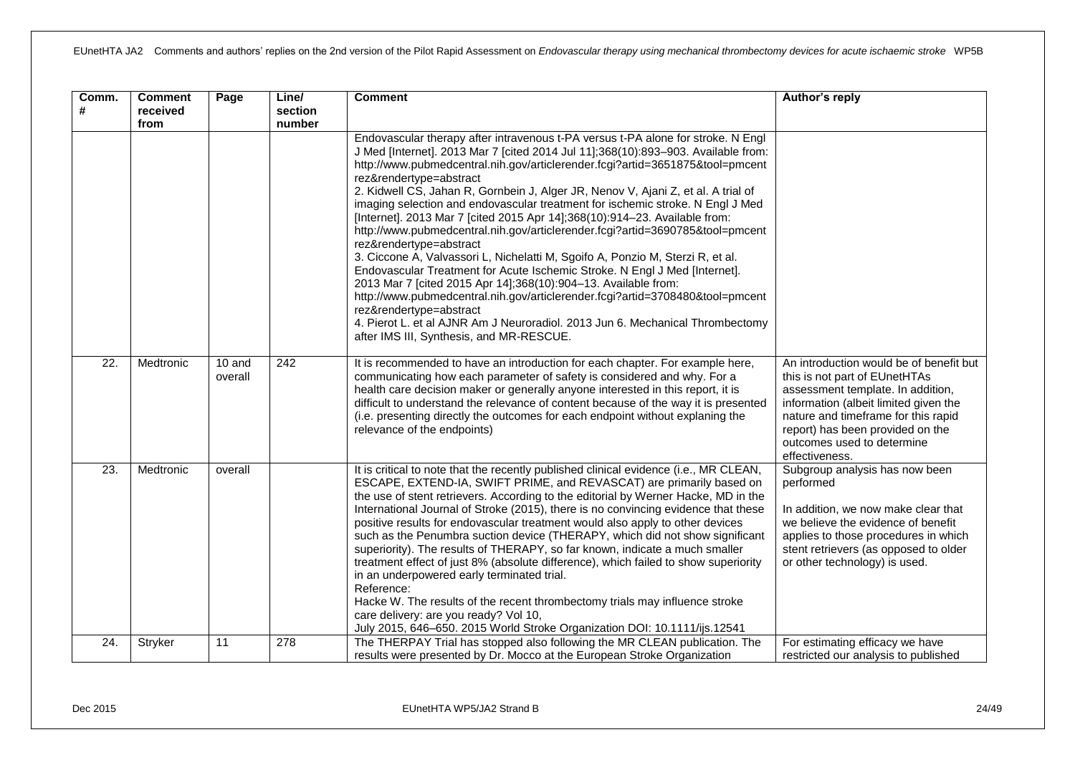| Comm.<br># | <b>Comment</b><br>received<br>from | Page                | Line/<br>section<br>number | <b>Comment</b>                                                                                                                                                                                                                                                                                                                                                                                                                                                                                                                                                                                                                                                                                                                                                                                                                                                                                                                                                                                                                                                                                                                | Author's reply                                                                                                                                                                                                                                                                    |
|------------|------------------------------------|---------------------|----------------------------|-------------------------------------------------------------------------------------------------------------------------------------------------------------------------------------------------------------------------------------------------------------------------------------------------------------------------------------------------------------------------------------------------------------------------------------------------------------------------------------------------------------------------------------------------------------------------------------------------------------------------------------------------------------------------------------------------------------------------------------------------------------------------------------------------------------------------------------------------------------------------------------------------------------------------------------------------------------------------------------------------------------------------------------------------------------------------------------------------------------------------------|-----------------------------------------------------------------------------------------------------------------------------------------------------------------------------------------------------------------------------------------------------------------------------------|
|            |                                    |                     |                            | Endovascular therapy after intravenous t-PA versus t-PA alone for stroke. N Engl<br>J Med [Internet]. 2013 Mar 7 [cited 2014 Jul 11];368(10):893-903. Available from:<br>http://www.pubmedcentral.nih.gov/articlerender.fcgi?artid=3651875&tool=pmcent<br>rez&rendertype=abstract<br>2. Kidwell CS, Jahan R, Gornbein J, Alger JR, Nenov V, Ajani Z, et al. A trial of<br>imaging selection and endovascular treatment for ischemic stroke. N Engl J Med<br>[Internet]. 2013 Mar 7 [cited 2015 Apr 14];368(10):914-23. Available from:<br>http://www.pubmedcentral.nih.gov/articlerender.fcgi?artid=3690785&tool=pmcent<br>rez&rendertype=abstract<br>3. Ciccone A, Valvassori L, Nichelatti M, Sgoifo A, Ponzio M, Sterzi R, et al.<br>Endovascular Treatment for Acute Ischemic Stroke. N Engl J Med [Internet].<br>2013 Mar 7 [cited 2015 Apr 14];368(10):904-13. Available from:<br>http://www.pubmedcentral.nih.gov/articlerender.fcgi?artid=3708480&tool=pmcent<br>rez&rendertype=abstract<br>4. Pierot L. et al AJNR Am J Neuroradiol. 2013 Jun 6. Mechanical Thrombectomy<br>after IMS III, Synthesis, and MR-RESCUE. |                                                                                                                                                                                                                                                                                   |
| 22.        | Medtronic                          | $10$ and<br>overall | 242                        | It is recommended to have an introduction for each chapter. For example here,<br>communicating how each parameter of safety is considered and why. For a<br>health care decision maker or generally anyone interested in this report, it is<br>difficult to understand the relevance of content because of the way it is presented<br>(i.e. presenting directly the outcomes for each endpoint without explaning the<br>relevance of the endpoints)                                                                                                                                                                                                                                                                                                                                                                                                                                                                                                                                                                                                                                                                           | An introduction would be of benefit but<br>this is not part of EUnetHTAs<br>assessment template. In addition,<br>information (albeit limited given the<br>nature and timeframe for this rapid<br>report) has been provided on the<br>outcomes used to determine<br>effectiveness. |
| 23.        | Medtronic                          | overall             |                            | It is critical to note that the recently published clinical evidence (i.e., MR CLEAN,<br>ESCAPE, EXTEND-IA, SWIFT PRIME, and REVASCAT) are primarily based on<br>the use of stent retrievers. According to the editorial by Werner Hacke, MD in the<br>International Journal of Stroke (2015), there is no convincing evidence that these<br>positive results for endovascular treatment would also apply to other devices<br>such as the Penumbra suction device (THERAPY, which did not show significant<br>superiority). The results of THERAPY, so far known, indicate a much smaller<br>treatment effect of just 8% (absolute difference), which failed to show superiority<br>in an underpowered early terminated trial.<br>Reference:<br>Hacke W. The results of the recent thrombectomy trials may influence stroke<br>care delivery: are you ready? Vol 10,<br>July 2015, 646-650. 2015 World Stroke Organization DOI: 10.1111/ijs.12541                                                                                                                                                                             | Subgroup analysis has now been<br>performed<br>In addition, we now make clear that<br>we believe the evidence of benefit<br>applies to those procedures in which<br>stent retrievers (as opposed to older<br>or other technology) is used.                                        |
| 24.        | Stryker                            | 11                  | 278                        | The THERPAY Trial has stopped also following the MR CLEAN publication. The<br>results were presented by Dr. Mocco at the European Stroke Organization                                                                                                                                                                                                                                                                                                                                                                                                                                                                                                                                                                                                                                                                                                                                                                                                                                                                                                                                                                         | For estimating efficacy we have<br>restricted our analysis to published                                                                                                                                                                                                           |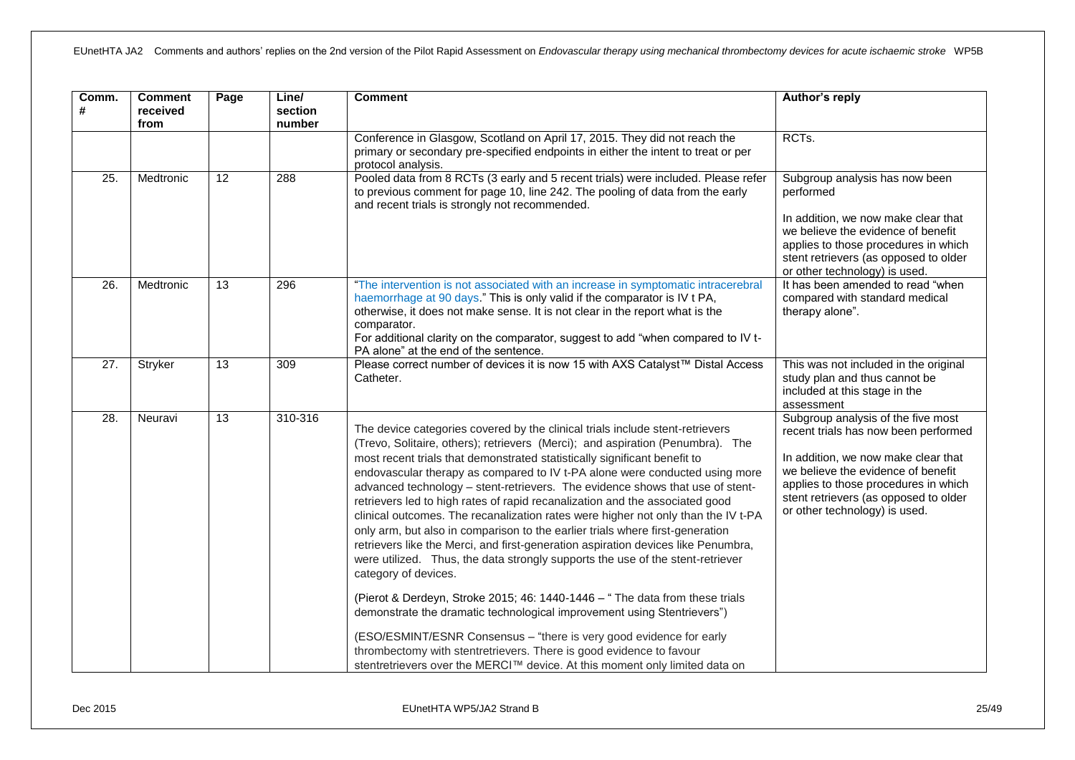| Comm.<br>#        | <b>Comment</b><br>received<br>from | Page            | Line/<br>section<br>number | <b>Comment</b>                                                                                                                                                                                                                                                                                                                                                                                                                                                                                                                                                                                                                                                                                                                                                                                                                                                                                                                                                                                                               | Author's reply                                                                                                                                                                                                                                                            |
|-------------------|------------------------------------|-----------------|----------------------------|------------------------------------------------------------------------------------------------------------------------------------------------------------------------------------------------------------------------------------------------------------------------------------------------------------------------------------------------------------------------------------------------------------------------------------------------------------------------------------------------------------------------------------------------------------------------------------------------------------------------------------------------------------------------------------------------------------------------------------------------------------------------------------------------------------------------------------------------------------------------------------------------------------------------------------------------------------------------------------------------------------------------------|---------------------------------------------------------------------------------------------------------------------------------------------------------------------------------------------------------------------------------------------------------------------------|
|                   |                                    |                 |                            | Conference in Glasgow, Scotland on April 17, 2015. They did not reach the<br>primary or secondary pre-specified endpoints in either the intent to treat or per<br>protocol analysis.                                                                                                                                                                                                                                                                                                                                                                                                                                                                                                                                                                                                                                                                                                                                                                                                                                         | RCTs.                                                                                                                                                                                                                                                                     |
| $\overline{25}$ . | Medtronic                          | $\overline{12}$ | 288                        | Pooled data from 8 RCTs (3 early and 5 recent trials) were included. Please refer<br>to previous comment for page 10, line 242. The pooling of data from the early<br>and recent trials is strongly not recommended.                                                                                                                                                                                                                                                                                                                                                                                                                                                                                                                                                                                                                                                                                                                                                                                                         | Subgroup analysis has now been<br>performed<br>In addition, we now make clear that<br>we believe the evidence of benefit<br>applies to those procedures in which<br>stent retrievers (as opposed to older<br>or other technology) is used.                                |
| $\overline{26}$ . | Medtronic                          | 13              | 296                        | "The intervention is not associated with an increase in symptomatic intracerebral<br>haemorrhage at 90 days." This is only valid if the comparator is IV t PA,<br>otherwise, it does not make sense. It is not clear in the report what is the<br>comparator.<br>For additional clarity on the comparator, suggest to add "when compared to IV t-<br>PA alone" at the end of the sentence.                                                                                                                                                                                                                                                                                                                                                                                                                                                                                                                                                                                                                                   | It has been amended to read "when<br>compared with standard medical<br>therapy alone".                                                                                                                                                                                    |
| $\overline{27}$ . | Stryker                            | $\overline{13}$ | 309                        | Please correct number of devices it is now 15 with AXS Catalyst™ Distal Access<br>Catheter.                                                                                                                                                                                                                                                                                                                                                                                                                                                                                                                                                                                                                                                                                                                                                                                                                                                                                                                                  | This was not included in the original<br>study plan and thus cannot be<br>included at this stage in the<br>assessment                                                                                                                                                     |
| $\overline{28}$ . | Neuravi                            | $\overline{13}$ | 310-316                    | The device categories covered by the clinical trials include stent-retrievers<br>(Trevo, Solitaire, others); retrievers (Merci); and aspiration (Penumbra). The<br>most recent trials that demonstrated statistically significant benefit to<br>endovascular therapy as compared to IV t-PA alone were conducted using more<br>advanced technology - stent-retrievers. The evidence shows that use of stent-<br>retrievers led to high rates of rapid recanalization and the associated good<br>clinical outcomes. The recanalization rates were higher not only than the IV t-PA<br>only arm, but also in comparison to the earlier trials where first-generation<br>retrievers like the Merci, and first-generation aspiration devices like Penumbra,<br>were utilized. Thus, the data strongly supports the use of the stent-retriever<br>category of devices.<br>(Pierot & Derdeyn, Stroke 2015; 46: 1440-1446 - " The data from these trials<br>demonstrate the dramatic technological improvement using Stentrievers") | Subgroup analysis of the five most<br>recent trials has now been performed<br>In addition, we now make clear that<br>we believe the evidence of benefit<br>applies to those procedures in which<br>stent retrievers (as opposed to older<br>or other technology) is used. |
|                   |                                    |                 |                            | (ESO/ESMINT/ESNR Consensus - "there is very good evidence for early<br>thrombectomy with stentretrievers. There is good evidence to favour<br>stentretrievers over the MERCI™ device. At this moment only limited data on                                                                                                                                                                                                                                                                                                                                                                                                                                                                                                                                                                                                                                                                                                                                                                                                    |                                                                                                                                                                                                                                                                           |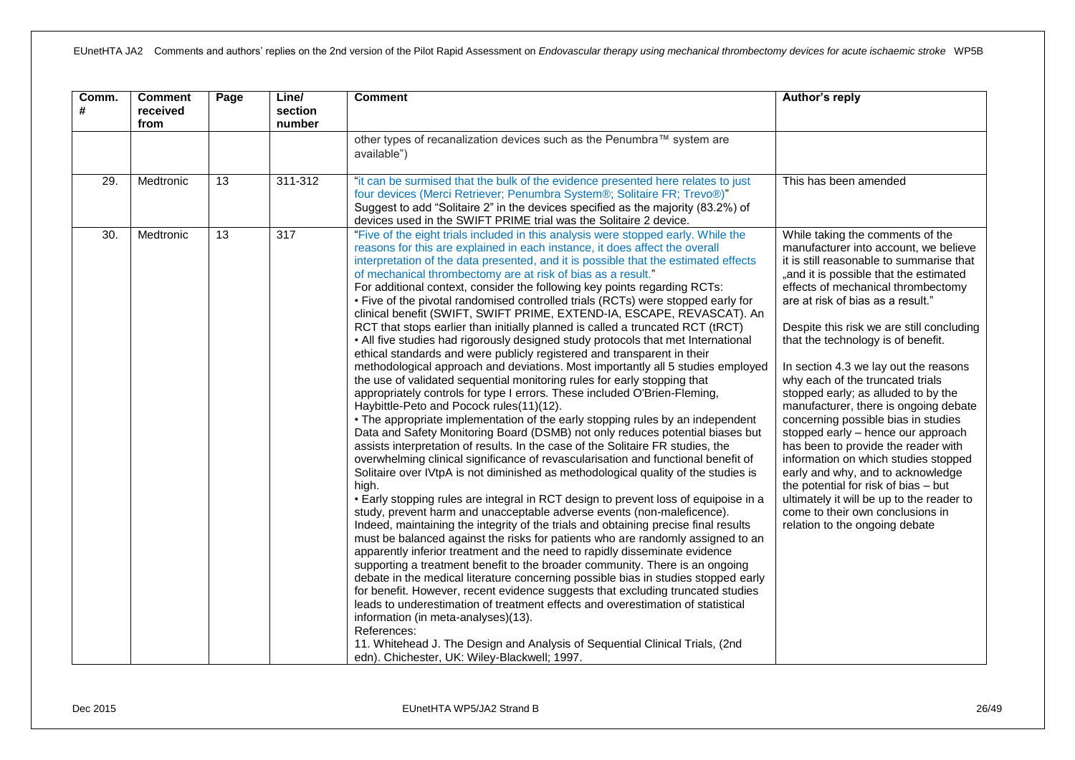| Comm.<br># | <b>Comment</b><br>received<br>from | Page            | Line/<br>section<br>number | <b>Comment</b>                                                                                                                                                                                                                                                                                                                                                                                                                                                                                                                                                                                                                                                                                                                                                                                                                                                                                                                                                                                                                                                                                                                                                                                                                                                                                                                                                                                                                                                                                                                                                                                                                                                                                                                                                                                                                                                                                                                                                                                                                                                                                                                                                                                                                                                                                                                                                                                                                                                                                                    | Author's reply                                                                                                                                                                                                                                                                                                                                                                                                                                                                                                                                                                                                                                                                                                                                                                                                                                         |
|------------|------------------------------------|-----------------|----------------------------|-------------------------------------------------------------------------------------------------------------------------------------------------------------------------------------------------------------------------------------------------------------------------------------------------------------------------------------------------------------------------------------------------------------------------------------------------------------------------------------------------------------------------------------------------------------------------------------------------------------------------------------------------------------------------------------------------------------------------------------------------------------------------------------------------------------------------------------------------------------------------------------------------------------------------------------------------------------------------------------------------------------------------------------------------------------------------------------------------------------------------------------------------------------------------------------------------------------------------------------------------------------------------------------------------------------------------------------------------------------------------------------------------------------------------------------------------------------------------------------------------------------------------------------------------------------------------------------------------------------------------------------------------------------------------------------------------------------------------------------------------------------------------------------------------------------------------------------------------------------------------------------------------------------------------------------------------------------------------------------------------------------------------------------------------------------------------------------------------------------------------------------------------------------------------------------------------------------------------------------------------------------------------------------------------------------------------------------------------------------------------------------------------------------------------------------------------------------------------------------------------------------------|--------------------------------------------------------------------------------------------------------------------------------------------------------------------------------------------------------------------------------------------------------------------------------------------------------------------------------------------------------------------------------------------------------------------------------------------------------------------------------------------------------------------------------------------------------------------------------------------------------------------------------------------------------------------------------------------------------------------------------------------------------------------------------------------------------------------------------------------------------|
|            |                                    |                 |                            | other types of recanalization devices such as the Penumbra™ system are<br>available")                                                                                                                                                                                                                                                                                                                                                                                                                                                                                                                                                                                                                                                                                                                                                                                                                                                                                                                                                                                                                                                                                                                                                                                                                                                                                                                                                                                                                                                                                                                                                                                                                                                                                                                                                                                                                                                                                                                                                                                                                                                                                                                                                                                                                                                                                                                                                                                                                             |                                                                                                                                                                                                                                                                                                                                                                                                                                                                                                                                                                                                                                                                                                                                                                                                                                                        |
| 29.        | Medtronic                          | $\overline{13}$ | $311 - 312$                | "it can be surmised that the bulk of the evidence presented here relates to just<br>four devices (Merci Retriever; Penumbra System®; Solitaire FR; Trevo®)"<br>Suggest to add "Solitaire 2" in the devices specified as the majority (83.2%) of<br>devices used in the SWIFT PRIME trial was the Solitaire 2 device.                                                                                                                                                                                                                                                                                                                                                                                                                                                                                                                                                                                                                                                                                                                                                                                                                                                                                                                                                                                                                                                                                                                                                                                                                                                                                                                                                                                                                                                                                                                                                                                                                                                                                                                                                                                                                                                                                                                                                                                                                                                                                                                                                                                              | This has been amended                                                                                                                                                                                                                                                                                                                                                                                                                                                                                                                                                                                                                                                                                                                                                                                                                                  |
| 30.        | Medtronic                          | 13              | $\overline{317}$           | "Five of the eight trials included in this analysis were stopped early. While the<br>reasons for this are explained in each instance, it does affect the overall<br>interpretation of the data presented, and it is possible that the estimated effects<br>of mechanical thrombectomy are at risk of bias as a result."<br>For additional context, consider the following key points regarding RCTs:<br>• Five of the pivotal randomised controlled trials (RCTs) were stopped early for<br>clinical benefit (SWIFT, SWIFT PRIME, EXTEND-IA, ESCAPE, REVASCAT). An<br>RCT that stops earlier than initially planned is called a truncated RCT (tRCT)<br>• All five studies had rigorously designed study protocols that met International<br>ethical standards and were publicly registered and transparent in their<br>methodological approach and deviations. Most importantly all 5 studies employed<br>the use of validated sequential monitoring rules for early stopping that<br>appropriately controls for type I errors. These included O'Brien-Fleming,<br>Haybittle-Peto and Pocock rules(11)(12).<br>• The appropriate implementation of the early stopping rules by an independent<br>Data and Safety Monitoring Board (DSMB) not only reduces potential biases but<br>assists interpretation of results. In the case of the Solitaire FR studies, the<br>overwhelming clinical significance of revascularisation and functional benefit of<br>Solitaire over IVtpA is not diminished as methodological quality of the studies is<br>high.<br>• Early stopping rules are integral in RCT design to prevent loss of equipoise in a<br>study, prevent harm and unacceptable adverse events (non-maleficence).<br>Indeed, maintaining the integrity of the trials and obtaining precise final results<br>must be balanced against the risks for patients who are randomly assigned to an<br>apparently inferior treatment and the need to rapidly disseminate evidence<br>supporting a treatment benefit to the broader community. There is an ongoing<br>debate in the medical literature concerning possible bias in studies stopped early<br>for benefit. However, recent evidence suggests that excluding truncated studies<br>leads to underestimation of treatment effects and overestimation of statistical<br>information (in meta-analyses)(13).<br>References:<br>11. Whitehead J. The Design and Analysis of Sequential Clinical Trials, (2nd<br>edn). Chichester, UK: Wiley-Blackwell; 1997. | While taking the comments of the<br>manufacturer into account, we believe<br>it is still reasonable to summarise that<br>"and it is possible that the estimated<br>effects of mechanical thrombectomy<br>are at risk of bias as a result."<br>Despite this risk we are still concluding<br>that the technology is of benefit.<br>In section 4.3 we lay out the reasons<br>why each of the truncated trials<br>stopped early; as alluded to by the<br>manufacturer, there is ongoing debate<br>concerning possible bias in studies<br>stopped early - hence our approach<br>has been to provide the reader with<br>information on which studies stopped<br>early and why, and to acknowledge<br>the potential for risk of bias - but<br>ultimately it will be up to the reader to<br>come to their own conclusions in<br>relation to the ongoing debate |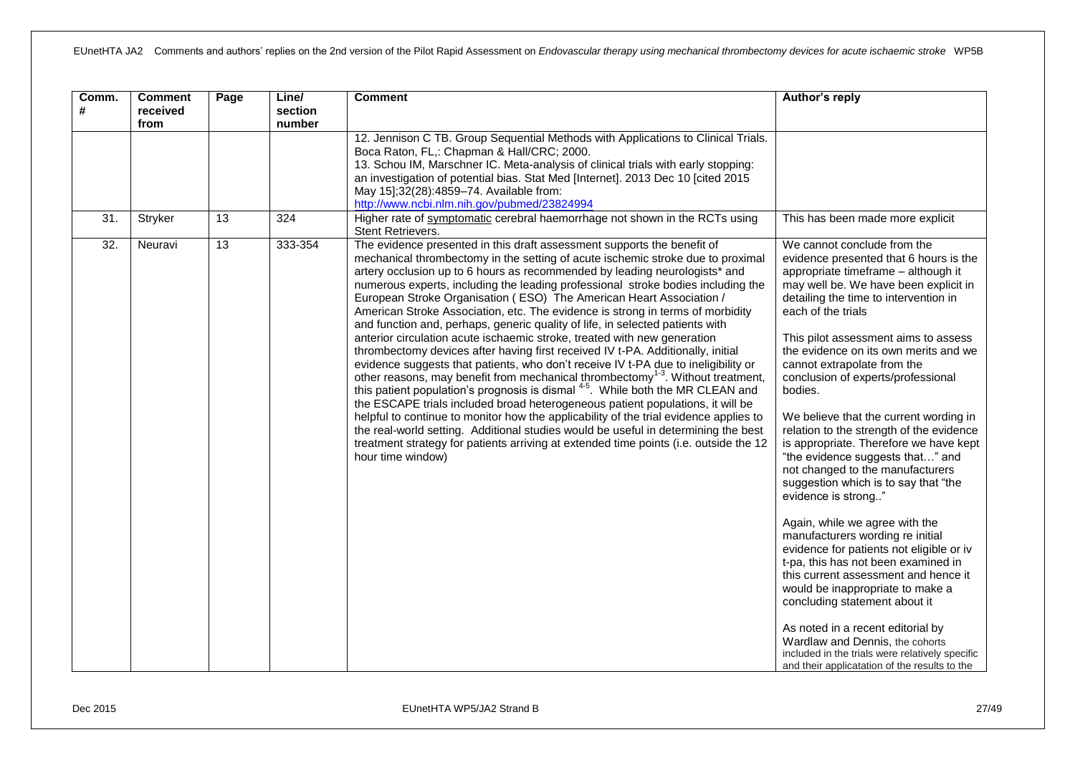| Comm.<br># | <b>Comment</b><br>received<br>from | Page            | Line/<br>section<br>number | <b>Comment</b>                                                                                                                                                                                                                                                                                                                                                                                                                                                                                                                                                                                                                                                                                                                                                                                                                                                                                                                                                                                                                                                                                                                                                                                                                                                                                                                                                                                          | Author's reply                                                                                                                                                                                                                                                                                                                                                                                                                                                                                                                                                                                                                                                                                                                                                                                                                                                                                                                                                                                                                                                |
|------------|------------------------------------|-----------------|----------------------------|---------------------------------------------------------------------------------------------------------------------------------------------------------------------------------------------------------------------------------------------------------------------------------------------------------------------------------------------------------------------------------------------------------------------------------------------------------------------------------------------------------------------------------------------------------------------------------------------------------------------------------------------------------------------------------------------------------------------------------------------------------------------------------------------------------------------------------------------------------------------------------------------------------------------------------------------------------------------------------------------------------------------------------------------------------------------------------------------------------------------------------------------------------------------------------------------------------------------------------------------------------------------------------------------------------------------------------------------------------------------------------------------------------|---------------------------------------------------------------------------------------------------------------------------------------------------------------------------------------------------------------------------------------------------------------------------------------------------------------------------------------------------------------------------------------------------------------------------------------------------------------------------------------------------------------------------------------------------------------------------------------------------------------------------------------------------------------------------------------------------------------------------------------------------------------------------------------------------------------------------------------------------------------------------------------------------------------------------------------------------------------------------------------------------------------------------------------------------------------|
|            |                                    |                 |                            | 12. Jennison C TB. Group Sequential Methods with Applications to Clinical Trials.<br>Boca Raton, FL,: Chapman & Hall/CRC; 2000.<br>13. Schou IM, Marschner IC. Meta-analysis of clinical trials with early stopping:<br>an investigation of potential bias. Stat Med [Internet]. 2013 Dec 10 [cited 2015<br>May 15];32(28):4859-74. Available from:<br>http://www.ncbi.nlm.nih.gov/pubmed/23824994                                                                                                                                                                                                                                                                                                                                                                                                                                                                                                                                                                                                                                                                                                                                                                                                                                                                                                                                                                                                      |                                                                                                                                                                                                                                                                                                                                                                                                                                                                                                                                                                                                                                                                                                                                                                                                                                                                                                                                                                                                                                                               |
| 31.        | Stryker                            | $\overline{13}$ | 324                        | Higher rate of symptomatic cerebral haemorrhage not shown in the RCTs using<br>Stent Retrievers.                                                                                                                                                                                                                                                                                                                                                                                                                                                                                                                                                                                                                                                                                                                                                                                                                                                                                                                                                                                                                                                                                                                                                                                                                                                                                                        | This has been made more explicit                                                                                                                                                                                                                                                                                                                                                                                                                                                                                                                                                                                                                                                                                                                                                                                                                                                                                                                                                                                                                              |
| 32.        | Neuravi                            | 13              | 333-354                    | The evidence presented in this draft assessment supports the benefit of<br>mechanical thrombectomy in the setting of acute ischemic stroke due to proximal<br>artery occlusion up to 6 hours as recommended by leading neurologists* and<br>numerous experts, including the leading professional stroke bodies including the<br>European Stroke Organisation (ESO) The American Heart Association /<br>American Stroke Association, etc. The evidence is strong in terms of morbidity<br>and function and, perhaps, generic quality of life, in selected patients with<br>anterior circulation acute ischaemic stroke, treated with new generation<br>thrombectomy devices after having first received IV t-PA. Additionally, initial<br>evidence suggests that patients, who don't receive IV t-PA due to ineligibility or<br>other reasons, may benefit from mechanical thrombectomy <sup>1-3</sup> . Without treatment,<br>this patient population's prognosis is dismal <sup>4-5</sup> . While both the MR CLEAN and<br>the ESCAPE trials included broad heterogeneous patient populations, it will be<br>helpful to continue to monitor how the applicability of the trial evidence applies to<br>the real-world setting. Additional studies would be useful in determining the best<br>treatment strategy for patients arriving at extended time points (i.e. outside the 12<br>hour time window) | We cannot conclude from the<br>evidence presented that 6 hours is the<br>appropriate timeframe - although it<br>may well be. We have been explicit in<br>detailing the time to intervention in<br>each of the trials<br>This pilot assessment aims to assess<br>the evidence on its own merits and we<br>cannot extrapolate from the<br>conclusion of experts/professional<br>bodies.<br>We believe that the current wording in<br>relation to the strength of the evidence<br>is appropriate. Therefore we have kept<br>"the evidence suggests that" and<br>not changed to the manufacturers<br>suggestion which is to say that "the<br>evidence is strong"<br>Again, while we agree with the<br>manufacturers wording re initial<br>evidence for patients not eligible or iv<br>t-pa, this has not been examined in<br>this current assessment and hence it<br>would be inappropriate to make a<br>concluding statement about it<br>As noted in a recent editorial by<br>Wardlaw and Dennis, the cohorts<br>included in the trials were relatively specific |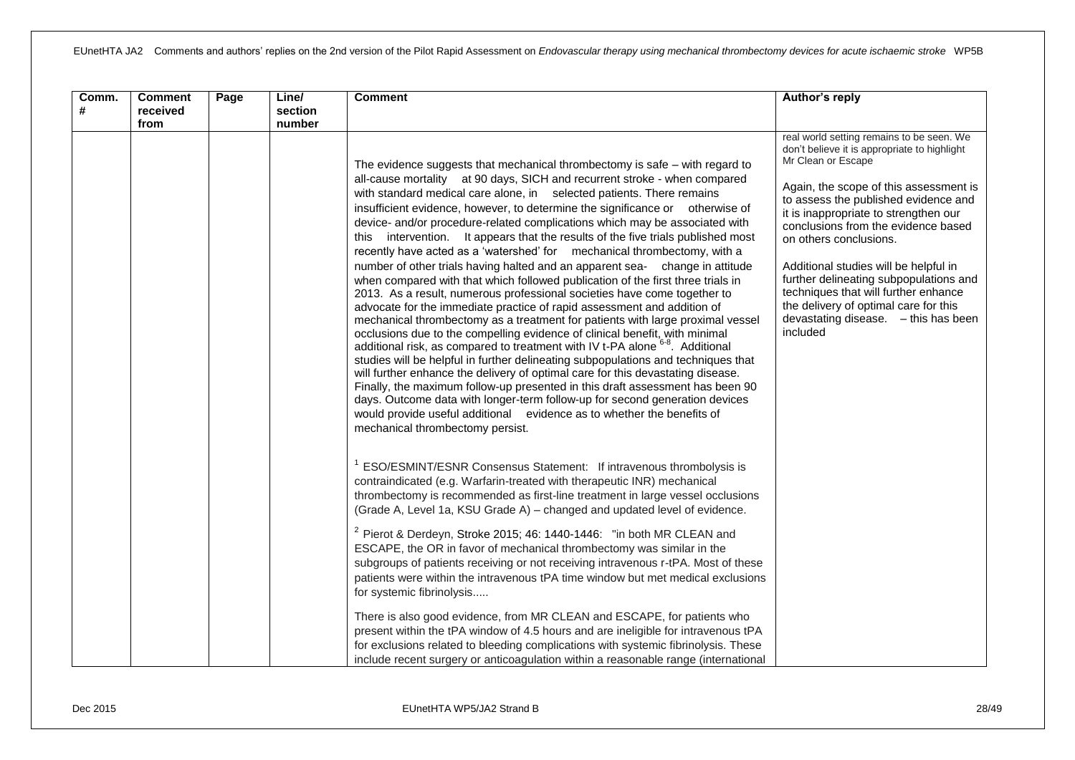| Comm.<br># | <b>Comment</b><br>received | Page | Line/<br>section | <b>Comment</b>                                                                                                                                                                                                                                                                                                                                                                                                                                                                                                                                                                                                                                                                                                                                                                                                                                                                                                                                                                                                                                                                                                                                                                                                                                                                                                                                                                                                                                                                                                                                                                                                 | Author's reply                                                                                                                                                                                                                                                                                                                                                                                                                                                                                                                      |
|------------|----------------------------|------|------------------|----------------------------------------------------------------------------------------------------------------------------------------------------------------------------------------------------------------------------------------------------------------------------------------------------------------------------------------------------------------------------------------------------------------------------------------------------------------------------------------------------------------------------------------------------------------------------------------------------------------------------------------------------------------------------------------------------------------------------------------------------------------------------------------------------------------------------------------------------------------------------------------------------------------------------------------------------------------------------------------------------------------------------------------------------------------------------------------------------------------------------------------------------------------------------------------------------------------------------------------------------------------------------------------------------------------------------------------------------------------------------------------------------------------------------------------------------------------------------------------------------------------------------------------------------------------------------------------------------------------|-------------------------------------------------------------------------------------------------------------------------------------------------------------------------------------------------------------------------------------------------------------------------------------------------------------------------------------------------------------------------------------------------------------------------------------------------------------------------------------------------------------------------------------|
|            | from                       |      | number           | The evidence suggests that mechanical thrombectomy is safe - with regard to<br>all-cause mortality at 90 days, SICH and recurrent stroke - when compared<br>with standard medical care alone, in selected patients. There remains<br>insufficient evidence, however, to determine the significance or otherwise of<br>device- and/or procedure-related complications which may be associated with<br>this intervention. It appears that the results of the five trials published most<br>recently have acted as a 'watershed' for mechanical thrombectomy, with a<br>number of other trials having halted and an apparent sea- change in attitude<br>when compared with that which followed publication of the first three trials in<br>2013. As a result, numerous professional societies have come together to<br>advocate for the immediate practice of rapid assessment and addition of<br>mechanical thrombectomy as a treatment for patients with large proximal vessel<br>occlusions due to the compelling evidence of clinical benefit, with minimal<br>additional risk, as compared to treatment with IV t-PA alone <sup>6-8</sup> . Additional<br>studies will be helpful in further delineating subpopulations and techniques that<br>will further enhance the delivery of optimal care for this devastating disease.<br>Finally, the maximum follow-up presented in this draft assessment has been 90<br>days. Outcome data with longer-term follow-up for second generation devices<br>would provide useful additional evidence as to whether the benefits of<br>mechanical thrombectomy persist. | real world setting remains to be seen. We<br>don't believe it is appropriate to highlight<br>Mr Clean or Escape<br>Again, the scope of this assessment is<br>to assess the published evidence and<br>it is inappropriate to strengthen our<br>conclusions from the evidence based<br>on others conclusions.<br>Additional studies will be helpful in<br>further delineating subpopulations and<br>techniques that will further enhance<br>the delivery of optimal care for this<br>devastating disease. - this has been<br>included |
|            |                            |      |                  | ESO/ESMINT/ESNR Consensus Statement: If intravenous thrombolysis is<br>contraindicated (e.g. Warfarin-treated with therapeutic INR) mechanical<br>thrombectomy is recommended as first-line treatment in large vessel occlusions<br>(Grade A, Level 1a, KSU Grade A) - changed and updated level of evidence.<br>$2$ Pierot & Derdeyn, Stroke 2015; 46: 1440-1446: "in both MR CLEAN and<br>ESCAPE, the OR in favor of mechanical thrombectomy was similar in the<br>subgroups of patients receiving or not receiving intravenous r-tPA. Most of these<br>patients were within the intravenous tPA time window but met medical exclusions<br>for systemic fibrinolysis                                                                                                                                                                                                                                                                                                                                                                                                                                                                                                                                                                                                                                                                                                                                                                                                                                                                                                                                         |                                                                                                                                                                                                                                                                                                                                                                                                                                                                                                                                     |
|            |                            |      |                  | There is also good evidence, from MR CLEAN and ESCAPE, for patients who<br>present within the tPA window of 4.5 hours and are ineligible for intravenous tPA<br>for exclusions related to bleeding complications with systemic fibrinolysis. These<br>include recent surgery or anticoagulation within a reasonable range (international                                                                                                                                                                                                                                                                                                                                                                                                                                                                                                                                                                                                                                                                                                                                                                                                                                                                                                                                                                                                                                                                                                                                                                                                                                                                       |                                                                                                                                                                                                                                                                                                                                                                                                                                                                                                                                     |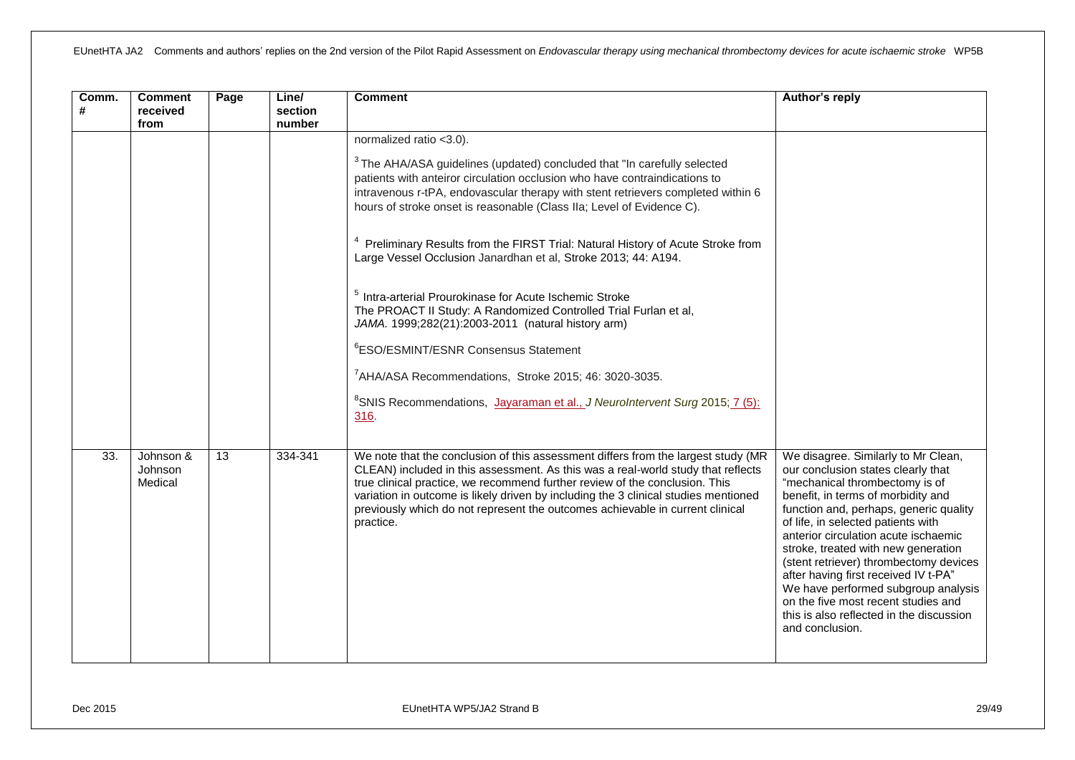| Comm.<br># | <b>Comment</b><br>received<br>from | Page | Line/<br>section<br>number | <b>Comment</b>                                                                                                                                                                                                                                                                                                                                                                                                                                                                                                                                                                                                                                                                                                                                                                                                                                                                                                                            | Author's reply                                                                                                                                                                                                                                                                                                                                                                                                                                                                                                                                  |
|------------|------------------------------------|------|----------------------------|-------------------------------------------------------------------------------------------------------------------------------------------------------------------------------------------------------------------------------------------------------------------------------------------------------------------------------------------------------------------------------------------------------------------------------------------------------------------------------------------------------------------------------------------------------------------------------------------------------------------------------------------------------------------------------------------------------------------------------------------------------------------------------------------------------------------------------------------------------------------------------------------------------------------------------------------|-------------------------------------------------------------------------------------------------------------------------------------------------------------------------------------------------------------------------------------------------------------------------------------------------------------------------------------------------------------------------------------------------------------------------------------------------------------------------------------------------------------------------------------------------|
|            |                                    |      |                            | normalized ratio <3.0).<br><sup>3</sup> The AHA/ASA guidelines (updated) concluded that "In carefully selected<br>patients with anteiror circulation occlusion who have contraindications to<br>intravenous r-tPA, endovascular therapy with stent retrievers completed within 6<br>hours of stroke onset is reasonable (Class IIa; Level of Evidence C).<br>Preliminary Results from the FIRST Trial: Natural History of Acute Stroke from<br>Large Vessel Occlusion Janardhan et al, Stroke 2013; 44: A194.<br><sup>5</sup> Intra-arterial Prourokinase for Acute Ischemic Stroke<br>The PROACT II Study: A Randomized Controlled Trial Furlan et al,<br>JAMA. 1999;282(21):2003-2011 (natural history arm)<br><sup>6</sup> ESO/ESMINT/ESNR Consensus Statement<br><sup>7</sup> AHA/ASA Recommendations, Stroke 2015; 46: 3020-3035.<br><sup>8</sup> SNIS Recommendations, Jayaraman et al., J NeuroIntervent Surg 2015; 7 (5):<br>316. |                                                                                                                                                                                                                                                                                                                                                                                                                                                                                                                                                 |
| 33.        | Johnson &<br>Johnson<br>Medical    | 13   | 334-341                    | We note that the conclusion of this assessment differs from the largest study (MR<br>CLEAN) included in this assessment. As this was a real-world study that reflects<br>true clinical practice, we recommend further review of the conclusion. This<br>variation in outcome is likely driven by including the 3 clinical studies mentioned<br>previously which do not represent the outcomes achievable in current clinical<br>practice.                                                                                                                                                                                                                                                                                                                                                                                                                                                                                                 | We disagree. Similarly to Mr Clean,<br>our conclusion states clearly that<br>"mechanical thrombectomy is of<br>benefit, in terms of morbidity and<br>function and, perhaps, generic quality<br>of life, in selected patients with<br>anterior circulation acute ischaemic<br>stroke, treated with new generation<br>(stent retriever) thrombectomy devices<br>after having first received IV t-PA"<br>We have performed subgroup analysis<br>on the five most recent studies and<br>this is also reflected in the discussion<br>and conclusion. |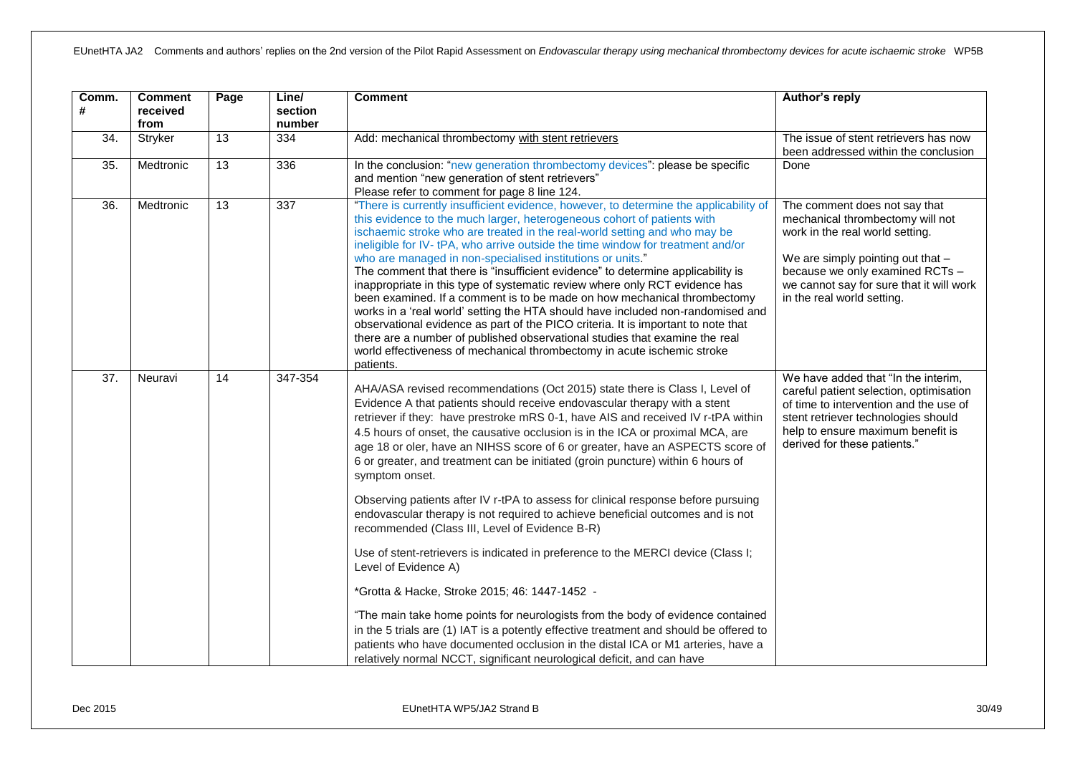| Comm.<br>#        | <b>Comment</b><br>received<br>from | Page            | Line/<br>section<br>number | <b>Comment</b>                                                                                                                                                                                                                                                                                                                                                                                                                                                                                                                                                                                                                                                                                                                                                                                                                                                                                                                                                                                                                                                                                                                                                                                                                                       | Author's reply                                                                                                                                                                                                                                         |
|-------------------|------------------------------------|-----------------|----------------------------|------------------------------------------------------------------------------------------------------------------------------------------------------------------------------------------------------------------------------------------------------------------------------------------------------------------------------------------------------------------------------------------------------------------------------------------------------------------------------------------------------------------------------------------------------------------------------------------------------------------------------------------------------------------------------------------------------------------------------------------------------------------------------------------------------------------------------------------------------------------------------------------------------------------------------------------------------------------------------------------------------------------------------------------------------------------------------------------------------------------------------------------------------------------------------------------------------------------------------------------------------|--------------------------------------------------------------------------------------------------------------------------------------------------------------------------------------------------------------------------------------------------------|
| 34.               | Stryker                            | 13              | 334                        | Add: mechanical thrombectomy with stent retrievers                                                                                                                                                                                                                                                                                                                                                                                                                                                                                                                                                                                                                                                                                                                                                                                                                                                                                                                                                                                                                                                                                                                                                                                                   | The issue of stent retrievers has now<br>been addressed within the conclusion                                                                                                                                                                          |
| $\overline{35}$ . | Medtronic                          | $\overline{13}$ | 336                        | In the conclusion: "new generation thrombectomy devices": please be specific<br>and mention "new generation of stent retrievers"<br>Please refer to comment for page 8 line 124.                                                                                                                                                                                                                                                                                                                                                                                                                                                                                                                                                                                                                                                                                                                                                                                                                                                                                                                                                                                                                                                                     | Done                                                                                                                                                                                                                                                   |
| $\overline{36}$ . | Medtronic                          | $\overline{13}$ | 337                        | "There is currently insufficient evidence, however, to determine the applicability of<br>this evidence to the much larger, heterogeneous cohort of patients with<br>ischaemic stroke who are treated in the real-world setting and who may be<br>ineligible for IV-tPA, who arrive outside the time window for treatment and/or<br>who are managed in non-specialised institutions or units."<br>The comment that there is "insufficient evidence" to determine applicability is<br>inappropriate in this type of systematic review where only RCT evidence has<br>been examined. If a comment is to be made on how mechanical thrombectomy<br>works in a 'real world' setting the HTA should have included non-randomised and<br>observational evidence as part of the PICO criteria. It is important to note that<br>there are a number of published observational studies that examine the real<br>world effectiveness of mechanical thrombectomy in acute ischemic stroke<br>patients.                                                                                                                                                                                                                                                           | The comment does not say that<br>mechanical thrombectomy will not<br>work in the real world setting.<br>We are simply pointing out that -<br>because we only examined RCTs -<br>we cannot say for sure that it will work<br>in the real world setting. |
| $\overline{37}$ . | Neuravi                            | 14              | 347-354                    | AHA/ASA revised recommendations (Oct 2015) state there is Class I, Level of<br>Evidence A that patients should receive endovascular therapy with a stent<br>retriever if they: have prestroke mRS 0-1, have AIS and received IV r-tPA within<br>4.5 hours of onset, the causative occlusion is in the ICA or proximal MCA, are<br>age 18 or oler, have an NIHSS score of 6 or greater, have an ASPECTS score of<br>6 or greater, and treatment can be initiated (groin puncture) within 6 hours of<br>symptom onset.<br>Observing patients after IV r-tPA to assess for clinical response before pursuing<br>endovascular therapy is not required to achieve beneficial outcomes and is not<br>recommended (Class III, Level of Evidence B-R)<br>Use of stent-retrievers is indicated in preference to the MERCI device (Class I;<br>Level of Evidence A)<br>*Grotta & Hacke, Stroke 2015; 46: 1447-1452 -<br>"The main take home points for neurologists from the body of evidence contained<br>in the 5 trials are (1) IAT is a potently effective treatment and should be offered to<br>patients who have documented occlusion in the distal ICA or M1 arteries, have a<br>relatively normal NCCT, significant neurological deficit, and can have | We have added that "In the interim,<br>careful patient selection, optimisation<br>of time to intervention and the use of<br>stent retriever technologies should<br>help to ensure maximum benefit is<br>derived for these patients."                   |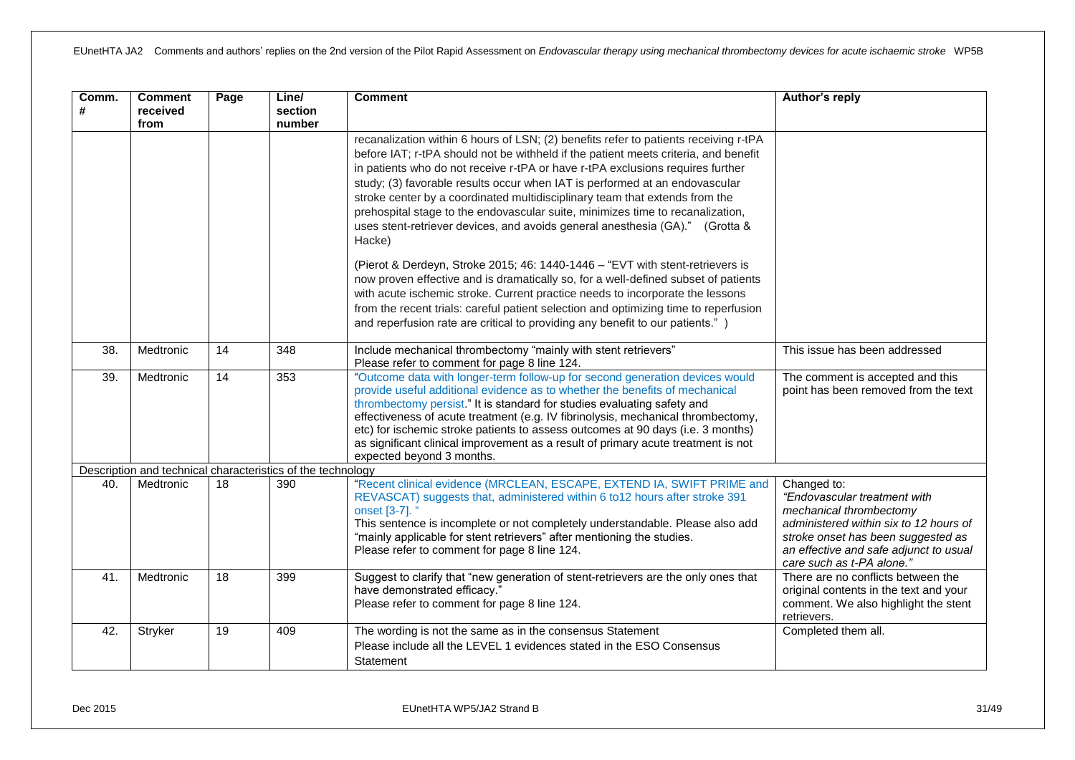| Comm.<br># | <b>Comment</b><br>received<br>from | Page            | Line/<br>section<br>number                                  | <b>Comment</b>                                                                                                                                                                                                                                                                                                                                                                                                                                                                                                                                                                                          | Author's reply                                                                                                                                                                                                                |
|------------|------------------------------------|-----------------|-------------------------------------------------------------|---------------------------------------------------------------------------------------------------------------------------------------------------------------------------------------------------------------------------------------------------------------------------------------------------------------------------------------------------------------------------------------------------------------------------------------------------------------------------------------------------------------------------------------------------------------------------------------------------------|-------------------------------------------------------------------------------------------------------------------------------------------------------------------------------------------------------------------------------|
|            |                                    |                 |                                                             | recanalization within 6 hours of LSN; (2) benefits refer to patients receiving r-tPA<br>before IAT; r-tPA should not be withheld if the patient meets criteria, and benefit<br>in patients who do not receive r-tPA or have r-tPA exclusions requires further<br>study; (3) favorable results occur when IAT is performed at an endovascular<br>stroke center by a coordinated multidisciplinary team that extends from the<br>prehospital stage to the endovascular suite, minimizes time to recanalization,<br>uses stent-retriever devices, and avoids general anesthesia (GA)." (Grotta &<br>Hacke) |                                                                                                                                                                                                                               |
|            |                                    |                 |                                                             | (Pierot & Derdeyn, Stroke 2015; 46: 1440-1446 - "EVT with stent-retrievers is<br>now proven effective and is dramatically so, for a well-defined subset of patients<br>with acute ischemic stroke. Current practice needs to incorporate the lessons<br>from the recent trials: careful patient selection and optimizing time to reperfusion<br>and reperfusion rate are critical to providing any benefit to our patients.")                                                                                                                                                                           |                                                                                                                                                                                                                               |
| 38.        | Medtronic                          | 14              | 348                                                         | Include mechanical thrombectomy "mainly with stent retrievers"<br>Please refer to comment for page 8 line 124.                                                                                                                                                                                                                                                                                                                                                                                                                                                                                          | This issue has been addressed                                                                                                                                                                                                 |
| 39.        | Medtronic                          | 14              | 353                                                         | "Outcome data with longer-term follow-up for second generation devices would<br>provide useful additional evidence as to whether the benefits of mechanical<br>thrombectomy persist." It is standard for studies evaluating safety and<br>effectiveness of acute treatment (e.g. IV fibrinolysis, mechanical thrombectomy,<br>etc) for ischemic stroke patients to assess outcomes at 90 days (i.e. 3 months)<br>as significant clinical improvement as a result of primary acute treatment is not<br>expected beyond 3 months.                                                                         | The comment is accepted and this<br>point has been removed from the text                                                                                                                                                      |
|            |                                    |                 | Description and technical characteristics of the technology |                                                                                                                                                                                                                                                                                                                                                                                                                                                                                                                                                                                                         |                                                                                                                                                                                                                               |
| 40.        | Medtronic                          | 18              | 390                                                         | "Recent clinical evidence (MRCLEAN, ESCAPE, EXTEND IA, SWIFT PRIME and<br>REVASCAT) suggests that, administered within 6 to 12 hours after stroke 391<br>onset [3-7]. '<br>This sentence is incomplete or not completely understandable. Please also add<br>"mainly applicable for stent retrievers" after mentioning the studies.<br>Please refer to comment for page 8 line 124.                                                                                                                                                                                                                      | Changed to:<br>"Endovascular treatment with<br>mechanical thrombectomy<br>administered within six to 12 hours of<br>stroke onset has been suggested as<br>an effective and safe adjunct to usual<br>care such as t-PA alone." |
| 41.        | Medtronic                          | $\overline{18}$ | 399                                                         | Suggest to clarify that "new generation of stent-retrievers are the only ones that<br>have demonstrated efficacy."<br>Please refer to comment for page 8 line 124.                                                                                                                                                                                                                                                                                                                                                                                                                                      | There are no conflicts between the<br>original contents in the text and your<br>comment. We also highlight the stent<br>retrievers.                                                                                           |
| 42.        | Stryker                            | 19              | 409                                                         | The wording is not the same as in the consensus Statement<br>Please include all the LEVEL 1 evidences stated in the ESO Consensus<br>Statement                                                                                                                                                                                                                                                                                                                                                                                                                                                          | Completed them all.                                                                                                                                                                                                           |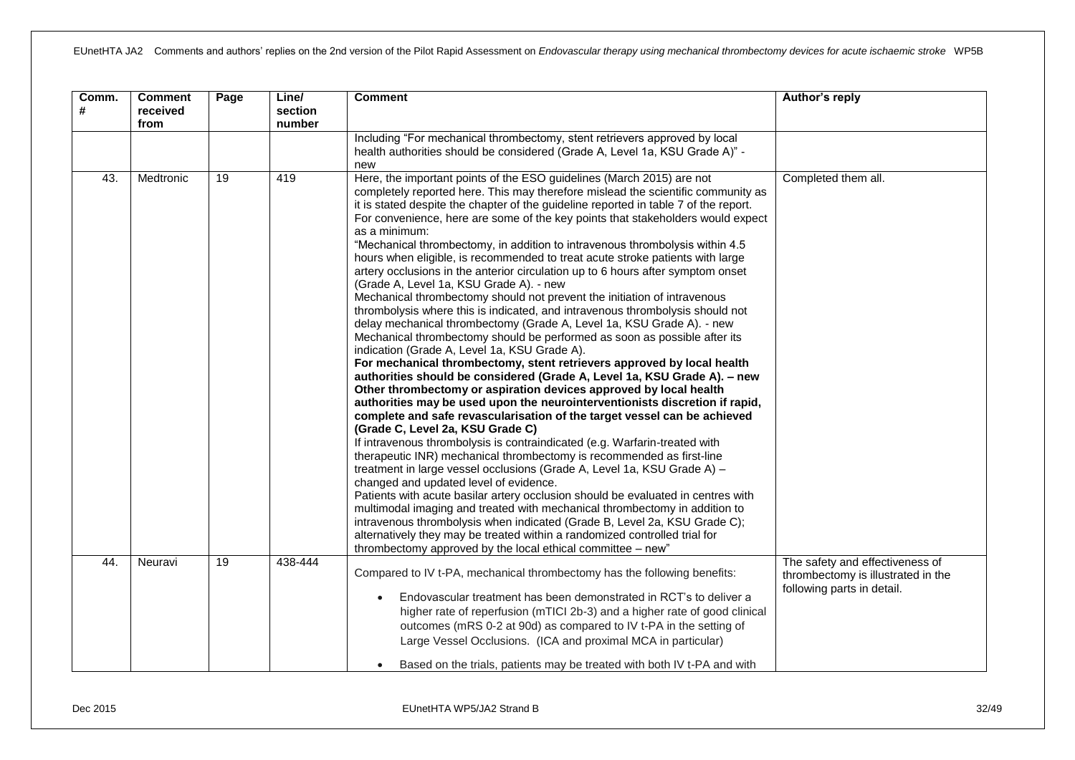| Comm.<br># | <b>Comment</b><br>received<br>from | Page | Line/<br>section<br>number | <b>Comment</b>                                                                                                                                                                                                                                                                                                                                                                                                                                                                                                                                                                                                                                                                                                                                                                                                                                                                                                                                                                                                                                                                                                                                                                                                                                                                                                                                                                                                                                                                                                                                                                                                                                                                                                                                                                                                                                                                                                                                                                                                                                                                                                            | Author's reply                                                                                      |
|------------|------------------------------------|------|----------------------------|---------------------------------------------------------------------------------------------------------------------------------------------------------------------------------------------------------------------------------------------------------------------------------------------------------------------------------------------------------------------------------------------------------------------------------------------------------------------------------------------------------------------------------------------------------------------------------------------------------------------------------------------------------------------------------------------------------------------------------------------------------------------------------------------------------------------------------------------------------------------------------------------------------------------------------------------------------------------------------------------------------------------------------------------------------------------------------------------------------------------------------------------------------------------------------------------------------------------------------------------------------------------------------------------------------------------------------------------------------------------------------------------------------------------------------------------------------------------------------------------------------------------------------------------------------------------------------------------------------------------------------------------------------------------------------------------------------------------------------------------------------------------------------------------------------------------------------------------------------------------------------------------------------------------------------------------------------------------------------------------------------------------------------------------------------------------------------------------------------------------------|-----------------------------------------------------------------------------------------------------|
|            |                                    |      |                            | Including "For mechanical thrombectomy, stent retrievers approved by local<br>health authorities should be considered (Grade A, Level 1a, KSU Grade A)" -<br>new                                                                                                                                                                                                                                                                                                                                                                                                                                                                                                                                                                                                                                                                                                                                                                                                                                                                                                                                                                                                                                                                                                                                                                                                                                                                                                                                                                                                                                                                                                                                                                                                                                                                                                                                                                                                                                                                                                                                                          |                                                                                                     |
| 43.        | Medtronic                          | 19   | 419                        | Here, the important points of the ESO guidelines (March 2015) are not<br>completely reported here. This may therefore mislead the scientific community as<br>it is stated despite the chapter of the guideline reported in table 7 of the report.<br>For convenience, here are some of the key points that stakeholders would expect<br>as a minimum:<br>"Mechanical thrombectomy, in addition to intravenous thrombolysis within 4.5<br>hours when eligible, is recommended to treat acute stroke patients with large<br>artery occlusions in the anterior circulation up to 6 hours after symptom onset<br>(Grade A, Level 1a, KSU Grade A). - new<br>Mechanical thrombectomy should not prevent the initiation of intravenous<br>thrombolysis where this is indicated, and intravenous thrombolysis should not<br>delay mechanical thrombectomy (Grade A, Level 1a, KSU Grade A). - new<br>Mechanical thrombectomy should be performed as soon as possible after its<br>indication (Grade A, Level 1a, KSU Grade A).<br>For mechanical thrombectomy, stent retrievers approved by local health<br>authorities should be considered (Grade A, Level 1a, KSU Grade A). - new<br>Other thrombectomy or aspiration devices approved by local health<br>authorities may be used upon the neurointerventionists discretion if rapid,<br>complete and safe revascularisation of the target vessel can be achieved<br>(Grade C, Level 2a, KSU Grade C)<br>If intravenous thrombolysis is contraindicated (e.g. Warfarin-treated with<br>therapeutic INR) mechanical thrombectomy is recommended as first-line<br>treatment in large vessel occlusions (Grade A, Level 1a, KSU Grade A) -<br>changed and updated level of evidence.<br>Patients with acute basilar artery occlusion should be evaluated in centres with<br>multimodal imaging and treated with mechanical thrombectomy in addition to<br>intravenous thrombolysis when indicated (Grade B, Level 2a, KSU Grade C);<br>alternatively they may be treated within a randomized controlled trial for<br>thrombectomy approved by the local ethical committee - new" | Completed them all.                                                                                 |
| 44.        | Neuravi                            | 19   | 438-444                    | Compared to IV t-PA, mechanical thrombectomy has the following benefits:<br>Endovascular treatment has been demonstrated in RCT's to deliver a<br>higher rate of reperfusion (mTICI 2b-3) and a higher rate of good clinical<br>outcomes (mRS 0-2 at 90d) as compared to IV t-PA in the setting of<br>Large Vessel Occlusions. (ICA and proximal MCA in particular)<br>Based on the trials, patients may be treated with both IV t-PA and with                                                                                                                                                                                                                                                                                                                                                                                                                                                                                                                                                                                                                                                                                                                                                                                                                                                                                                                                                                                                                                                                                                                                                                                                                                                                                                                                                                                                                                                                                                                                                                                                                                                                            | The safety and effectiveness of<br>thrombectomy is illustrated in the<br>following parts in detail. |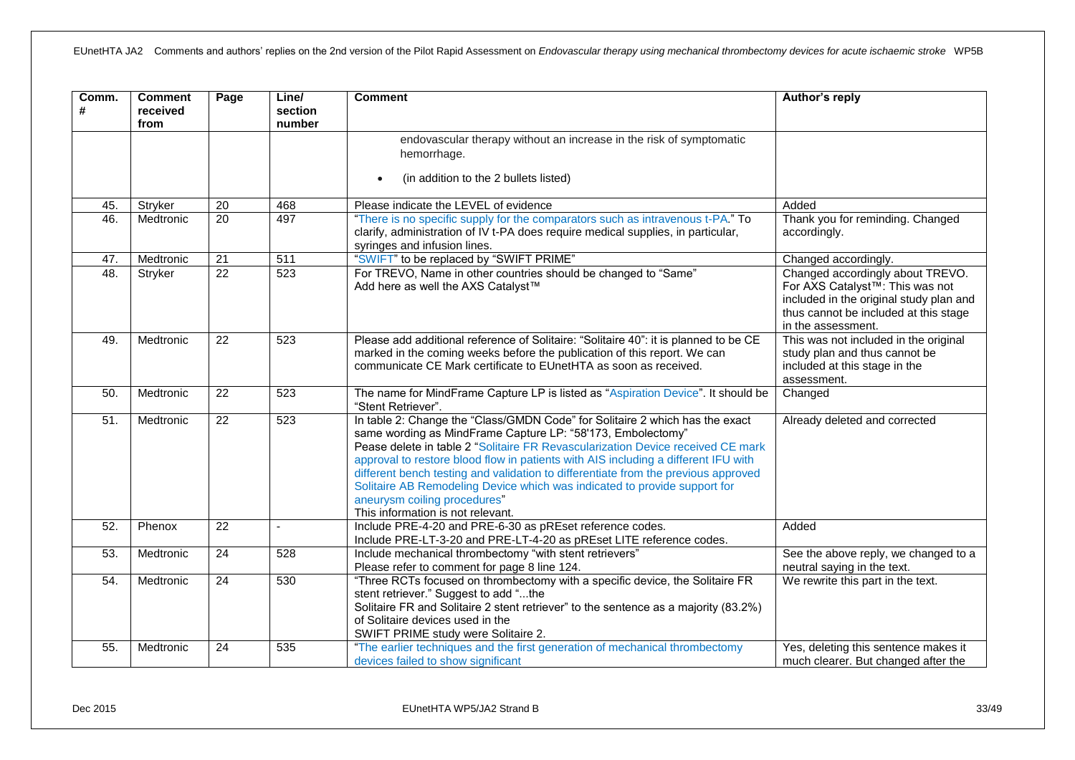| Comm.<br># | <b>Comment</b><br>received<br>from | Page            | Line/<br>section<br>number | <b>Comment</b>                                                                                                                                                                                                                                                                                                                                                                                                                                                                                                                                               | Author's reply                                                                                                                                                                             |
|------------|------------------------------------|-----------------|----------------------------|--------------------------------------------------------------------------------------------------------------------------------------------------------------------------------------------------------------------------------------------------------------------------------------------------------------------------------------------------------------------------------------------------------------------------------------------------------------------------------------------------------------------------------------------------------------|--------------------------------------------------------------------------------------------------------------------------------------------------------------------------------------------|
|            |                                    |                 |                            | endovascular therapy without an increase in the risk of symptomatic<br>hemorrhage.                                                                                                                                                                                                                                                                                                                                                                                                                                                                           |                                                                                                                                                                                            |
|            |                                    |                 |                            | (in addition to the 2 bullets listed)<br>$\bullet$                                                                                                                                                                                                                                                                                                                                                                                                                                                                                                           |                                                                                                                                                                                            |
| 45.        | Stryker                            | 20              | 468                        | Please indicate the LEVEL of evidence                                                                                                                                                                                                                                                                                                                                                                                                                                                                                                                        | Added                                                                                                                                                                                      |
| 46.        | Medtronic                          | $\overline{20}$ | 497                        | "There is no specific supply for the comparators such as intravenous t-PA." To<br>clarify, administration of IV t-PA does require medical supplies, in particular,<br>syringes and infusion lines.                                                                                                                                                                                                                                                                                                                                                           | Thank you for reminding. Changed<br>accordingly.                                                                                                                                           |
| 47.        | Medtronic                          | $\overline{21}$ | 511                        | "SWIFT" to be replaced by "SWIFT PRIME"                                                                                                                                                                                                                                                                                                                                                                                                                                                                                                                      | Changed accordingly.                                                                                                                                                                       |
| 48.        | Stryker                            | $\overline{22}$ | 523                        | For TREVO, Name in other countries should be changed to "Same"<br>Add here as well the AXS Catalyst™                                                                                                                                                                                                                                                                                                                                                                                                                                                         | Changed accordingly about TREVO.<br>For AXS Catalyst <sup>™</sup> : This was not<br>included in the original study plan and<br>thus cannot be included at this stage<br>in the assessment. |
| 49.        | Medtronic                          | $\overline{22}$ | 523                        | Please add additional reference of Solitaire: "Solitaire 40": it is planned to be CE<br>marked in the coming weeks before the publication of this report. We can<br>communicate CE Mark certificate to EUnetHTA as soon as received.                                                                                                                                                                                                                                                                                                                         | This was not included in the original<br>study plan and thus cannot be<br>included at this stage in the<br>assessment.                                                                     |
| 50.        | Medtronic                          | 22              | 523                        | The name for MindFrame Capture LP is listed as "Aspiration Device". It should be<br>"Stent Retriever".                                                                                                                                                                                                                                                                                                                                                                                                                                                       | Changed                                                                                                                                                                                    |
| 51.        | Medtronic                          | $\overline{22}$ | $\overline{523}$           | In table 2: Change the "Class/GMDN Code" for Solitaire 2 which has the exact<br>same wording as MindFrame Capture LP: "58'173, Embolectomy"<br>Pease delete in table 2 "Solitaire FR Revascularization Device received CE mark<br>approval to restore blood flow in patients with AIS including a different IFU with<br>different bench testing and validation to differentiate from the previous approved<br>Solitaire AB Remodeling Device which was indicated to provide support for<br>aneurysm coiling procedures"<br>This information is not relevant. | Already deleted and corrected                                                                                                                                                              |
| 52.        | Phenox                             | 22              |                            | Include PRE-4-20 and PRE-6-30 as pREset reference codes.<br>Include PRE-LT-3-20 and PRE-LT-4-20 as pREset LITE reference codes.                                                                                                                                                                                                                                                                                                                                                                                                                              | Added                                                                                                                                                                                      |
| 53.        | Medtronic                          | 24              | 528                        | Include mechanical thrombectomy "with stent retrievers"<br>Please refer to comment for page 8 line 124.                                                                                                                                                                                                                                                                                                                                                                                                                                                      | See the above reply, we changed to a<br>neutral saying in the text.                                                                                                                        |
| 54.        | Medtronic                          | $\overline{24}$ | 530                        | "Three RCTs focused on thrombectomy with a specific device, the Solitaire FR<br>stent retriever." Suggest to add "the<br>Solitaire FR and Solitaire 2 stent retriever" to the sentence as a majority (83.2%)<br>of Solitaire devices used in the<br>SWIFT PRIME study were Solitaire 2.                                                                                                                                                                                                                                                                      | We rewrite this part in the text.                                                                                                                                                          |
| 55.        | Medtronic                          | 24              | 535                        | "The earlier techniques and the first generation of mechanical thrombectomy<br>devices failed to show significant                                                                                                                                                                                                                                                                                                                                                                                                                                            | Yes, deleting this sentence makes it<br>much clearer. But changed after the                                                                                                                |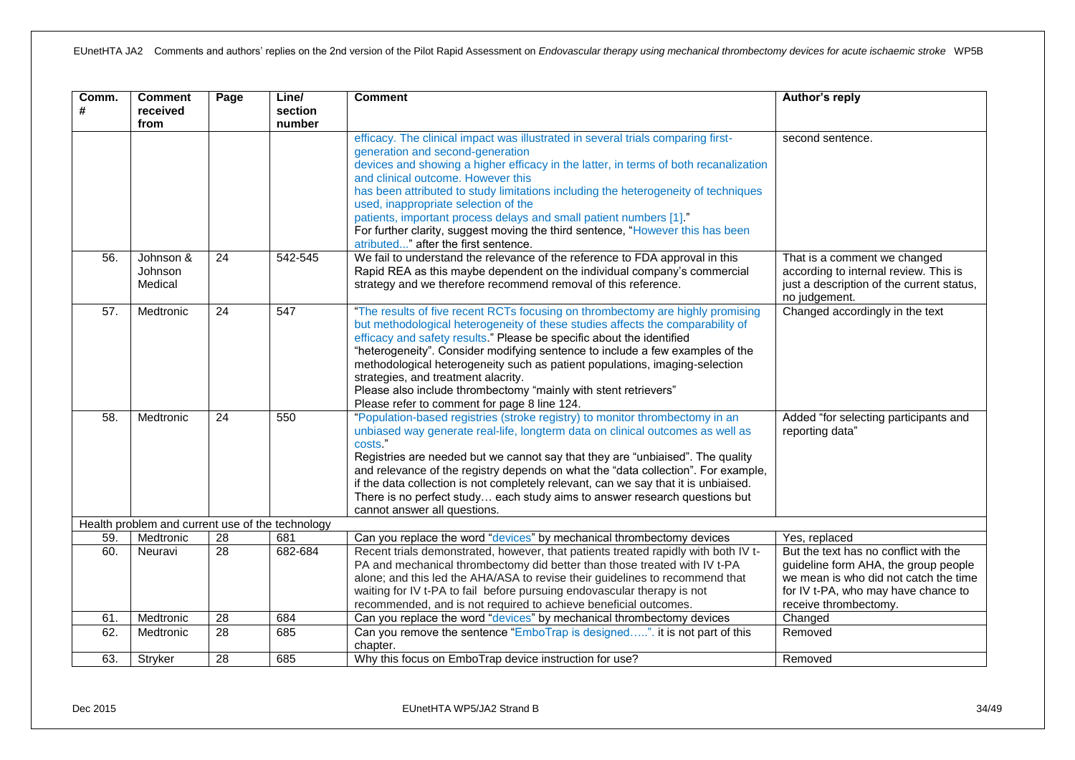| Comm.<br># | <b>Comment</b><br>received<br>from               | Page            | Line/<br>section<br>number | <b>Comment</b>                                                                                                                                                                                                                                                                                                                                                                                                                                                                                                                                                                   | Author's reply                                                                                                                                                                         |
|------------|--------------------------------------------------|-----------------|----------------------------|----------------------------------------------------------------------------------------------------------------------------------------------------------------------------------------------------------------------------------------------------------------------------------------------------------------------------------------------------------------------------------------------------------------------------------------------------------------------------------------------------------------------------------------------------------------------------------|----------------------------------------------------------------------------------------------------------------------------------------------------------------------------------------|
|            |                                                  |                 |                            | efficacy. The clinical impact was illustrated in several trials comparing first-<br>generation and second-generation<br>devices and showing a higher efficacy in the latter, in terms of both recanalization<br>and clinical outcome. However this<br>has been attributed to study limitations including the heterogeneity of techniques<br>used, inappropriate selection of the<br>patients, important process delays and small patient numbers [1]."<br>For further clarity, suggest moving the third sentence, "However this has been<br>atributed" after the first sentence. | second sentence.                                                                                                                                                                       |
| 56.        | Johnson &<br>Johnson<br>Medical                  | $\overline{24}$ | 542-545                    | We fail to understand the relevance of the reference to FDA approval in this<br>Rapid REA as this maybe dependent on the individual company's commercial<br>strategy and we therefore recommend removal of this reference.                                                                                                                                                                                                                                                                                                                                                       | That is a comment we changed<br>according to internal review. This is<br>just a description of the current status,<br>no judgement.                                                    |
| 57.        | Medtronic                                        | $\overline{24}$ | 547                        | "The results of five recent RCTs focusing on thrombectomy are highly promising<br>but methodological heterogeneity of these studies affects the comparability of<br>efficacy and safety results." Please be specific about the identified<br>"heterogeneity". Consider modifying sentence to include a few examples of the<br>methodological heterogeneity such as patient populations, imaging-selection<br>strategies, and treatment alacrity.<br>Please also include thrombectomy "mainly with stent retrievers"<br>Please refer to comment for page 8 line 124.              | Changed accordingly in the text                                                                                                                                                        |
| 58.        | Medtronic                                        | 24              | 550                        | "Population-based registries (stroke registry) to monitor thrombectomy in an<br>unbiased way generate real-life, longterm data on clinical outcomes as well as<br>costs."<br>Registries are needed but we cannot say that they are "unbiaised". The quality<br>and relevance of the registry depends on what the "data collection". For example,<br>if the data collection is not completely relevant, can we say that it is unbiaised.<br>There is no perfect study each study aims to answer research questions but<br>cannot answer all questions.                            | Added "for selecting participants and<br>reporting data"                                                                                                                               |
|            | Health problem and current use of the technology |                 |                            |                                                                                                                                                                                                                                                                                                                                                                                                                                                                                                                                                                                  |                                                                                                                                                                                        |
| 59.        | Medtronic                                        | 28              | 681                        | Can you replace the word "devices" by mechanical thrombectomy devices                                                                                                                                                                                                                                                                                                                                                                                                                                                                                                            | Yes, replaced                                                                                                                                                                          |
| 60.        | Neuravi                                          | $\overline{28}$ | 682-684                    | Recent trials demonstrated, however, that patients treated rapidly with both IV t-<br>PA and mechanical thrombectomy did better than those treated with IV t-PA<br>alone; and this led the AHA/ASA to revise their guidelines to recommend that<br>waiting for IV t-PA to fail before pursuing endovascular therapy is not<br>recommended, and is not required to achieve beneficial outcomes.                                                                                                                                                                                   | But the text has no conflict with the<br>guideline form AHA, the group people<br>we mean is who did not catch the time<br>for IV t-PA, who may have chance to<br>receive thrombectomy. |
| 61.        | Medtronic                                        | 28              | 684                        | Can you replace the word "devices" by mechanical thrombectomy devices                                                                                                                                                                                                                                                                                                                                                                                                                                                                                                            | Changed                                                                                                                                                                                |
| 62.        | Medtronic                                        | $\overline{28}$ | 685                        | Can you remove the sentence "EmboTrap is designed". it is not part of this<br>chapter.                                                                                                                                                                                                                                                                                                                                                                                                                                                                                           | Removed                                                                                                                                                                                |
| 63.        | Stryker                                          | $\overline{28}$ | 685                        | Why this focus on EmboTrap device instruction for use?                                                                                                                                                                                                                                                                                                                                                                                                                                                                                                                           | Removed                                                                                                                                                                                |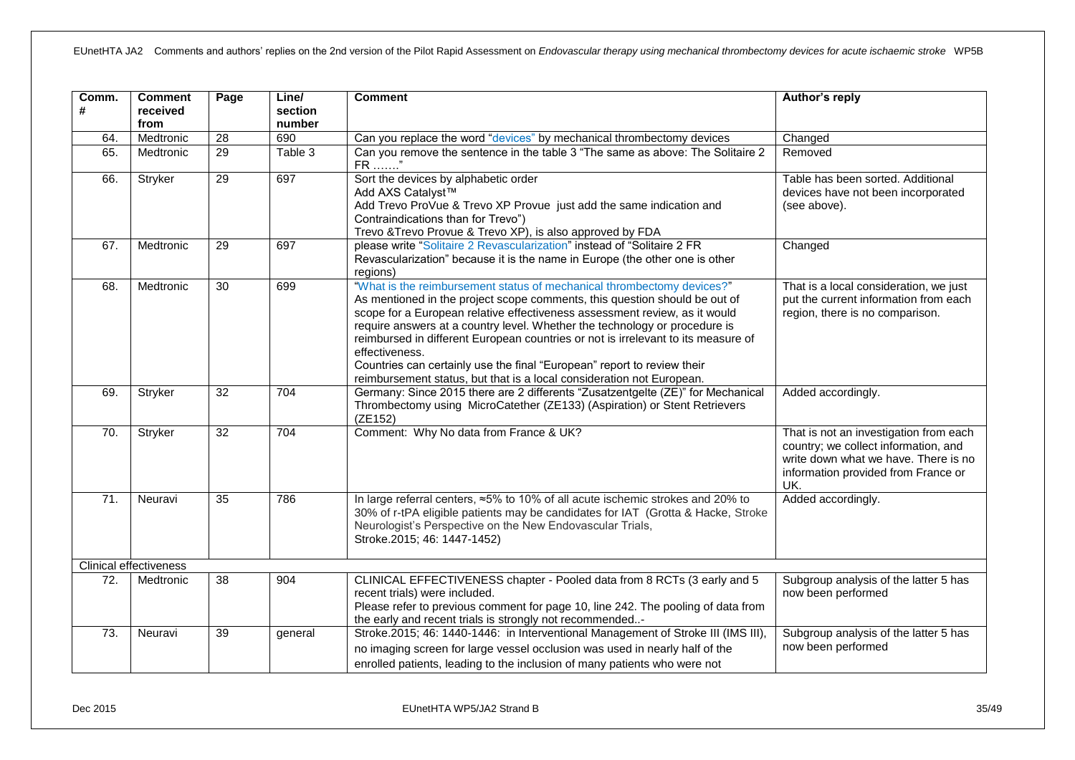| Comm.<br># | <b>Comment</b><br>received<br>from | Page            | Line/<br>section<br>number | <b>Comment</b>                                                                                                                                                                                                                                                                                                                                                                                                                                                                                                                                                              | Author's reply                                                                                                                                                       |
|------------|------------------------------------|-----------------|----------------------------|-----------------------------------------------------------------------------------------------------------------------------------------------------------------------------------------------------------------------------------------------------------------------------------------------------------------------------------------------------------------------------------------------------------------------------------------------------------------------------------------------------------------------------------------------------------------------------|----------------------------------------------------------------------------------------------------------------------------------------------------------------------|
| 64.        | Medtronic                          | 28              | 690                        | Can you replace the word "devices" by mechanical thrombectomy devices                                                                                                                                                                                                                                                                                                                                                                                                                                                                                                       | Changed                                                                                                                                                              |
| 65.        | Medtronic                          | 29              | Table 3                    | Can you remove the sentence in the table 3 "The same as above: The Solitaire 2<br>FR "                                                                                                                                                                                                                                                                                                                                                                                                                                                                                      | Removed                                                                                                                                                              |
| 66.        | Stryker                            | 29              | 697                        | Sort the devices by alphabetic order<br>Add AXS Catalyst™<br>Add Trevo ProVue & Trevo XP Provue just add the same indication and<br>Contraindications than for Trevo")<br>Trevo & Trevo Provue & Trevo XP), is also approved by FDA                                                                                                                                                                                                                                                                                                                                         | Table has been sorted. Additional<br>devices have not been incorporated<br>(see above).                                                                              |
| 67.        | Medtronic                          | 29              | 697                        | please write "Solitaire 2 Revascularization" instead of "Solitaire 2 FR<br>Revascularization" because it is the name in Europe (the other one is other<br>regions)                                                                                                                                                                                                                                                                                                                                                                                                          | Changed                                                                                                                                                              |
| 68.        | Medtronic                          | $\overline{30}$ | 699                        | "What is the reimbursement status of mechanical thrombectomy devices?"<br>As mentioned in the project scope comments, this question should be out of<br>scope for a European relative effectiveness assessment review, as it would<br>require answers at a country level. Whether the technology or procedure is<br>reimbursed in different European countries or not is irrelevant to its measure of<br>effectiveness.<br>Countries can certainly use the final "European" report to review their<br>reimbursement status, but that is a local consideration not European. | That is a local consideration, we just<br>put the current information from each<br>region, there is no comparison.                                                   |
| 69.        | Stryker                            | 32              | 704                        | Germany: Since 2015 there are 2 differents "Zusatzentgelte (ZE)" for Mechanical<br>Thrombectomy using MicroCatether (ZE133) (Aspiration) or Stent Retrievers<br>(ZE152)                                                                                                                                                                                                                                                                                                                                                                                                     | Added accordingly.                                                                                                                                                   |
| 70.        | Stryker                            | 32              | 704                        | Comment: Why No data from France & UK?                                                                                                                                                                                                                                                                                                                                                                                                                                                                                                                                      | That is not an investigation from each<br>country; we collect information, and<br>write down what we have. There is no<br>information provided from France or<br>UK. |
| 71.        | Neuravi                            | 35              | 786                        | In large referral centers, ≈5% to 10% of all acute ischemic strokes and 20% to<br>30% of r-tPA eligible patients may be candidates for IAT (Grotta & Hacke, Stroke<br>Neurologist's Perspective on the New Endovascular Trials,<br>Stroke.2015; 46: 1447-1452)                                                                                                                                                                                                                                                                                                              | Added accordingly.                                                                                                                                                   |
|            | <b>Clinical effectiveness</b>      |                 |                            |                                                                                                                                                                                                                                                                                                                                                                                                                                                                                                                                                                             |                                                                                                                                                                      |
| 72.        | Medtronic                          | 38              | 904                        | CLINICAL EFFECTIVENESS chapter - Pooled data from 8 RCTs (3 early and 5<br>recent trials) were included.<br>Please refer to previous comment for page 10, line 242. The pooling of data from<br>the early and recent trials is strongly not recommended-                                                                                                                                                                                                                                                                                                                    | Subgroup analysis of the latter 5 has<br>now been performed                                                                                                          |
| 73.        | Neuravi                            | 39              | general                    | Stroke.2015; 46: 1440-1446: in Interventional Management of Stroke III (IMS III),<br>no imaging screen for large vessel occlusion was used in nearly half of the<br>enrolled patients, leading to the inclusion of many patients who were not                                                                                                                                                                                                                                                                                                                               | Subgroup analysis of the latter 5 has<br>now been performed                                                                                                          |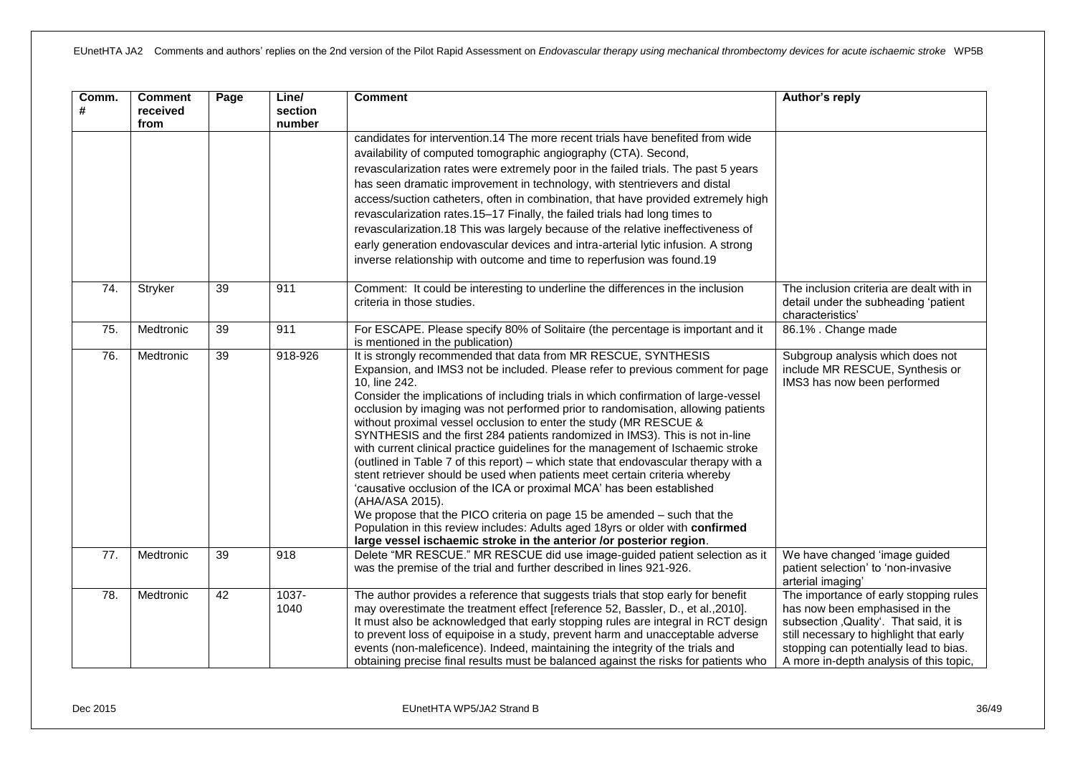| Comm.<br># | <b>Comment</b><br>received<br>from | Page            | Line/<br>section<br>number | <b>Comment</b>                                                                                                                                                                                                                                                                                                                                                                                                                                                                                                                                                                                                                                                                                                                                                                                                                                                                                                                                                                                                                                                                             | Author's reply                                                                                                                                                                                                                                     |
|------------|------------------------------------|-----------------|----------------------------|--------------------------------------------------------------------------------------------------------------------------------------------------------------------------------------------------------------------------------------------------------------------------------------------------------------------------------------------------------------------------------------------------------------------------------------------------------------------------------------------------------------------------------------------------------------------------------------------------------------------------------------------------------------------------------------------------------------------------------------------------------------------------------------------------------------------------------------------------------------------------------------------------------------------------------------------------------------------------------------------------------------------------------------------------------------------------------------------|----------------------------------------------------------------------------------------------------------------------------------------------------------------------------------------------------------------------------------------------------|
|            |                                    |                 |                            | candidates for intervention.14 The more recent trials have benefited from wide<br>availability of computed tomographic angiography (CTA). Second,<br>revascularization rates were extremely poor in the failed trials. The past 5 years<br>has seen dramatic improvement in technology, with stentrievers and distal<br>access/suction catheters, often in combination, that have provided extremely high<br>revascularization rates.15-17 Finally, the failed trials had long times to<br>revascularization.18 This was largely because of the relative ineffectiveness of<br>early generation endovascular devices and intra-arterial lytic infusion. A strong<br>inverse relationship with outcome and time to reperfusion was found.19                                                                                                                                                                                                                                                                                                                                                 |                                                                                                                                                                                                                                                    |
| 74.        | Stryker                            | 39              | 911                        | Comment: It could be interesting to underline the differences in the inclusion<br>criteria in those studies.                                                                                                                                                                                                                                                                                                                                                                                                                                                                                                                                                                                                                                                                                                                                                                                                                                                                                                                                                                               | The inclusion criteria are dealt with in<br>detail under the subheading 'patient<br>characteristics'                                                                                                                                               |
| 75.        | Medtronic                          | 39              | 911                        | For ESCAPE. Please specify 80% of Solitaire (the percentage is important and it<br>is mentioned in the publication)                                                                                                                                                                                                                                                                                                                                                                                                                                                                                                                                                                                                                                                                                                                                                                                                                                                                                                                                                                        | 86.1%. Change made                                                                                                                                                                                                                                 |
| 76.        | Medtronic                          | $\overline{39}$ | 918-926                    | It is strongly recommended that data from MR RESCUE, SYNTHESIS<br>Expansion, and IMS3 not be included. Please refer to previous comment for page<br>10, line 242.<br>Consider the implications of including trials in which confirmation of large-vessel<br>occlusion by imaging was not performed prior to randomisation, allowing patients<br>without proximal vessel occlusion to enter the study (MR RESCUE &<br>SYNTHESIS and the first 284 patients randomized in IMS3). This is not in-line<br>with current clinical practice guidelines for the management of Ischaemic stroke<br>(outlined in Table 7 of this report) – which state that endovascular therapy with a<br>stent retriever should be used when patients meet certain criteria whereby<br>'causative occlusion of the ICA or proximal MCA' has been established<br>(AHA/ASA 2015).<br>We propose that the PICO criteria on page 15 be amended - such that the<br>Population in this review includes: Adults aged 18yrs or older with confirmed<br>large vessel ischaemic stroke in the anterior /or posterior region. | Subgroup analysis which does not<br>include MR RESCUE, Synthesis or<br>IMS3 has now been performed                                                                                                                                                 |
| 77.        | Medtronic                          | 39              | 918                        | Delete "MR RESCUE." MR RESCUE did use image-guided patient selection as it<br>was the premise of the trial and further described in lines 921-926.                                                                                                                                                                                                                                                                                                                                                                                                                                                                                                                                                                                                                                                                                                                                                                                                                                                                                                                                         | We have changed 'image guided<br>patient selection' to 'non-invasive<br>arterial imaging'                                                                                                                                                          |
| 78.        | Medtronic                          | 42              | 1037-<br>1040              | The author provides a reference that suggests trials that stop early for benefit<br>may overestimate the treatment effect [reference 52, Bassler, D., et al., 2010].<br>It must also be acknowledged that early stopping rules are integral in RCT design<br>to prevent loss of equipoise in a study, prevent harm and unacceptable adverse<br>events (non-maleficence). Indeed, maintaining the integrity of the trials and<br>obtaining precise final results must be balanced against the risks for patients who                                                                                                                                                                                                                                                                                                                                                                                                                                                                                                                                                                        | The importance of early stopping rules<br>has now been emphasised in the<br>subsection, Quality'. That said, it is<br>still necessary to highlight that early<br>stopping can potentially lead to bias.<br>A more in-depth analysis of this topic, |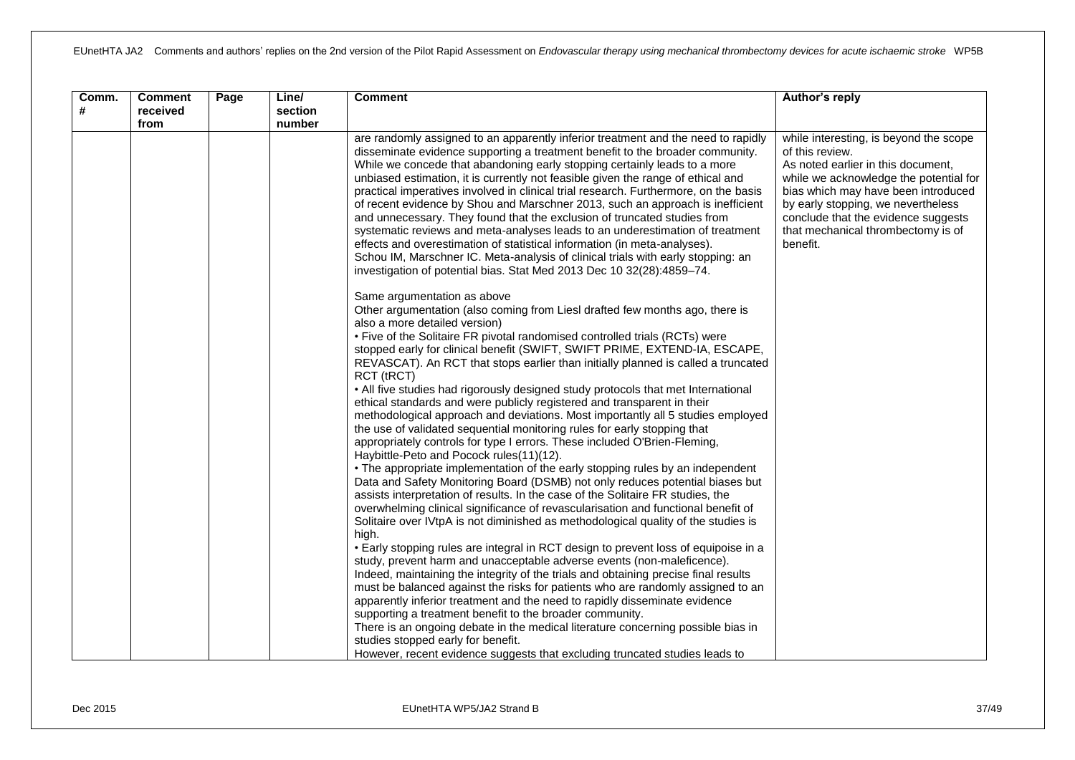| Comm.<br># | <b>Comment</b><br>received<br>from | Page | Line/<br>section<br>number | <b>Comment</b>                                                                                                                                                                                                                                                                                                                                                                                                                                                                                                                                                                                                                                                                                                                                                                                                                                                                                                                                                                                                                                                                                                                                                                                                                                                                                                                                                                                                                                                                                                                                                         | Author's reply                                                                                                                                                                                                                                                                                                  |
|------------|------------------------------------|------|----------------------------|------------------------------------------------------------------------------------------------------------------------------------------------------------------------------------------------------------------------------------------------------------------------------------------------------------------------------------------------------------------------------------------------------------------------------------------------------------------------------------------------------------------------------------------------------------------------------------------------------------------------------------------------------------------------------------------------------------------------------------------------------------------------------------------------------------------------------------------------------------------------------------------------------------------------------------------------------------------------------------------------------------------------------------------------------------------------------------------------------------------------------------------------------------------------------------------------------------------------------------------------------------------------------------------------------------------------------------------------------------------------------------------------------------------------------------------------------------------------------------------------------------------------------------------------------------------------|-----------------------------------------------------------------------------------------------------------------------------------------------------------------------------------------------------------------------------------------------------------------------------------------------------------------|
|            |                                    |      |                            | are randomly assigned to an apparently inferior treatment and the need to rapidly<br>disseminate evidence supporting a treatment benefit to the broader community.<br>While we concede that abandoning early stopping certainly leads to a more<br>unbiased estimation, it is currently not feasible given the range of ethical and<br>practical imperatives involved in clinical trial research. Furthermore, on the basis<br>of recent evidence by Shou and Marschner 2013, such an approach is inefficient<br>and unnecessary. They found that the exclusion of truncated studies from<br>systematic reviews and meta-analyses leads to an underestimation of treatment<br>effects and overestimation of statistical information (in meta-analyses).<br>Schou IM, Marschner IC. Meta-analysis of clinical trials with early stopping: an<br>investigation of potential bias. Stat Med 2013 Dec 10 32(28):4859-74.                                                                                                                                                                                                                                                                                                                                                                                                                                                                                                                                                                                                                                                   | while interesting, is beyond the scope<br>of this review.<br>As noted earlier in this document,<br>while we acknowledge the potential for<br>bias which may have been introduced<br>by early stopping, we nevertheless<br>conclude that the evidence suggests<br>that mechanical thrombectomy is of<br>benefit. |
|            |                                    |      |                            | Same argumentation as above<br>Other argumentation (also coming from LiesI drafted few months ago, there is<br>also a more detailed version)<br>• Five of the Solitaire FR pivotal randomised controlled trials (RCTs) were<br>stopped early for clinical benefit (SWIFT, SWIFT PRIME, EXTEND-IA, ESCAPE,<br>REVASCAT). An RCT that stops earlier than initially planned is called a truncated<br>RCT (tRCT)<br>• All five studies had rigorously designed study protocols that met International<br>ethical standards and were publicly registered and transparent in their<br>methodological approach and deviations. Most importantly all 5 studies employed<br>the use of validated sequential monitoring rules for early stopping that<br>appropriately controls for type I errors. These included O'Brien-Fleming,<br>Haybittle-Peto and Pocock rules(11)(12).<br>• The appropriate implementation of the early stopping rules by an independent<br>Data and Safety Monitoring Board (DSMB) not only reduces potential biases but<br>assists interpretation of results. In the case of the Solitaire FR studies, the<br>overwhelming clinical significance of revascularisation and functional benefit of<br>Solitaire over IVtpA is not diminished as methodological quality of the studies is<br>high.<br>• Early stopping rules are integral in RCT design to prevent loss of equipoise in a<br>study, prevent harm and unacceptable adverse events (non-maleficence).<br>Indeed, maintaining the integrity of the trials and obtaining precise final results |                                                                                                                                                                                                                                                                                                                 |
|            |                                    |      |                            | must be balanced against the risks for patients who are randomly assigned to an<br>apparently inferior treatment and the need to rapidly disseminate evidence<br>supporting a treatment benefit to the broader community.<br>There is an ongoing debate in the medical literature concerning possible bias in<br>studies stopped early for benefit.<br>However, recent evidence suggests that excluding truncated studies leads to                                                                                                                                                                                                                                                                                                                                                                                                                                                                                                                                                                                                                                                                                                                                                                                                                                                                                                                                                                                                                                                                                                                                     |                                                                                                                                                                                                                                                                                                                 |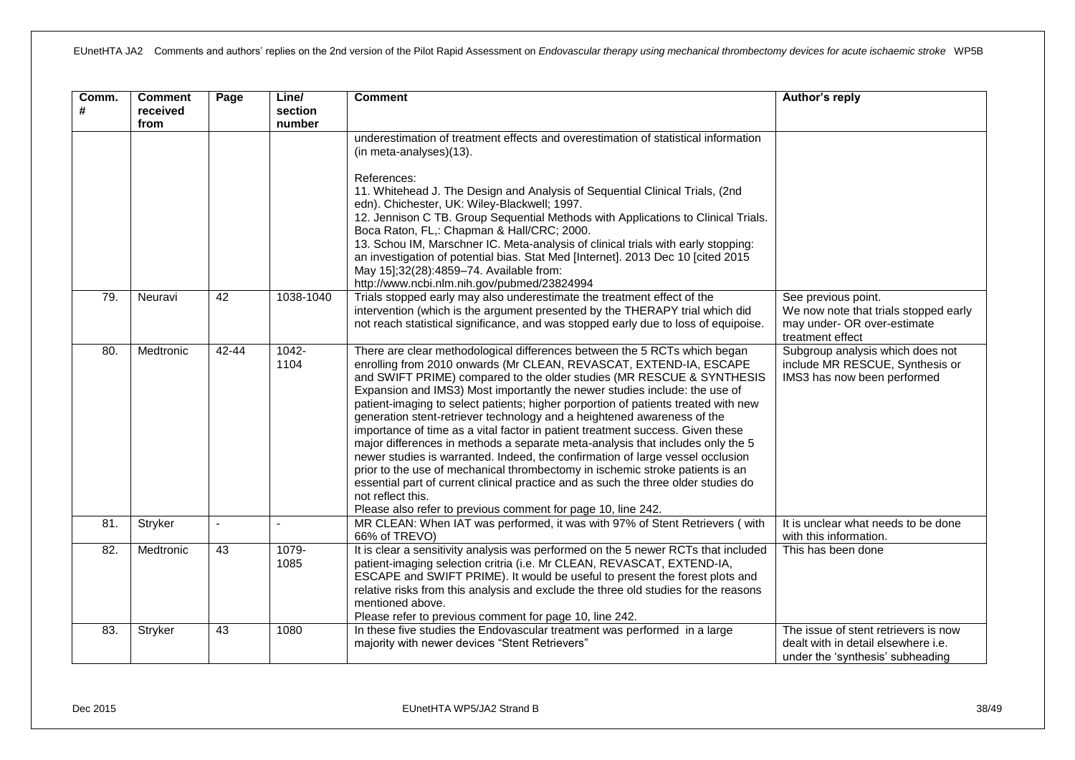| Comm.<br># | <b>Comment</b><br>received<br>from | Page   | Line/<br>section<br>number | <b>Comment</b>                                                                                                                                                                                                                                                                                                                                                                                                                                                                                                                                                                                                                                                                                                                                                                                                                                                                                                                                                                            | Author's reply                                                                                                         |
|------------|------------------------------------|--------|----------------------------|-------------------------------------------------------------------------------------------------------------------------------------------------------------------------------------------------------------------------------------------------------------------------------------------------------------------------------------------------------------------------------------------------------------------------------------------------------------------------------------------------------------------------------------------------------------------------------------------------------------------------------------------------------------------------------------------------------------------------------------------------------------------------------------------------------------------------------------------------------------------------------------------------------------------------------------------------------------------------------------------|------------------------------------------------------------------------------------------------------------------------|
|            |                                    |        |                            | underestimation of treatment effects and overestimation of statistical information<br>(in meta-analyses)(13).                                                                                                                                                                                                                                                                                                                                                                                                                                                                                                                                                                                                                                                                                                                                                                                                                                                                             |                                                                                                                        |
|            |                                    |        |                            | References:<br>11. Whitehead J. The Design and Analysis of Sequential Clinical Trials, (2nd<br>edn). Chichester, UK: Wiley-Blackwell; 1997.<br>12. Jennison C TB. Group Sequential Methods with Applications to Clinical Trials.<br>Boca Raton, FL,: Chapman & Hall/CRC; 2000.<br>13. Schou IM, Marschner IC. Meta-analysis of clinical trials with early stopping:<br>an investigation of potential bias. Stat Med [Internet]. 2013 Dec 10 [cited 2015<br>May 15];32(28):4859-74. Available from:<br>http://www.ncbi.nlm.nih.gov/pubmed/23824994                                                                                                                                                                                                                                                                                                                                                                                                                                         |                                                                                                                        |
| 79.        | Neuravi                            | 42     | 1038-1040                  | Trials stopped early may also underestimate the treatment effect of the<br>intervention (which is the argument presented by the THERAPY trial which did<br>not reach statistical significance, and was stopped early due to loss of equipoise.                                                                                                                                                                                                                                                                                                                                                                                                                                                                                                                                                                                                                                                                                                                                            | See previous point.<br>We now note that trials stopped early<br>may under- OR over-estimate<br>treatment effect        |
| 80.        | Medtronic                          | 42-44  | 1042-<br>1104              | There are clear methodological differences between the 5 RCTs which began<br>enrolling from 2010 onwards (Mr CLEAN, REVASCAT, EXTEND-IA, ESCAPE<br>and SWIFT PRIME) compared to the older studies (MR RESCUE & SYNTHESIS<br>Expansion and IMS3) Most importantly the newer studies include: the use of<br>patient-imaging to select patients; higher porportion of patients treated with new<br>generation stent-retriever technology and a heightened awareness of the<br>importance of time as a vital factor in patient treatment success. Given these<br>major differences in methods a separate meta-analysis that includes only the 5<br>newer studies is warranted. Indeed, the confirmation of large vessel occlusion<br>prior to the use of mechanical thrombectomy in ischemic stroke patients is an<br>essential part of current clinical practice and as such the three older studies do<br>not reflect this.<br>Please also refer to previous comment for page 10, line 242. | Subgroup analysis which does not<br>include MR RESCUE, Synthesis or<br>IMS3 has now been performed                     |
| 81.        | Stryker                            | $\sim$ |                            | MR CLEAN: When IAT was performed, it was with 97% of Stent Retrievers (with<br>66% of TREVO)                                                                                                                                                                                                                                                                                                                                                                                                                                                                                                                                                                                                                                                                                                                                                                                                                                                                                              | It is unclear what needs to be done<br>with this information.                                                          |
| 82.        | Medtronic                          | 43     | 1079-<br>1085              | It is clear a sensitivity analysis was performed on the 5 newer RCTs that included<br>patient-imaging selection critria (i.e. Mr CLEAN, REVASCAT, EXTEND-IA,<br>ESCAPE and SWIFT PRIME). It would be useful to present the forest plots and<br>relative risks from this analysis and exclude the three old studies for the reasons<br>mentioned above.<br>Please refer to previous comment for page 10, line 242.                                                                                                                                                                                                                                                                                                                                                                                                                                                                                                                                                                         | This has been done                                                                                                     |
| 83.        | Stryker                            | 43     | 1080                       | In these five studies the Endovascular treatment was performed in a large<br>majority with newer devices "Stent Retrievers"                                                                                                                                                                                                                                                                                                                                                                                                                                                                                                                                                                                                                                                                                                                                                                                                                                                               | The issue of stent retrievers is now<br>dealt with in detail elsewhere <i>i.e.</i><br>under the 'synthesis' subheading |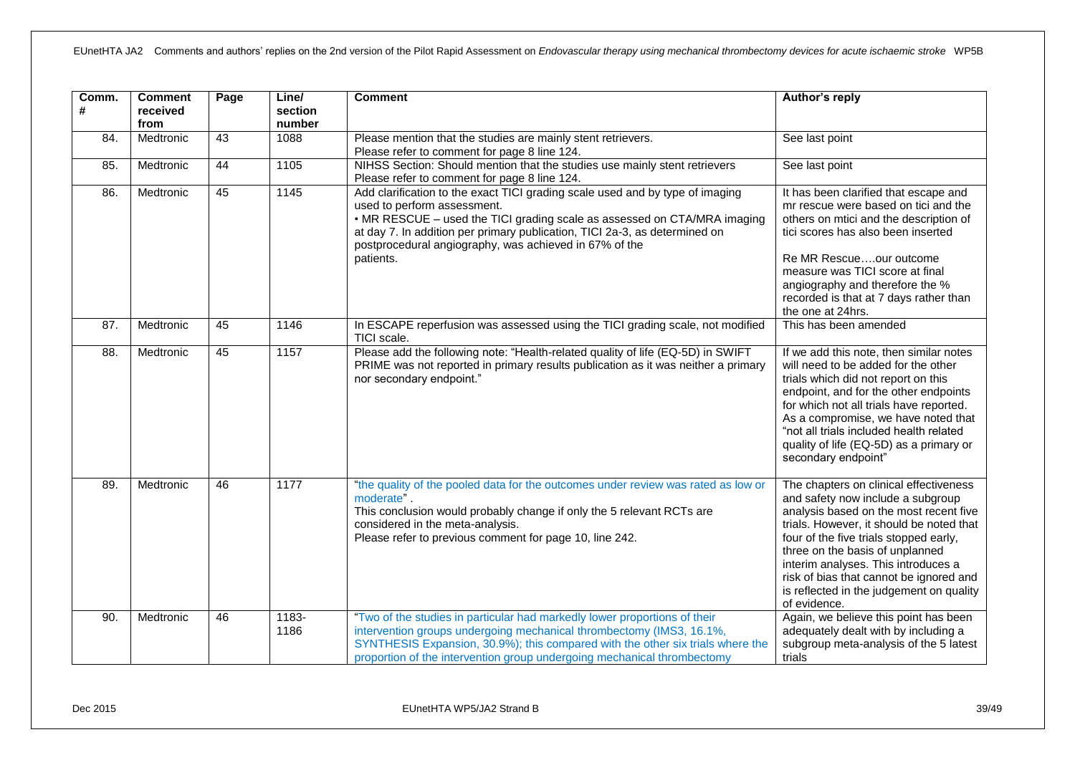| Comm.<br># | <b>Comment</b><br>received<br>from | Page | Line/<br>section<br>number | <b>Comment</b>                                                                                                                                                                                                                                                                                                                                | Author's reply                                                                                                                                                                                                                                                                                                                                                                               |
|------------|------------------------------------|------|----------------------------|-----------------------------------------------------------------------------------------------------------------------------------------------------------------------------------------------------------------------------------------------------------------------------------------------------------------------------------------------|----------------------------------------------------------------------------------------------------------------------------------------------------------------------------------------------------------------------------------------------------------------------------------------------------------------------------------------------------------------------------------------------|
| 84.        | Medtronic                          | 43   | 1088                       | Please mention that the studies are mainly stent retrievers.<br>Please refer to comment for page 8 line 124.                                                                                                                                                                                                                                  | See last point                                                                                                                                                                                                                                                                                                                                                                               |
| 85.        | Medtronic                          | 44   | 1105                       | NIHSS Section: Should mention that the studies use mainly stent retrievers<br>Please refer to comment for page 8 line 124.                                                                                                                                                                                                                    | See last point                                                                                                                                                                                                                                                                                                                                                                               |
| 86.        | Medtronic                          | 45   | 1145                       | Add clarification to the exact TICI grading scale used and by type of imaging<br>used to perform assessment.<br>• MR RESCUE - used the TICI grading scale as assessed on CTA/MRA imaging<br>at day 7. In addition per primary publication, TICI 2a-3, as determined on<br>postprocedural angiography, was achieved in 67% of the<br>patients. | It has been clarified that escape and<br>mr rescue were based on tici and the<br>others on mtici and the description of<br>tici scores has also been inserted<br>Re MR Rescueour outcome<br>measure was TICI score at final                                                                                                                                                                  |
|            |                                    |      |                            |                                                                                                                                                                                                                                                                                                                                               | angiography and therefore the %<br>recorded is that at 7 days rather than<br>the one at 24hrs.                                                                                                                                                                                                                                                                                               |
| 87.        | Medtronic                          | 45   | 1146                       | In ESCAPE reperfusion was assessed using the TICI grading scale, not modified<br>TICI scale.                                                                                                                                                                                                                                                  | This has been amended                                                                                                                                                                                                                                                                                                                                                                        |
| 88.        | Medtronic                          | 45   | 1157                       | Please add the following note: "Health-related quality of life (EQ-5D) in SWIFT<br>PRIME was not reported in primary results publication as it was neither a primary<br>nor secondary endpoint."                                                                                                                                              | If we add this note, then similar notes<br>will need to be added for the other<br>trials which did not report on this<br>endpoint, and for the other endpoints<br>for which not all trials have reported.<br>As a compromise, we have noted that<br>"not all trials included health related<br>quality of life (EQ-5D) as a primary or<br>secondary endpoint"                                |
| 89.        | Medtronic                          | 46   | 1177                       | "the quality of the pooled data for the outcomes under review was rated as low or<br>moderate".<br>This conclusion would probably change if only the 5 relevant RCTs are<br>considered in the meta-analysis.<br>Please refer to previous comment for page 10, line 242.                                                                       | The chapters on clinical effectiveness<br>and safety now include a subgroup<br>analysis based on the most recent five<br>trials. However, it should be noted that<br>four of the five trials stopped early,<br>three on the basis of unplanned<br>interim analyses. This introduces a<br>risk of bias that cannot be ignored and<br>is reflected in the judgement on quality<br>of evidence. |
| 90.        | Medtronic                          | 46   | 1183-<br>1186              | "Two of the studies in particular had markedly lower proportions of their<br>intervention groups undergoing mechanical thrombectomy (IMS3, 16.1%,<br>SYNTHESIS Expansion, 30.9%); this compared with the other six trials where the<br>proportion of the intervention group undergoing mechanical thrombectomy                                | Again, we believe this point has been<br>adequately dealt with by including a<br>subgroup meta-analysis of the 5 latest<br>trials                                                                                                                                                                                                                                                            |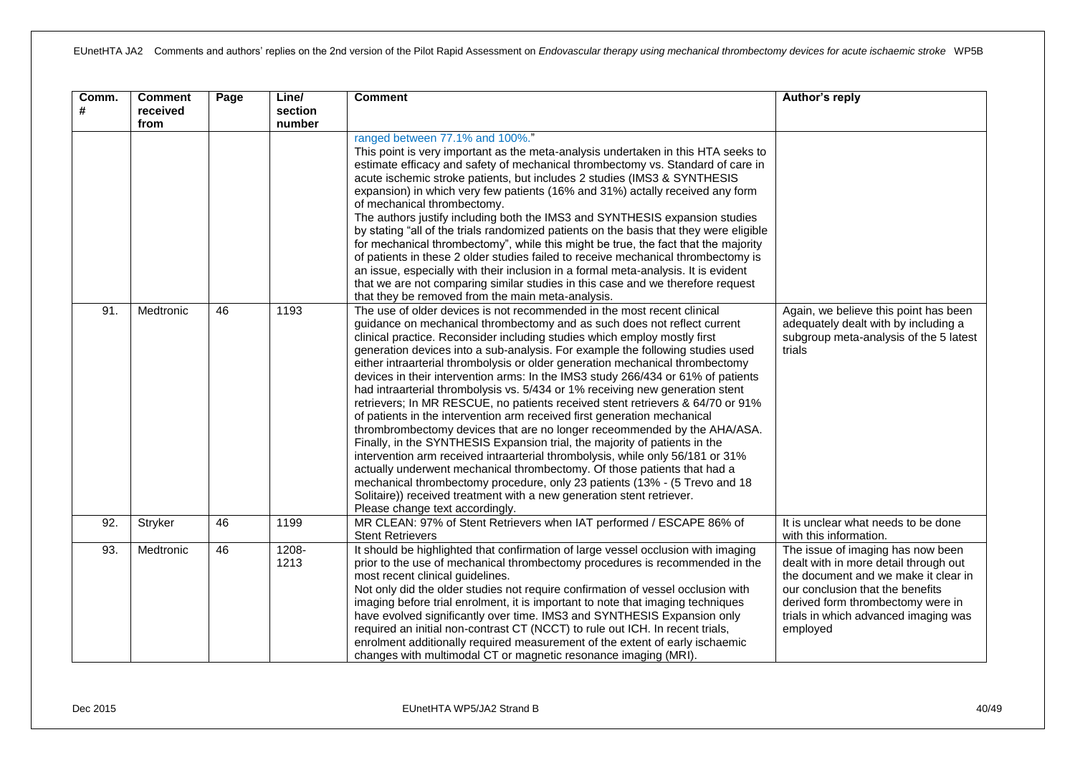| Comm.<br># | <b>Comment</b><br>received<br>from | Page | Line/<br>section<br>number | <b>Comment</b>                                                                                                                                                                                                                                                                                                                                                                                                                                                                                                                                                                                                                                                                                                                                                                                                                                                                                                                                                                                                                                                                                                                                                                                                                                                                                                                                                                                                                                                                                                                                                                                                                                                                                                                                                                                                                                                                                                                                                                                                                                                                                                                                                                                                                                    | Author's reply                                                                                                                                                                                                                                  |
|------------|------------------------------------|------|----------------------------|---------------------------------------------------------------------------------------------------------------------------------------------------------------------------------------------------------------------------------------------------------------------------------------------------------------------------------------------------------------------------------------------------------------------------------------------------------------------------------------------------------------------------------------------------------------------------------------------------------------------------------------------------------------------------------------------------------------------------------------------------------------------------------------------------------------------------------------------------------------------------------------------------------------------------------------------------------------------------------------------------------------------------------------------------------------------------------------------------------------------------------------------------------------------------------------------------------------------------------------------------------------------------------------------------------------------------------------------------------------------------------------------------------------------------------------------------------------------------------------------------------------------------------------------------------------------------------------------------------------------------------------------------------------------------------------------------------------------------------------------------------------------------------------------------------------------------------------------------------------------------------------------------------------------------------------------------------------------------------------------------------------------------------------------------------------------------------------------------------------------------------------------------------------------------------------------------------------------------------------------------|-------------------------------------------------------------------------------------------------------------------------------------------------------------------------------------------------------------------------------------------------|
| 91.        | Medtronic                          | 46   | 1193                       | ranged between 77.1% and 100%."<br>This point is very important as the meta-analysis undertaken in this HTA seeks to<br>estimate efficacy and safety of mechanical thrombectomy vs. Standard of care in<br>acute ischemic stroke patients, but includes 2 studies (IMS3 & SYNTHESIS<br>expansion) in which very few patients (16% and 31%) actally received any form<br>of mechanical thrombectomy.<br>The authors justify including both the IMS3 and SYNTHESIS expansion studies<br>by stating "all of the trials randomized patients on the basis that they were eligible<br>for mechanical thrombectomy", while this might be true, the fact that the majority<br>of patients in these 2 older studies failed to receive mechanical thrombectomy is<br>an issue, especially with their inclusion in a formal meta-analysis. It is evident<br>that we are not comparing similar studies in this case and we therefore request<br>that they be removed from the main meta-analysis.<br>The use of older devices is not recommended in the most recent clinical<br>guidance on mechanical thrombectomy and as such does not reflect current<br>clinical practice. Reconsider including studies which employ mostly first<br>generation devices into a sub-analysis. For example the following studies used<br>either intraarterial thrombolysis or older generation mechanical thrombectomy<br>devices in their intervention arms: In the IMS3 study 266/434 or 61% of patients<br>had intraarterial thrombolysis vs. 5/434 or 1% receiving new generation stent<br>retrievers; In MR RESCUE, no patients received stent retrievers & 64/70 or 91%<br>of patients in the intervention arm received first generation mechanical<br>thrombrombectomy devices that are no longer receommended by the AHA/ASA.<br>Finally, in the SYNTHESIS Expansion trial, the majority of patients in the<br>intervention arm received intraarterial thrombolysis, while only 56/181 or 31%<br>actually underwent mechanical thrombectomy. Of those patients that had a<br>mechanical thrombectomy procedure, only 23 patients (13% - (5 Trevo and 18<br>Solitaire)) received treatment with a new generation stent retriever.<br>Please change text accordingly. | Again, we believe this point has been<br>adequately dealt with by including a<br>subgroup meta-analysis of the 5 latest<br>trials                                                                                                               |
| 92.        | Stryker                            | 46   | 1199                       | MR CLEAN: 97% of Stent Retrievers when IAT performed / ESCAPE 86% of<br><b>Stent Retrievers</b>                                                                                                                                                                                                                                                                                                                                                                                                                                                                                                                                                                                                                                                                                                                                                                                                                                                                                                                                                                                                                                                                                                                                                                                                                                                                                                                                                                                                                                                                                                                                                                                                                                                                                                                                                                                                                                                                                                                                                                                                                                                                                                                                                   | It is unclear what needs to be done<br>with this information.                                                                                                                                                                                   |
| 93.        | Medtronic                          | 46   | 1208-<br>1213              | It should be highlighted that confirmation of large vessel occlusion with imaging<br>prior to the use of mechanical thrombectomy procedures is recommended in the<br>most recent clinical guidelines.<br>Not only did the older studies not require confirmation of vessel occlusion with<br>imaging before trial enrolment, it is important to note that imaging techniques<br>have evolved significantly over time. IMS3 and SYNTHESIS Expansion only<br>required an initial non-contrast CT (NCCT) to rule out ICH. In recent trials,<br>enrolment additionally required measurement of the extent of early ischaemic<br>changes with multimodal CT or magnetic resonance imaging (MRI).                                                                                                                                                                                                                                                                                                                                                                                                                                                                                                                                                                                                                                                                                                                                                                                                                                                                                                                                                                                                                                                                                                                                                                                                                                                                                                                                                                                                                                                                                                                                                       | The issue of imaging has now been<br>dealt with in more detail through out<br>the document and we make it clear in<br>our conclusion that the benefits<br>derived form thrombectomy were in<br>trials in which advanced imaging was<br>employed |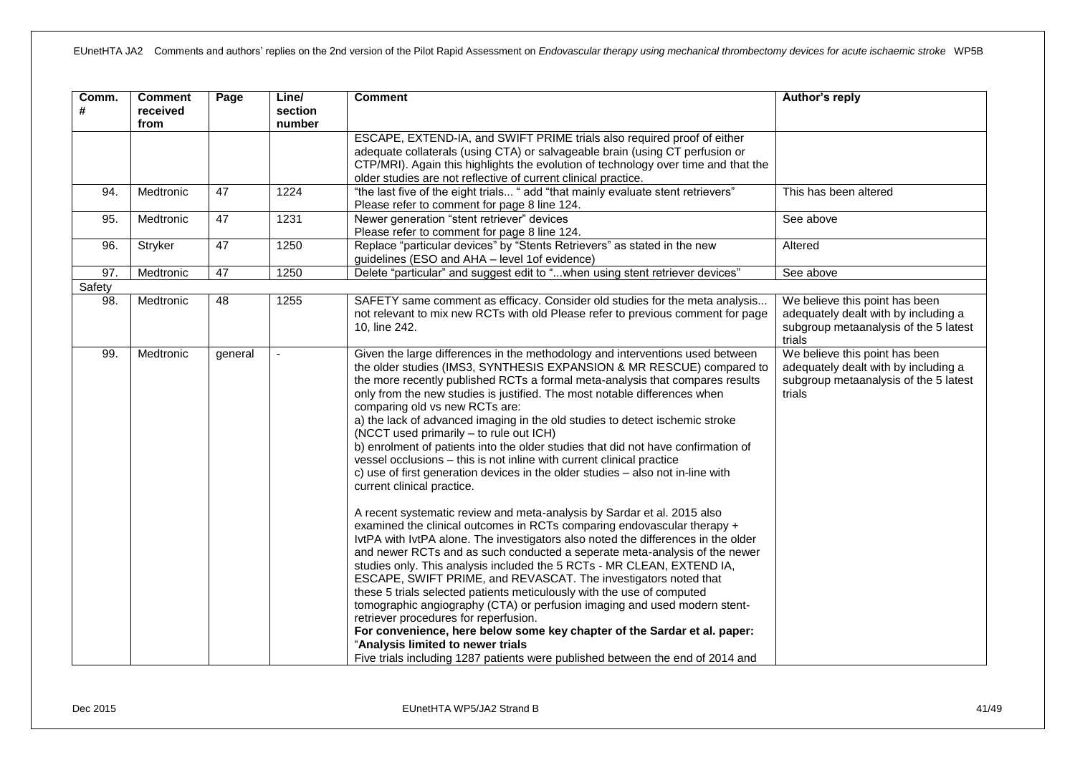| Comm.<br># | <b>Comment</b><br>received<br>from | Page    | Line/<br>section<br>number | <b>Comment</b>                                                                                                                                                                                                                                                                                                                                                                                                                                                                                                                                                                                                                                                                                                                                                                                                                                                                                                                                                                                                                                                                                                                                                                                                                                                                                                                                                                                                                                                                                                                                                                                                                            | Author's reply                                                                                                            |
|------------|------------------------------------|---------|----------------------------|-------------------------------------------------------------------------------------------------------------------------------------------------------------------------------------------------------------------------------------------------------------------------------------------------------------------------------------------------------------------------------------------------------------------------------------------------------------------------------------------------------------------------------------------------------------------------------------------------------------------------------------------------------------------------------------------------------------------------------------------------------------------------------------------------------------------------------------------------------------------------------------------------------------------------------------------------------------------------------------------------------------------------------------------------------------------------------------------------------------------------------------------------------------------------------------------------------------------------------------------------------------------------------------------------------------------------------------------------------------------------------------------------------------------------------------------------------------------------------------------------------------------------------------------------------------------------------------------------------------------------------------------|---------------------------------------------------------------------------------------------------------------------------|
|            |                                    |         |                            | ESCAPE, EXTEND-IA, and SWIFT PRIME trials also required proof of either<br>adequate collaterals (using CTA) or salvageable brain (using CT perfusion or<br>CTP/MRI). Again this highlights the evolution of technology over time and that the<br>older studies are not reflective of current clinical practice.                                                                                                                                                                                                                                                                                                                                                                                                                                                                                                                                                                                                                                                                                                                                                                                                                                                                                                                                                                                                                                                                                                                                                                                                                                                                                                                           |                                                                                                                           |
| 94.        | Medtronic                          | 47      | 1224                       | "the last five of the eight trials " add "that mainly evaluate stent retrievers"<br>Please refer to comment for page 8 line 124.                                                                                                                                                                                                                                                                                                                                                                                                                                                                                                                                                                                                                                                                                                                                                                                                                                                                                                                                                                                                                                                                                                                                                                                                                                                                                                                                                                                                                                                                                                          | This has been altered                                                                                                     |
| 95.        | Medtronic                          | 47      | 1231                       | Newer generation "stent retriever" devices<br>Please refer to comment for page 8 line 124.                                                                                                                                                                                                                                                                                                                                                                                                                                                                                                                                                                                                                                                                                                                                                                                                                                                                                                                                                                                                                                                                                                                                                                                                                                                                                                                                                                                                                                                                                                                                                | See above                                                                                                                 |
| 96.        | Stryker                            | 47      | 1250                       | Replace "particular devices" by "Stents Retrievers" as stated in the new<br>guidelines (ESO and AHA - level 1of evidence)                                                                                                                                                                                                                                                                                                                                                                                                                                                                                                                                                                                                                                                                                                                                                                                                                                                                                                                                                                                                                                                                                                                                                                                                                                                                                                                                                                                                                                                                                                                 | Altered                                                                                                                   |
| 97.        | Medtronic                          | 47      | 1250                       | Delete "particular" and suggest edit to "when using stent retriever devices"                                                                                                                                                                                                                                                                                                                                                                                                                                                                                                                                                                                                                                                                                                                                                                                                                                                                                                                                                                                                                                                                                                                                                                                                                                                                                                                                                                                                                                                                                                                                                              | See above                                                                                                                 |
| Safety     |                                    |         |                            |                                                                                                                                                                                                                                                                                                                                                                                                                                                                                                                                                                                                                                                                                                                                                                                                                                                                                                                                                                                                                                                                                                                                                                                                                                                                                                                                                                                                                                                                                                                                                                                                                                           |                                                                                                                           |
| 98.        | Medtronic                          | 48      | 1255                       | SAFETY same comment as efficacy. Consider old studies for the meta analysis<br>not relevant to mix new RCTs with old Please refer to previous comment for page<br>10, line 242.                                                                                                                                                                                                                                                                                                                                                                                                                                                                                                                                                                                                                                                                                                                                                                                                                                                                                                                                                                                                                                                                                                                                                                                                                                                                                                                                                                                                                                                           | We believe this point has been<br>adequately dealt with by including a<br>subgroup metaanalysis of the 5 latest<br>trials |
| 99.        | Medtronic                          | general | $\blacksquare$             | Given the large differences in the methodology and interventions used between<br>the older studies (IMS3, SYNTHESIS EXPANSION & MR RESCUE) compared to<br>the more recently published RCTs a formal meta-analysis that compares results<br>only from the new studies is justified. The most notable differences when<br>comparing old vs new RCTs are:<br>a) the lack of advanced imaging in the old studies to detect ischemic stroke<br>(NCCT used primarily - to rule out ICH)<br>b) enrolment of patients into the older studies that did not have confirmation of<br>vessel occlusions - this is not inline with current clinical practice<br>c) use of first generation devices in the older studies - also not in-line with<br>current clinical practice.<br>A recent systematic review and meta-analysis by Sardar et al. 2015 also<br>examined the clinical outcomes in RCTs comparing endovascular therapy +<br>IvtPA with IvtPA alone. The investigators also noted the differences in the older<br>and newer RCTs and as such conducted a seperate meta-analysis of the newer<br>studies only. This analysis included the 5 RCTs - MR CLEAN, EXTEND IA,<br>ESCAPE, SWIFT PRIME, and REVASCAT. The investigators noted that<br>these 5 trials selected patients meticulously with the use of computed<br>tomographic angiography (CTA) or perfusion imaging and used modern stent-<br>retriever procedures for reperfusion.<br>For convenience, here below some key chapter of the Sardar et al. paper:<br>"Analysis limited to newer trials<br>Five trials including 1287 patients were published between the end of 2014 and | We believe this point has been<br>adequately dealt with by including a<br>subgroup metaanalysis of the 5 latest<br>trials |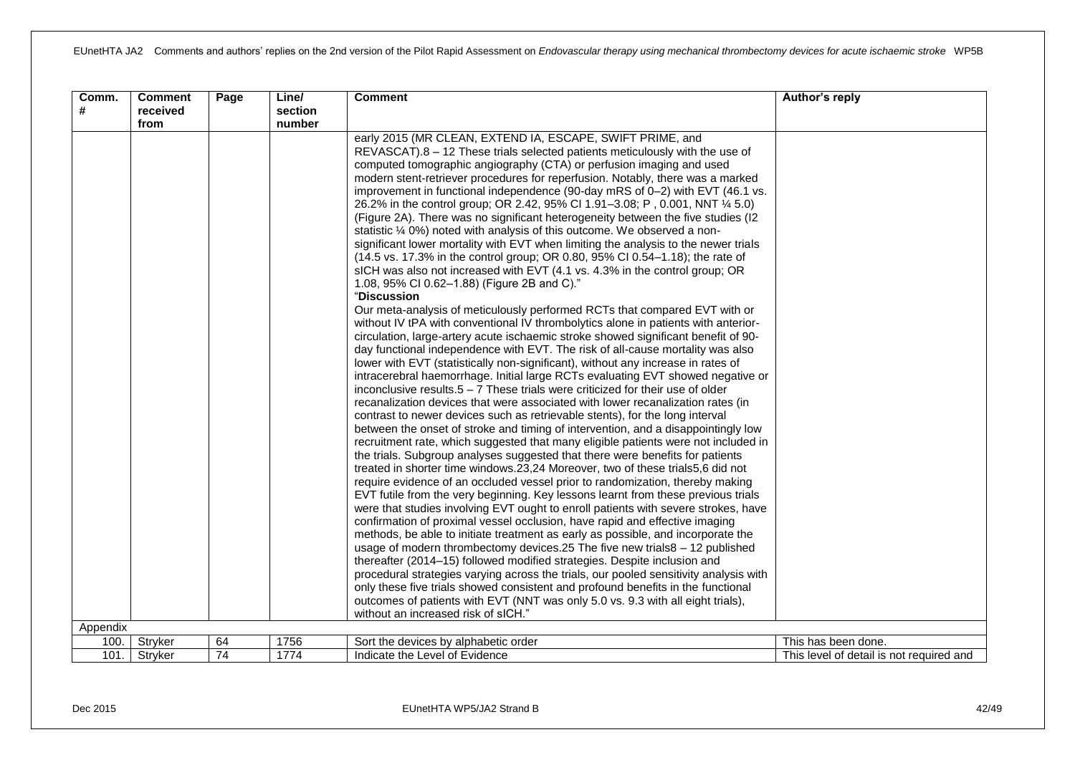| Comm.<br># | <b>Comment</b><br>received<br>from | Page            | Line/<br>section<br>number | <b>Comment</b>                                                                                                                                                                                                                                                                                                                                                                                                                                                                                                                                                                                                                                                                                                                                                                                                                                                                                                                                                                                                                                                                                                                                                                                                                                                                                                                                                                                                                                                                                                                                                                                                                                                                                                                                                                                                                                                                                                                                                                                                                                                                                                                                                                                                                                                                                                                                                                                                                                                                                                                                                                                                                                                                                                                                                                                                                                                                                                                                                                        | Author's reply                           |
|------------|------------------------------------|-----------------|----------------------------|---------------------------------------------------------------------------------------------------------------------------------------------------------------------------------------------------------------------------------------------------------------------------------------------------------------------------------------------------------------------------------------------------------------------------------------------------------------------------------------------------------------------------------------------------------------------------------------------------------------------------------------------------------------------------------------------------------------------------------------------------------------------------------------------------------------------------------------------------------------------------------------------------------------------------------------------------------------------------------------------------------------------------------------------------------------------------------------------------------------------------------------------------------------------------------------------------------------------------------------------------------------------------------------------------------------------------------------------------------------------------------------------------------------------------------------------------------------------------------------------------------------------------------------------------------------------------------------------------------------------------------------------------------------------------------------------------------------------------------------------------------------------------------------------------------------------------------------------------------------------------------------------------------------------------------------------------------------------------------------------------------------------------------------------------------------------------------------------------------------------------------------------------------------------------------------------------------------------------------------------------------------------------------------------------------------------------------------------------------------------------------------------------------------------------------------------------------------------------------------------------------------------------------------------------------------------------------------------------------------------------------------------------------------------------------------------------------------------------------------------------------------------------------------------------------------------------------------------------------------------------------------------------------------------------------------------------------------------------------------|------------------------------------------|
|            |                                    |                 |                            | early 2015 (MR CLEAN, EXTEND IA, ESCAPE, SWIFT PRIME, and<br>REVASCAT).8 - 12 These trials selected patients meticulously with the use of<br>computed tomographic angiography (CTA) or perfusion imaging and used<br>modern stent-retriever procedures for reperfusion. Notably, there was a marked<br>improvement in functional independence (90-day mRS of 0-2) with EVT (46.1 vs.<br>26.2% in the control group; OR 2.42, 95% CI 1.91-3.08; P, 0.001, NNT 1/4 5.0)<br>(Figure 2A). There was no significant heterogeneity between the five studies (I2<br>statistic 1/4 0%) noted with analysis of this outcome. We observed a non-<br>significant lower mortality with EVT when limiting the analysis to the newer trials<br>(14.5 vs. 17.3% in the control group; OR 0.80, 95% CI 0.54-1.18); the rate of<br>sICH was also not increased with EVT (4.1 vs. 4.3% in the control group; OR<br>1.08, 95% CI 0.62-1.88) (Figure 2B and C)."<br>"Discussion<br>Our meta-analysis of meticulously performed RCTs that compared EVT with or<br>without IV tPA with conventional IV thrombolytics alone in patients with anterior-<br>circulation, large-artery acute ischaemic stroke showed significant benefit of 90-<br>day functional independence with EVT. The risk of all-cause mortality was also<br>lower with EVT (statistically non-significant), without any increase in rates of<br>intracerebral haemorrhage. Initial large RCTs evaluating EVT showed negative or<br>inconclusive results. $5 - 7$ These trials were criticized for their use of older<br>recanalization devices that were associated with lower recanalization rates (in<br>contrast to newer devices such as retrievable stents), for the long interval<br>between the onset of stroke and timing of intervention, and a disappointingly low<br>recruitment rate, which suggested that many eligible patients were not included in<br>the trials. Subgroup analyses suggested that there were benefits for patients<br>treated in shorter time windows.23,24 Moreover, two of these trials5,6 did not<br>require evidence of an occluded vessel prior to randomization, thereby making<br>EVT futile from the very beginning. Key lessons learnt from these previous trials<br>were that studies involving EVT ought to enroll patients with severe strokes, have<br>confirmation of proximal vessel occlusion, have rapid and effective imaging<br>methods, be able to initiate treatment as early as possible, and incorporate the<br>usage of modern thrombectomy devices.25 The five new trials8 - 12 published<br>thereafter (2014–15) followed modified strategies. Despite inclusion and<br>procedural strategies varying across the trials, our pooled sensitivity analysis with<br>only these five trials showed consistent and profound benefits in the functional<br>outcomes of patients with EVT (NNT was only 5.0 vs. 9.3 with all eight trials),<br>without an increased risk of sICH." |                                          |
| Appendix   |                                    |                 |                            |                                                                                                                                                                                                                                                                                                                                                                                                                                                                                                                                                                                                                                                                                                                                                                                                                                                                                                                                                                                                                                                                                                                                                                                                                                                                                                                                                                                                                                                                                                                                                                                                                                                                                                                                                                                                                                                                                                                                                                                                                                                                                                                                                                                                                                                                                                                                                                                                                                                                                                                                                                                                                                                                                                                                                                                                                                                                                                                                                                                       |                                          |
| 100.       | Stryker                            | 64              | 1756                       | Sort the devices by alphabetic order                                                                                                                                                                                                                                                                                                                                                                                                                                                                                                                                                                                                                                                                                                                                                                                                                                                                                                                                                                                                                                                                                                                                                                                                                                                                                                                                                                                                                                                                                                                                                                                                                                                                                                                                                                                                                                                                                                                                                                                                                                                                                                                                                                                                                                                                                                                                                                                                                                                                                                                                                                                                                                                                                                                                                                                                                                                                                                                                                  | This has been done.                      |
| 101.       | Stryker                            | $\overline{74}$ | 1774                       | Indicate the Level of Evidence                                                                                                                                                                                                                                                                                                                                                                                                                                                                                                                                                                                                                                                                                                                                                                                                                                                                                                                                                                                                                                                                                                                                                                                                                                                                                                                                                                                                                                                                                                                                                                                                                                                                                                                                                                                                                                                                                                                                                                                                                                                                                                                                                                                                                                                                                                                                                                                                                                                                                                                                                                                                                                                                                                                                                                                                                                                                                                                                                        | This level of detail is not required and |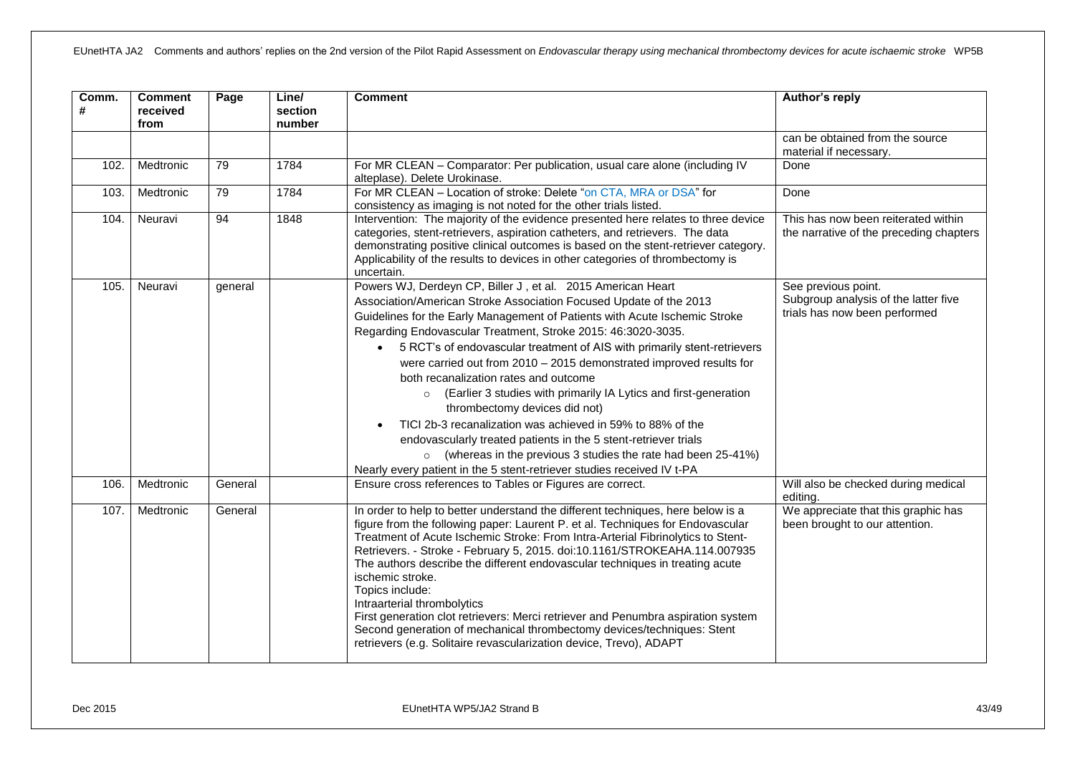| Comm.<br># | <b>Comment</b><br>received<br>from | Page    | Line/<br>section<br>number | <b>Comment</b>                                                                                                                                                                                                                                                                                                                                                                                                                                                                                                                                                                                                                                                                                                                                                                                                                                                                                | Author's reply                                                                               |
|------------|------------------------------------|---------|----------------------------|-----------------------------------------------------------------------------------------------------------------------------------------------------------------------------------------------------------------------------------------------------------------------------------------------------------------------------------------------------------------------------------------------------------------------------------------------------------------------------------------------------------------------------------------------------------------------------------------------------------------------------------------------------------------------------------------------------------------------------------------------------------------------------------------------------------------------------------------------------------------------------------------------|----------------------------------------------------------------------------------------------|
|            |                                    |         |                            |                                                                                                                                                                                                                                                                                                                                                                                                                                                                                                                                                                                                                                                                                                                                                                                                                                                                                               | can be obtained from the source<br>material if necessary.                                    |
| 102.       | Medtronic                          | 79      | 1784                       | For MR CLEAN - Comparator: Per publication, usual care alone (including IV<br>alteplase). Delete Urokinase.                                                                                                                                                                                                                                                                                                                                                                                                                                                                                                                                                                                                                                                                                                                                                                                   | Done                                                                                         |
| 103.       | Medtronic                          | 79      | 1784                       | For MR CLEAN - Location of stroke: Delete "on CTA, MRA or DSA" for<br>consistency as imaging is not noted for the other trials listed.                                                                                                                                                                                                                                                                                                                                                                                                                                                                                                                                                                                                                                                                                                                                                        | Done                                                                                         |
| 104.       | Neuravi                            | 94      | 1848                       | Intervention: The majority of the evidence presented here relates to three device<br>categories, stent-retrievers, aspiration catheters, and retrievers. The data<br>demonstrating positive clinical outcomes is based on the stent-retriever category.<br>Applicability of the results to devices in other categories of thrombectomy is<br>uncertain.                                                                                                                                                                                                                                                                                                                                                                                                                                                                                                                                       | This has now been reiterated within<br>the narrative of the preceding chapters               |
| 105.       | Neuravi                            | general |                            | Powers WJ, Derdeyn CP, Biller J, et al. 2015 American Heart<br>Association/American Stroke Association Focused Update of the 2013<br>Guidelines for the Early Management of Patients with Acute Ischemic Stroke<br>Regarding Endovascular Treatment, Stroke 2015: 46:3020-3035.<br>• 5 RCT's of endovascular treatment of AIS with primarily stent-retrievers<br>were carried out from 2010 - 2015 demonstrated improved results for<br>both recanalization rates and outcome<br>(Earlier 3 studies with primarily IA Lytics and first-generation<br>$\circ$<br>thrombectomy devices did not)<br>TICI 2b-3 recanalization was achieved in 59% to 88% of the<br>$\bullet$<br>endovascularly treated patients in the 5 stent-retriever trials<br>$\circ$ (whereas in the previous 3 studies the rate had been 25-41%)<br>Nearly every patient in the 5 stent-retriever studies received IV t-PA | See previous point.<br>Subgroup analysis of the latter five<br>trials has now been performed |
| 106.       | Medtronic                          | General |                            | Ensure cross references to Tables or Figures are correct.                                                                                                                                                                                                                                                                                                                                                                                                                                                                                                                                                                                                                                                                                                                                                                                                                                     | Will also be checked during medical<br>editing.                                              |
| 107.       | Medtronic                          | General |                            | In order to help to better understand the different techniques, here below is a<br>figure from the following paper: Laurent P. et al. Techniques for Endovascular<br>Treatment of Acute Ischemic Stroke: From Intra-Arterial Fibrinolytics to Stent-<br>Retrievers. - Stroke - February 5, 2015. doi:10.1161/STROKEAHA.114.007935<br>The authors describe the different endovascular techniques in treating acute<br>ischemic stroke.<br>Topics include:<br>Intraarterial thrombolytics<br>First generation clot retrievers: Merci retriever and Penumbra aspiration system<br>Second generation of mechanical thrombectomy devices/techniques: Stent<br>retrievers (e.g. Solitaire revascularization device, Trevo), ADAPT                                                                                                                                                                   | We appreciate that this graphic has<br>been brought to our attention.                        |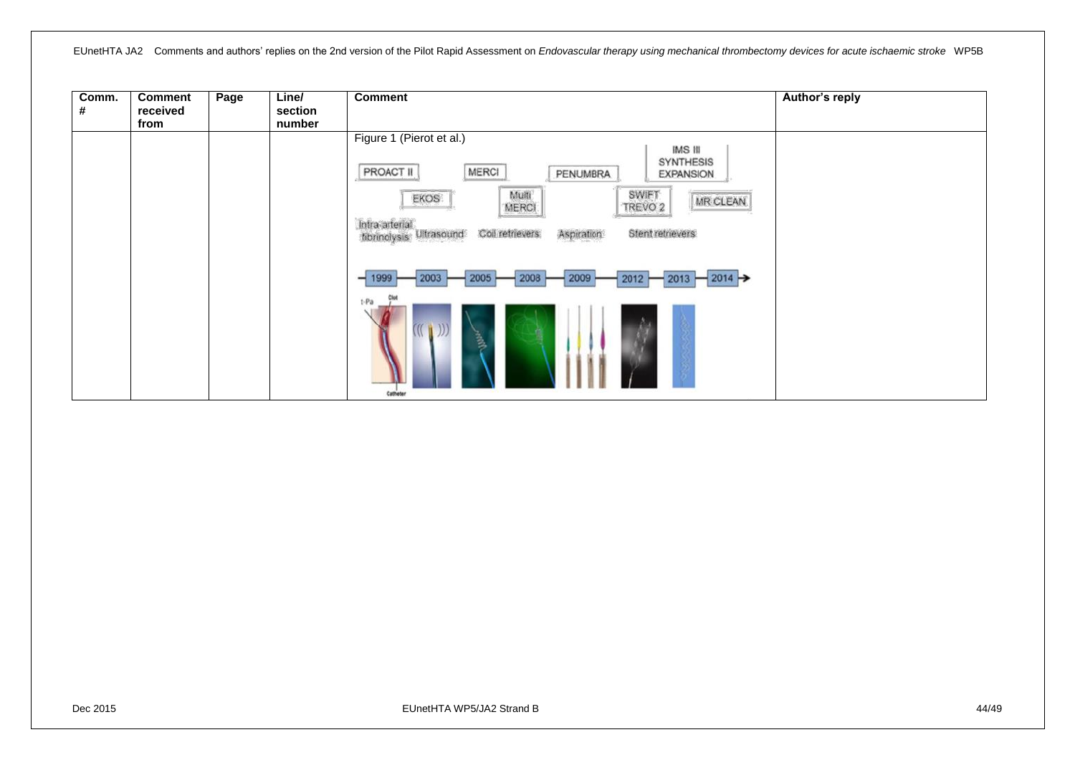| Comm.<br># | <b>Comment</b><br>received<br>from | Page | Line/<br>section<br>number | <b>Comment</b>                                                                                                                                                                                                                                                                                       | Author's reply |
|------------|------------------------------------|------|----------------------------|------------------------------------------------------------------------------------------------------------------------------------------------------------------------------------------------------------------------------------------------------------------------------------------------------|----------------|
|            |                                    |      |                            | Figure 1 (Pierot et al.)<br>IMS III<br><b>SYNTHESIS</b><br>MERCI<br>PROACT II<br>PENUMBRA<br><b>EXPANSION</b><br><b>SWIFT</b><br>Multi<br><b>EKOS</b><br>MR CLEAN<br>MERCI<br>TREVO <sub>2</sub><br>Intra arterial<br>Coil retrievers<br>Stent retnevers<br>Aspiration<br>Ultrasound<br>tibrinolysis |                |
|            |                                    |      |                            | 2009<br>2003<br>2005<br>2008<br>2012<br>$2014 \rightarrow$<br>2013<br>t-Pa<br>$\mathbb{L}^{(1)}$<br>$\frac{3}{2}$<br>Catheter                                                                                                                                                                        |                |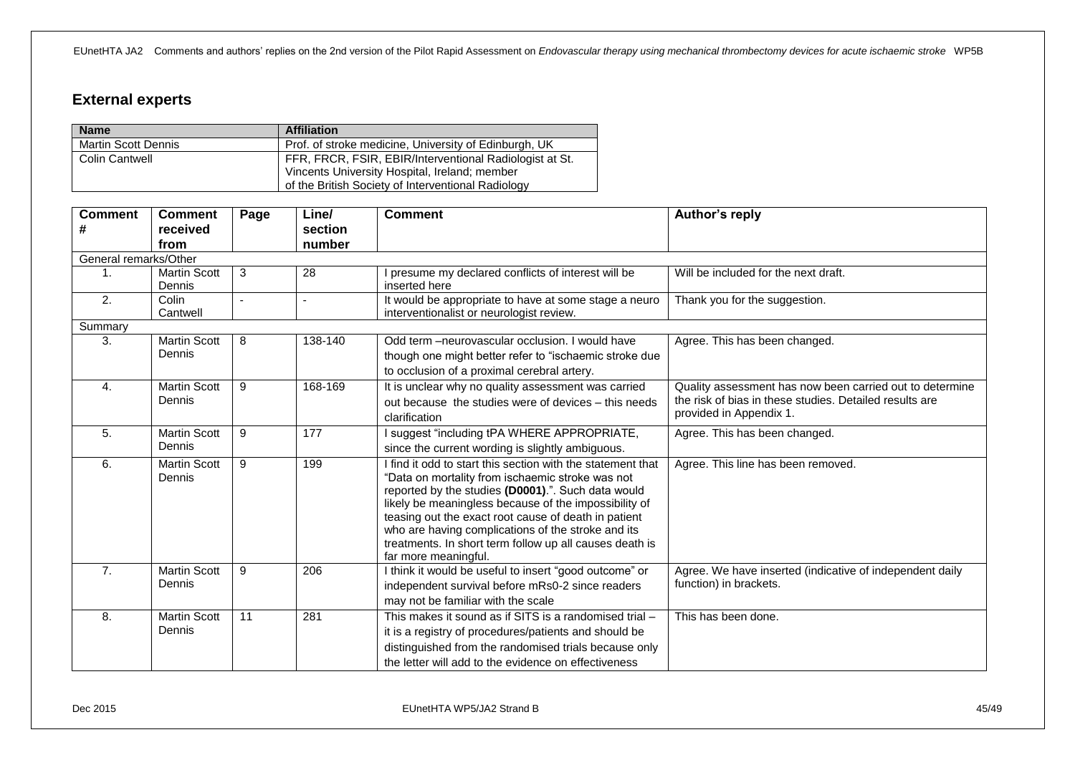# <span id="page-44-0"></span>**External experts**

| <b>Name</b>                | <b>Affiliation</b>                                      |  |
|----------------------------|---------------------------------------------------------|--|
| <b>Martin Scott Dennis</b> | Prof. of stroke medicine, University of Edinburgh, UK   |  |
| <b>Colin Cantwell</b>      | FFR, FRCR, FSIR, EBIR/Interventional Radiologist at St. |  |
|                            | Vincents University Hospital, Ireland; member           |  |
|                            | of the British Society of Interventional Radiology      |  |

| <b>Comment</b><br>#   | <b>Comment</b><br>received<br>from | Page            | Line/<br>section<br>number | <b>Comment</b>                                                                                                                                                                                                                                                                                                                                                                                                                  | Author's reply                                                                                                                                 |
|-----------------------|------------------------------------|-----------------|----------------------------|---------------------------------------------------------------------------------------------------------------------------------------------------------------------------------------------------------------------------------------------------------------------------------------------------------------------------------------------------------------------------------------------------------------------------------|------------------------------------------------------------------------------------------------------------------------------------------------|
| General remarks/Other |                                    |                 |                            |                                                                                                                                                                                                                                                                                                                                                                                                                                 |                                                                                                                                                |
| 1 <sub>1</sub>        | <b>Martin Scott</b><br>Dennis      | 3               | 28                         | I presume my declared conflicts of interest will be<br>inserted here                                                                                                                                                                                                                                                                                                                                                            | Will be included for the next draft.                                                                                                           |
| $\overline{2}$ .      | Colin<br>Cantwell                  | $\sim$          | $\blacksquare$             | It would be appropriate to have at some stage a neuro<br>interventionalist or neurologist review.                                                                                                                                                                                                                                                                                                                               | Thank you for the suggestion.                                                                                                                  |
| Summary               |                                    |                 |                            |                                                                                                                                                                                                                                                                                                                                                                                                                                 |                                                                                                                                                |
| 3.                    | Martin Scott<br>Dennis             | 8               | 138-140                    | Odd term - neurovascular occlusion. I would have<br>though one might better refer to "ischaemic stroke due<br>to occlusion of a proximal cerebral artery.                                                                                                                                                                                                                                                                       | Agree. This has been changed.                                                                                                                  |
| 4.                    | <b>Martin Scott</b><br>Dennis      | 9               | 168-169                    | It is unclear why no quality assessment was carried<br>out because the studies were of devices - this needs<br>clarification                                                                                                                                                                                                                                                                                                    | Quality assessment has now been carried out to determine<br>the risk of bias in these studies. Detailed results are<br>provided in Appendix 1. |
| 5.                    | <b>Martin Scott</b><br>Dennis      | 9               | 177                        | I suggest "including tPA WHERE APPROPRIATE,<br>since the current wording is slightly ambiguous.                                                                                                                                                                                                                                                                                                                                 | Agree. This has been changed.                                                                                                                  |
| 6.                    | <b>Martin Scott</b><br>Dennis      | 9               | 199                        | I find it odd to start this section with the statement that<br>"Data on mortality from ischaemic stroke was not<br>reported by the studies (D0001).". Such data would<br>likely be meaningless because of the impossibility of<br>teasing out the exact root cause of death in patient<br>who are having complications of the stroke and its<br>treatments. In short term follow up all causes death is<br>far more meaningful. | Agree. This line has been removed.                                                                                                             |
| 7.                    | <b>Martin Scott</b><br>Dennis      | 9               | 206                        | I think it would be useful to insert "good outcome" or<br>independent survival before mRs0-2 since readers<br>may not be familiar with the scale                                                                                                                                                                                                                                                                                | Agree. We have inserted (indicative of independent daily<br>function) in brackets.                                                             |
| 8.                    | <b>Martin Scott</b><br>Dennis      | $\overline{11}$ | 281                        | This makes it sound as if SITS is a randomised trial -<br>it is a registry of procedures/patients and should be<br>distinguished from the randomised trials because only<br>the letter will add to the evidence on effectiveness                                                                                                                                                                                                | This has been done.                                                                                                                            |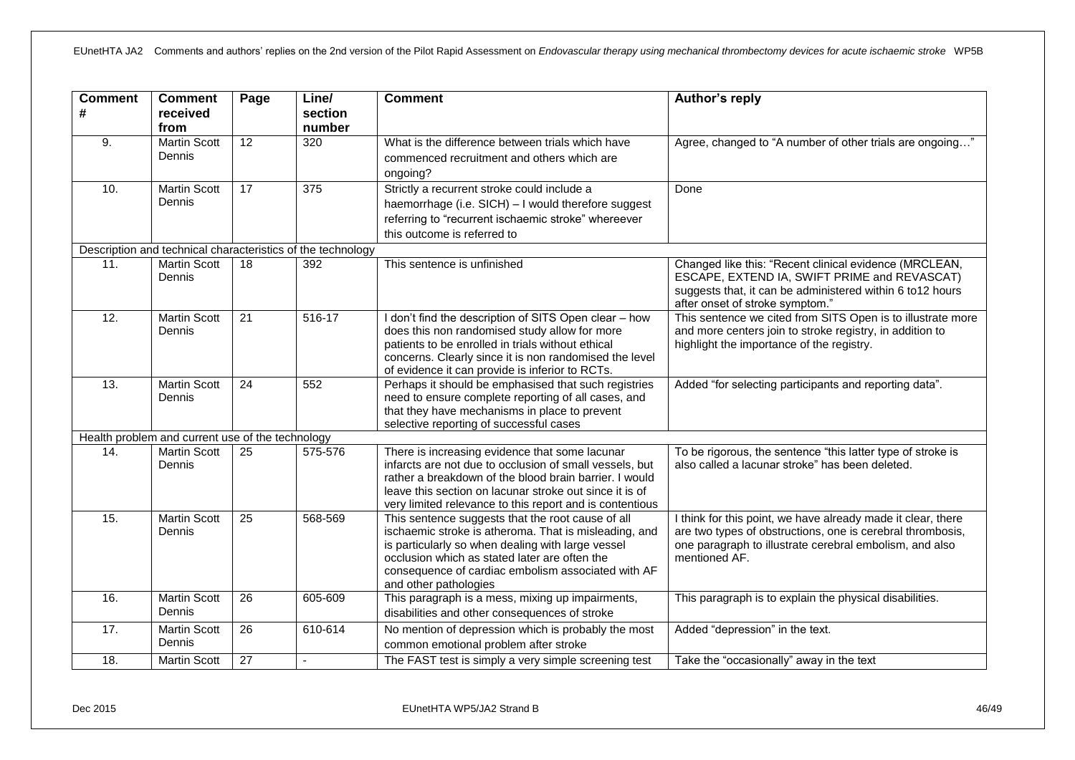| <b>Comment</b> | <b>Comment</b>                                   | Page            | Line/                                                       | <b>Comment</b>                                                                                                                                                                                                                                                                                  | Author's reply                                                                                                                                                                                         |
|----------------|--------------------------------------------------|-----------------|-------------------------------------------------------------|-------------------------------------------------------------------------------------------------------------------------------------------------------------------------------------------------------------------------------------------------------------------------------------------------|--------------------------------------------------------------------------------------------------------------------------------------------------------------------------------------------------------|
| #              | received<br>from                                 |                 | section<br>number                                           |                                                                                                                                                                                                                                                                                                 |                                                                                                                                                                                                        |
| 9.             | <b>Martin Scott</b><br>Dennis                    | 12              | 320                                                         | What is the difference between trials which have<br>commenced recruitment and others which are<br>ongoing?                                                                                                                                                                                      | Agree, changed to "A number of other trials are ongoing"                                                                                                                                               |
| 10.            | <b>Martin Scott</b><br>Dennis                    | 17              | 375                                                         | Strictly a recurrent stroke could include a<br>haemorrhage (i.e. SICH) - I would therefore suggest<br>referring to "recurrent ischaemic stroke" whereever<br>this outcome is referred to                                                                                                        | Done                                                                                                                                                                                                   |
|                |                                                  |                 | Description and technical characteristics of the technology |                                                                                                                                                                                                                                                                                                 |                                                                                                                                                                                                        |
| 11.            | <b>Martin Scott</b><br>Dennis                    | 18              | 392                                                         | This sentence is unfinished                                                                                                                                                                                                                                                                     | Changed like this: "Recent clinical evidence (MRCLEAN,<br>ESCAPE, EXTEND IA, SWIFT PRIME and REVASCAT)<br>suggests that, it can be administered within 6 to12 hours<br>after onset of stroke symptom." |
| 12.            | <b>Martin Scott</b><br>Dennis                    | 21              | $516-17$                                                    | I don't find the description of SITS Open clear - how<br>does this non randomised study allow for more<br>patients to be enrolled in trials without ethical<br>concerns. Clearly since it is non randomised the level<br>of evidence it can provide is inferior to RCTs.                        | This sentence we cited from SITS Open is to illustrate more<br>and more centers join to stroke registry, in addition to<br>highlight the importance of the registry.                                   |
| 13.            | <b>Martin Scott</b><br>Dennis                    | 24              | 552                                                         | Perhaps it should be emphasised that such registries<br>need to ensure complete reporting of all cases, and<br>that they have mechanisms in place to prevent<br>selective reporting of successful cases                                                                                         | Added "for selecting participants and reporting data".                                                                                                                                                 |
|                | Health problem and current use of the technology |                 |                                                             |                                                                                                                                                                                                                                                                                                 |                                                                                                                                                                                                        |
| 14.            | <b>Martin Scott</b><br>Dennis                    | $\overline{25}$ | 575-576                                                     | There is increasing evidence that some lacunar<br>infarcts are not due to occlusion of small vessels, but<br>rather a breakdown of the blood brain barrier. I would<br>leave this section on lacunar stroke out since it is of<br>very limited relevance to this report and is contentious      | To be rigorous, the sentence "this latter type of stroke is<br>also called a lacunar stroke" has been deleted.                                                                                         |
| 15.            | <b>Martin Scott</b><br>Dennis                    | 25              | 568-569                                                     | This sentence suggests that the root cause of all<br>ischaemic stroke is atheroma. That is misleading, and<br>is particularly so when dealing with large vessel<br>occlusion which as stated later are often the<br>consequence of cardiac embolism associated with AF<br>and other pathologies | I think for this point, we have already made it clear, there<br>are two types of obstructions, one is cerebral thrombosis,<br>one paragraph to illustrate cerebral embolism, and also<br>mentioned AF. |
| 16.            | <b>Martin Scott</b><br>Dennis                    | $\overline{26}$ | 605-609                                                     | This paragraph is a mess, mixing up impairments,<br>disabilities and other consequences of stroke                                                                                                                                                                                               | This paragraph is to explain the physical disabilities.                                                                                                                                                |
| 17.            | <b>Martin Scott</b><br>Dennis                    | $\overline{26}$ | 610-614                                                     | No mention of depression which is probably the most<br>common emotional problem after stroke                                                                                                                                                                                                    | Added "depression" in the text.                                                                                                                                                                        |
| 18.            | <b>Martin Scott</b>                              | 27              |                                                             | The FAST test is simply a very simple screening test                                                                                                                                                                                                                                            | Take the "occasionally" away in the text                                                                                                                                                               |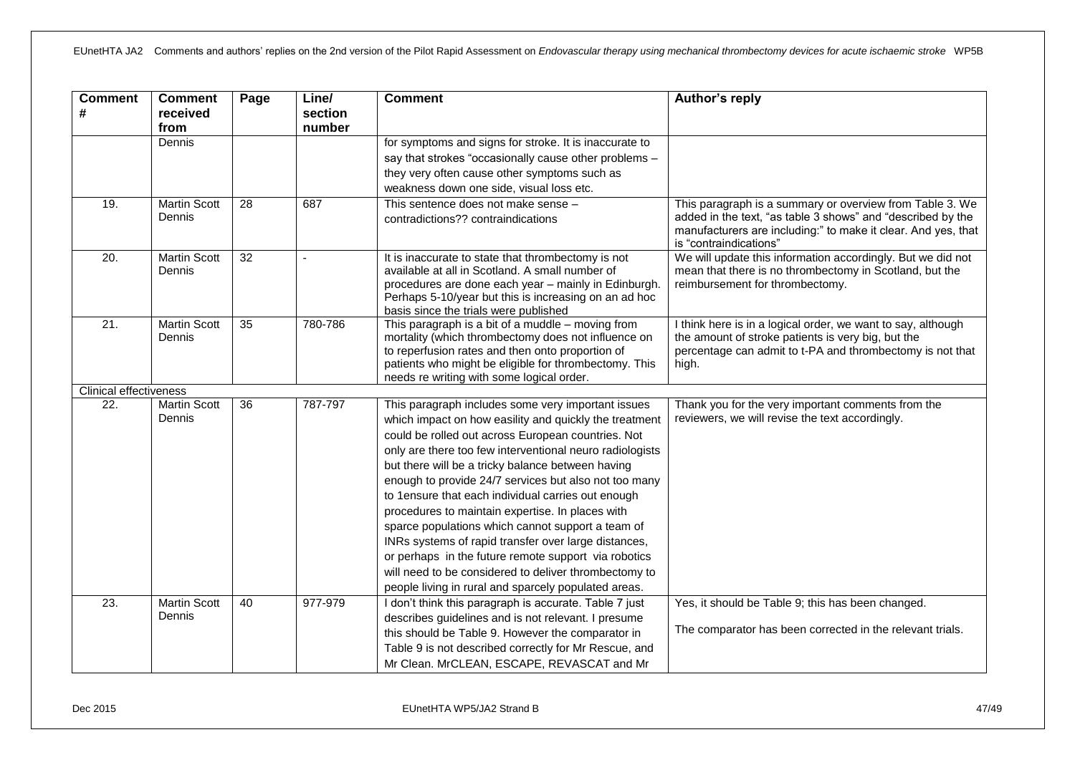| <b>Comment</b><br>#           | <b>Comment</b><br>received<br>from | Page            | Line/<br>section<br>number | <b>Comment</b>                                                                                                                                                                                                                                                                                                                                                                                                                                                                                                                                                                                                                                                                                                                               | Author's reply                                                                                                                                                                                                     |
|-------------------------------|------------------------------------|-----------------|----------------------------|----------------------------------------------------------------------------------------------------------------------------------------------------------------------------------------------------------------------------------------------------------------------------------------------------------------------------------------------------------------------------------------------------------------------------------------------------------------------------------------------------------------------------------------------------------------------------------------------------------------------------------------------------------------------------------------------------------------------------------------------|--------------------------------------------------------------------------------------------------------------------------------------------------------------------------------------------------------------------|
|                               | Dennis                             |                 |                            | for symptoms and signs for stroke. It is inaccurate to<br>say that strokes "occasionally cause other problems -<br>they very often cause other symptoms such as<br>weakness down one side, visual loss etc.                                                                                                                                                                                                                                                                                                                                                                                                                                                                                                                                  |                                                                                                                                                                                                                    |
| 19.                           | <b>Martin Scott</b><br>Dennis      | $\overline{28}$ | 687                        | This sentence does not make sense -<br>contradictions?? contraindications                                                                                                                                                                                                                                                                                                                                                                                                                                                                                                                                                                                                                                                                    | This paragraph is a summary or overview from Table 3. We<br>added in the text, "as table 3 shows" and "described by the<br>manufacturers are including:" to make it clear. And yes, that<br>is "contraindications" |
| $\overline{20}$ .             | <b>Martin Scott</b><br>Dennis      | $\overline{32}$ |                            | It is inaccurate to state that thrombectomy is not<br>available at all in Scotland. A small number of<br>procedures are done each year - mainly in Edinburgh.<br>Perhaps 5-10/year but this is increasing on an ad hoc<br>basis since the trials were published                                                                                                                                                                                                                                                                                                                                                                                                                                                                              | We will update this information accordingly. But we did not<br>mean that there is no thrombectomy in Scotland, but the<br>reimbursement for thrombectomy.                                                          |
| $\overline{21}$               | <b>Martin Scott</b><br>Dennis      | 35              | 780-786                    | This paragraph is a bit of a muddle - moving from<br>mortality (which thrombectomy does not influence on<br>to reperfusion rates and then onto proportion of<br>patients who might be eligible for thrombectomy. This<br>needs re writing with some logical order.                                                                                                                                                                                                                                                                                                                                                                                                                                                                           | I think here is in a logical order, we want to say, although<br>the amount of stroke patients is very big, but the<br>percentage can admit to t-PA and thrombectomy is not that<br>high.                           |
| <b>Clinical effectiveness</b> |                                    |                 |                            |                                                                                                                                                                                                                                                                                                                                                                                                                                                                                                                                                                                                                                                                                                                                              |                                                                                                                                                                                                                    |
| $\overline{22}$ .             | <b>Martin Scott</b><br>Dennis      | $\overline{36}$ | 787-797                    | This paragraph includes some very important issues<br>which impact on how easility and quickly the treatment<br>could be rolled out across European countries. Not<br>only are there too few interventional neuro radiologists<br>but there will be a tricky balance between having<br>enough to provide 24/7 services but also not too many<br>to 1ensure that each individual carries out enough<br>procedures to maintain expertise. In places with<br>sparce populations which cannot support a team of<br>INRs systems of rapid transfer over large distances,<br>or perhaps in the future remote support via robotics<br>will need to be considered to deliver thrombectomy to<br>people living in rural and sparcely populated areas. | Thank you for the very important comments from the<br>reviewers, we will revise the text accordingly.                                                                                                              |
| $\overline{23}$ .             | <b>Martin Scott</b><br>Dennis      | 40              | 977-979                    | I don't think this paragraph is accurate. Table 7 just<br>describes guidelines and is not relevant. I presume<br>this should be Table 9. However the comparator in<br>Table 9 is not described correctly for Mr Rescue, and<br>Mr Clean. MrCLEAN, ESCAPE, REVASCAT and Mr                                                                                                                                                                                                                                                                                                                                                                                                                                                                    | Yes, it should be Table 9; this has been changed.<br>The comparator has been corrected in the relevant trials.                                                                                                     |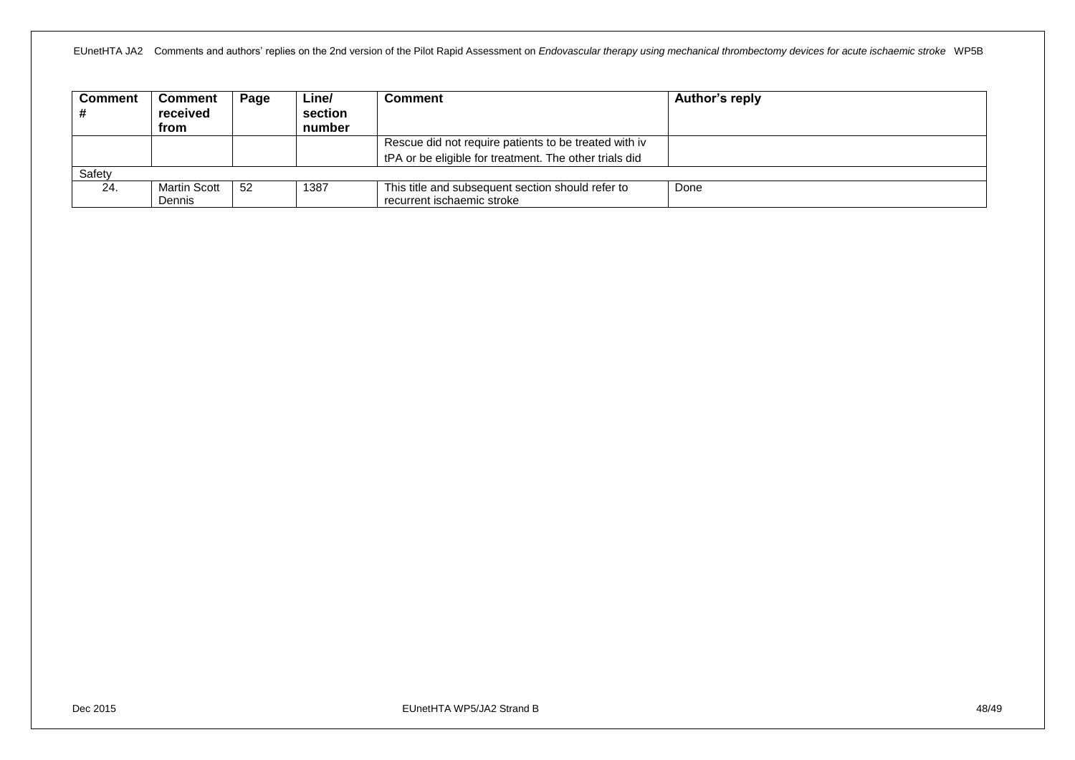| <b>Comment</b> | <b>Comment</b> | Page | Line/   | Comment                                                | Author's reply |
|----------------|----------------|------|---------|--------------------------------------------------------|----------------|
|                | received       |      | section |                                                        |                |
|                | from           |      | number  |                                                        |                |
|                |                |      |         | Rescue did not require patients to be treated with iv  |                |
|                |                |      |         | tPA or be eligible for treatment. The other trials did |                |
| Safety         |                |      |         |                                                        |                |
| 24.            | Martin Scott   | -52  | 1387    | This title and subsequent section should refer to      | Done           |
|                | Dennis         |      |         | recurrent ischaemic stroke                             |                |